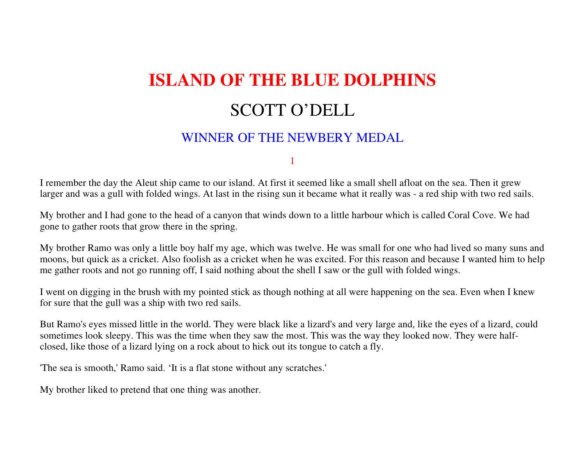## **ISLAND OF THE BLUE DOLPHINS** SCOTT O'DELL

## WINNER OF THE NEWBERY MEDAL

1

I remember the day the Aleut ship came to our island. At first it seemed like a small shell afloat on the sea. Then it grew larger and was a gull with folded wings. At last in the rising sun it became what it really was - a red ship with two red sails.

My brother and I had gone to the head of a canyon that winds down to a little harbour which is called Coral Cove. We had gone to gather roots that grow there in the spring.

My brother Ramo was only a little boy half my age, which was twelve. He was small for one who had lived so many suns and moons, but quick as a cricket. Also foolish as a cricket when he was excited. For this reason and because I wanted him to help me gather roots and not go running off, I said nothing about the shell I saw or the gull with folded wings.

I went on digging in the brush with my pointed stick as though nothing at all were happening on the sea. Even when I knew for sure that the gull was a ship with two red sails.

But Ramo's eyes missed little in the world. They were black like a lizard's and very large and, like the eyes of a lizard, could sometimes look sleepy. This was the time when they saw the most. This was the way they looked now. They were halfclosed, like those of a lizard lying on a rock about to hick out its tongue to catch a fly.

'The sea is smooth,' Ramo said. 'It is a flat stone without any scratches.'

My brother liked to pretend that one thing was another.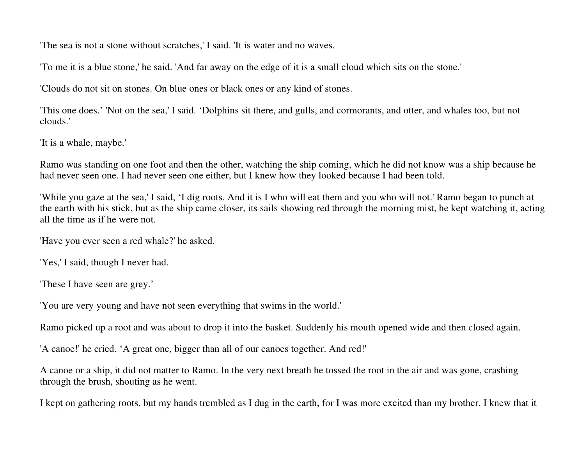'The sea is not a stone without scratches,' I said. 'It is water and no waves.

'To me it is a blue stone,' he said. 'And far away on the edge of it is a small cloud which sits on the stone.'

'Clouds do not sit on stones. On blue ones or black ones or any kind of stones.

'This one does.' 'Not on the sea,' I said. 'Dolphins sit there, and gulls, and cormorants, and otter, and whales too, but not clouds.'

'It is a whale, maybe.'

Ramo was standing on one foot and then the other, watching the ship coming, which he did not know was a ship because he had never seen one. I had never seen one either, but I knew how they looked because I had been told.

'While you gaze at the sea,' I said, 'I dig roots. And it is I who will eat them and you who will not.' Ramo began to punch at the earth with his stick, but as the ship came closer, its sails showing red through the morning mist, he kept watching it, acting all the time as if he were not.

'Have you ever seen a red whale?' he asked.

'Yes,' I said, though I never had.

'These I have seen are grey.'

'You are very young and have not seen everything that swims in the world.'

Ramo picked up a root and was about to drop it into the basket. Suddenly his mouth opened wide and then closed again.

'A canoe!' he cried. 'A great one, bigger than all of our canoes together. And red!'

A canoe or a ship, it did not matter to Ramo. In the very next breath he tossed the root in the air and was gone, crashing through the brush, shouting as he went.

I kept on gathering roots, but my hands trembled as I dug in the earth, for I was more excited than my brother. I knew that it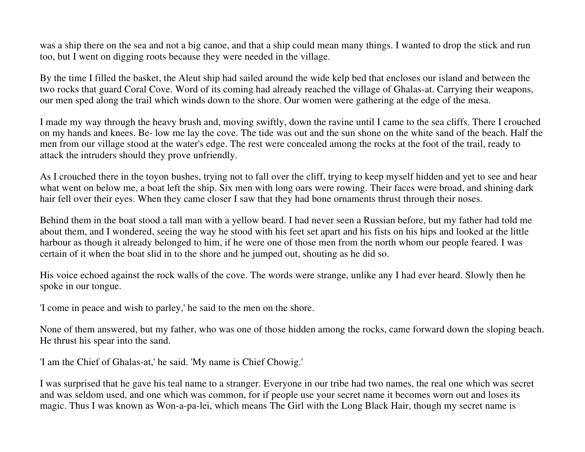was a ship there on the sea and not a big canoe, and that a ship could mean many things. I wanted to drop the stick and run too, but I went on digging roots because they were needed in the village.

By the time I filled the basket, the Aleut ship had sailed around the wide kelp bed that encloses our island and between the two rocks that guard Coral Cove. Word of its coming had already reached the village of Ghalas-at. Carrying their weapons, our men sped along the trail which winds down to the shore. Our women were gathering at the edge of the mesa.

I made my way through the heavy brush and, moving swiftly, down the ravine until I came to the sea cliffs. There I crouched on my hands and knees. Be- low me lay the cove. The tide was out and the sun shone on the white sand of the beach. Half the men from our village stood at the water's edge. The rest were concealed among the rocks at the foot of the trail, ready to attack the intruders should they prove unfriendly.

As I crouched there in the toyon bushes, trying not to fall over the cliff, trying to keep myself hidden and yet to see and hear what went on below me, a boat left the ship. Six men with long oars were rowing. Their faces were broad, and shining dark hair fell over their eyes. When they came closer I saw that they had bone ornaments thrust through their noses.

Behind them in the boat stood a tall man with a yellow beard. I had never seen a Russian before, but my father had told me about them, and I wondered, seeing the way he stood with his feet set apart and his fists on his hips and looked at the little harbour as though it already belonged to him, if he were one of those men from the north whom our people feared. I was certain of it when the boat slid in to the shore and he jumped out, shouting as he did so.

His voice echoed against the rock walls of the cove. The words were strange, unlike any I had ever heard. Slowly then he spoke in our tongue.

'I come in peace and wish to parley,' he said to the men on the shore.

None of them answered, but my father, who was one of those hidden among the rocks, came forward down the sloping beach. He thrust his spear into the sand.

'I am the Chief of Ghalas-at,' he said. 'My name is Chief Chowig.'

I was surprised that he gave his teal name to a stranger. Everyone in our tribe had two names, the real one which was secret and was seldom used, and one which was common, for if people use your secret name it becomes worn out and loses its magic. Thus I was known as Won-a-pa-lei, which means The Girl with the Long Black Hair, though my secret name is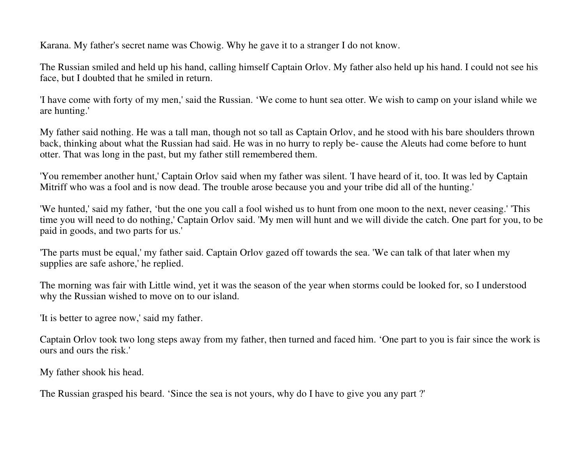Karana. My father's secret name was Chowig. Why he gave it to a stranger I do not know.

The Russian smiled and held up his hand, calling himself Captain Orlov. My father also held up his hand. I could not see his face, but I doubted that he smiled in return.

'I have come with forty of my men,' said the Russian. 'We come to hunt sea otter. We wish to camp on your island while we are hunting.'

My father said nothing. He was a tall man, though not so tall as Captain Orlov, and he stood with his bare shoulders thrown back, thinking about what the Russian had said. He was in no hurry to reply be- cause the Aleuts had come before to hunt otter. That was long in the past, but my father still remembered them.

'You remember another hunt,' Captain Orlov said when my father was silent. 'I have heard of it, too. It was led by Captain Mitriff who was a fool and is now dead. The trouble arose because you and your tribe did all of the hunting.'

'We hunted,' said my father, 'but the one you call a fool wished us to hunt from one moon to the next, never ceasing.' 'This time you will need to do nothing,' Captain Orlov said. 'My men will hunt and we will divide the catch. One part for you, to be paid in goods, and two parts for us.'

'The parts must be equal,' my father said. Captain Orlov gazed off towards the sea. 'We can talk of that later when my supplies are safe ashore,' he replied.

The morning was fair with Little wind, yet it was the season of the year when storms could be looked for, so I understood why the Russian wished to move on to our island.

'It is better to agree now,' said my father.

Captain Orlov took two long steps away from my father, then turned and faced him. 'One part to you is fair since the work is ours and ours the risk.'

My father shook his head.

The Russian grasped his beard. 'Since the sea is not yours, why do I have to give you any part ?'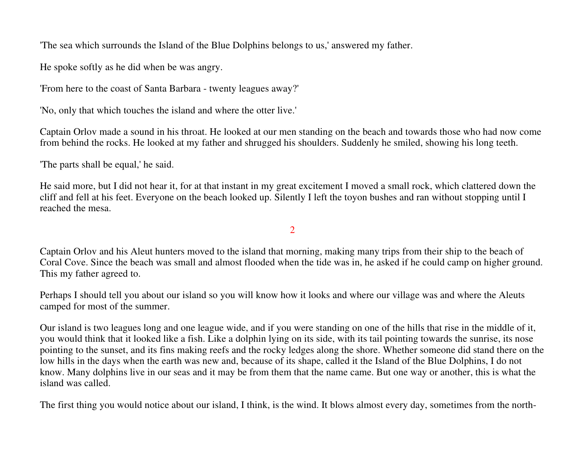'The sea which surrounds the Island of the Blue Dolphins belongs to us,' answered my father.

He spoke softly as he did when be was angry.

'From here to the coast of Santa Barbara - twenty leagues away?'

'No, only that which touches the island and where the otter live.'

Captain Orlov made a sound in his throat. He looked at our men standing on the beach and towards those who had now come from behind the rocks. He looked at my father and shrugged his shoulders. Suddenly he smiled, showing his long teeth.

'The parts shall be equal,' he said.

He said more, but I did not hear it, for at that instant in my great excitement I moved a small rock, which clattered down the cliff and fell at his feet. Everyone on the beach looked up. Silently I left the toyon bushes and ran without stopping until I reached the mesa.

2

Captain Orlov and his Aleut hunters moved to the island that morning, making many trips from their ship to the beach of Coral Cove. Since the beach was small and almost flooded when the tide was in, he asked if he could camp on higher ground. This my father agreed to.

Perhaps I should tell you about our island so you will know how it looks and where our village was and where the Aleuts camped for most of the summer.

Our island is two leagues long and one league wide, and if you were standing on one of the hills that rise in the middle of it, you would think that it looked like a fish. Like a dolphin lying on its side, with its tail pointing towards the sunrise, its nose pointing to the sunset, and its fins making reefs and the rocky ledges along the shore. Whether someone did stand there on the low hills in the days when the earth was new and, because of its shape, called it the Island of the Blue Dolphins, I do not know. Many dolphins live in our seas and it may be from them that the name came. But one way or another, this is what the island was called.

The first thing you would notice about our island, I think, is the wind. It blows almost every day, sometimes from the north-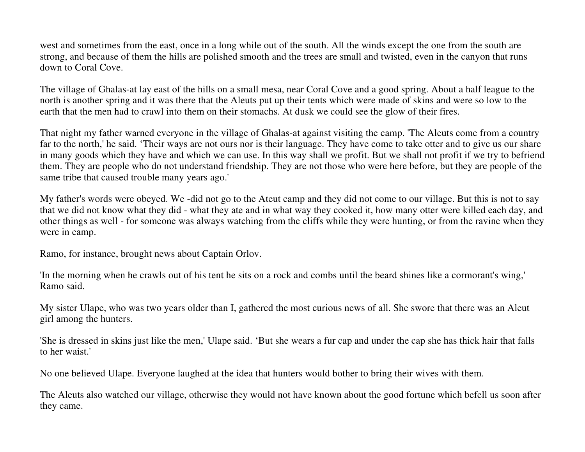west and sometimes from the east, once in a long while out of the south. All the winds except the one from the south are strong, and because of them the hills are polished smooth and the trees are small and twisted, even in the canyon that runs down to Coral Cove.

The village of Ghalas-at lay east of the hills on a small mesa, near Coral Cove and a good spring. About a half league to the north is another spring and it was there that the Aleuts put up their tents which were made of skins and were so low to the earth that the men had to crawl into them on their stomachs. At dusk we could see the glow of their fires.

That night my father warned everyone in the village of Ghalas-at against visiting the camp. 'The Aleuts come from a country far to the north,' he said. 'Their ways are not ours nor is their language. They have come to take otter and to give us our share in many goods which they have and which we can use. In this way shall we profit. But we shall not profit if we try to befriend them. They are people who do not understand friendship. They are not those who were here before, but they are people of the same tribe that caused trouble many years ago.'

My father's words were obeyed. We -did not go to the Ateut camp and they did not come to our village. But this is not to say that we did not know what they did - what they ate and in what way they cooked it, how many otter were killed each day, and other things as well - for someone was always watching from the cliffs while they were hunting, or from the ravine when they were in camp.

Ramo, for instance, brought news about Captain Orlov.

'In the morning when he crawls out of his tent he sits on a rock and combs until the beard shines like a cormorant's wing,' Ramo said.

My sister Ulape, who was two years older than I, gathered the most curious news of all. She swore that there was an Aleut girl among the hunters.

'She is dressed in skins just like the men,' Ulape said. 'But she wears a fur cap and under the cap she has thick hair that falls to her waist.'

No one believed Ulape. Everyone laughed at the idea that hunters would bother to bring their wives with them.

The Aleuts also watched our village, otherwise they would not have known about the good fortune which befell us soon after they came.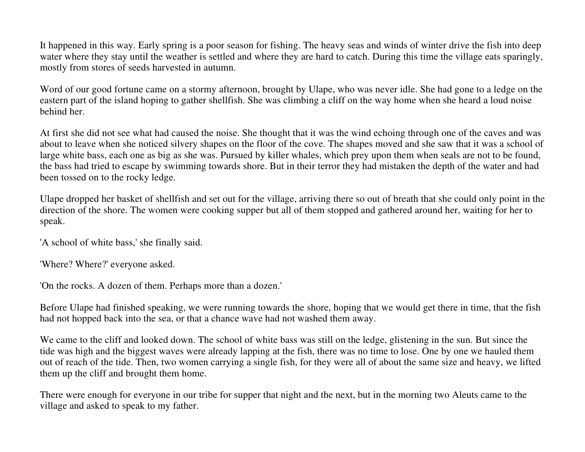It happened in this way. Early spring is a poor season for fishing. The heavy seas and winds of winter drive the fish into deep water where they stay until the weather is settled and where they are hard to catch. During this time the village eats sparingly, mostly from stores of seeds harvested in autumn.

Word of our good fortune came on a stormy afternoon, brought by Ulape, who was never idle. She had gone to a ledge on the eastern part of the island hoping to gather shellfish. She was climbing a cliff on the way home when she heard a loud noise behind her.

At first she did not see what had caused the noise. She thought that it was the wind echoing through one of the caves and was about to leave when she noticed silvery shapes on the floor of the cove. The shapes moved and she saw that it was a school of large white bass, each one as big as she was. Pursued by killer whales, which prey upon them when seals are not to be found, the bass had tried to escape by swimming towards shore. But in their terror they had mistaken the depth of the water and had been tossed on to the rocky ledge.

Ulape dropped her basket of shellfish and set out for the village, arriving there so out of breath that she could only point in the direction of the shore. The women were cooking supper but all of them stopped and gathered around her, waiting for her to speak.

'A school of white bass,' she finally said.

'Where? Where?' everyone asked.

'On the rocks. A dozen of them. Perhaps more than a dozen.'

Before Ulape had finished speaking, we were running towards the shore, hoping that we would get there in time, that the fish had not hopped back into the sea, or that a chance wave had not washed them away.

We came to the cliff and looked down. The school of white bass was still on the ledge, glistening in the sun. But since the tide was high and the biggest waves were already lapping at the fish, there was no time to lose. One by one we hauled them out of reach of the tide. Then, two women carrying a single fish, for they were all of about the same size and heavy, we lifted them up the cliff and brought them home.

There were enough for everyone in our tribe for supper that night and the next, but in the morning two Aleuts came to the village and asked to speak to my father.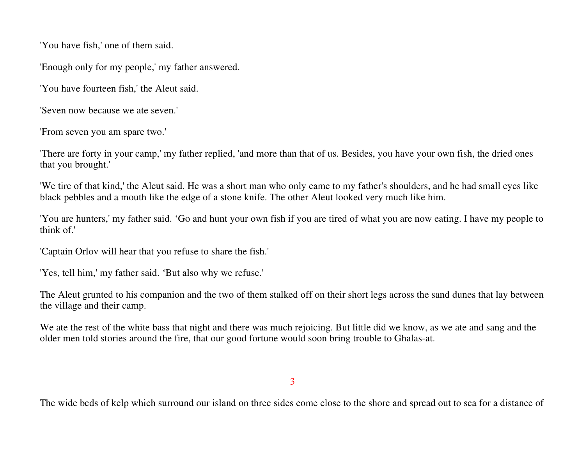'You have fish,' one of them said.

'Enough only for my people,' my father answered.

'You have fourteen fish,' the Aleut said.

'Seven now because we ate seven.'

'From seven you am spare two.'

'There are forty in your camp,' my father replied, 'and more than that of us. Besides, you have your own fish, the dried ones that you brought.'

'We tire of that kind,' the Aleut said. He was a short man who only came to my father's shoulders, and he had small eyes like black pebbles and a mouth like the edge of a stone knife. The other Aleut looked very much like him.

'You are hunters,' my father said. 'Go and hunt your own fish if you are tired of what you are now eating. I have my people to think of.'

'Captain Orlov will hear that you refuse to share the fish.'

'Yes, tell him,' my father said. 'But also why we refuse.'

The Aleut grunted to his companion and the two of them stalked off on their short legs across the sand dunes that lay between the village and their camp.

We ate the rest of the white bass that night and there was much rejoicing. But little did we know, as we ate and sang and the older men told stories around the fire, that our good fortune would soon bring trouble to Ghalas-at.

3

The wide beds of kelp which surround our island on three sides come close to the shore and spread out to sea for a distance of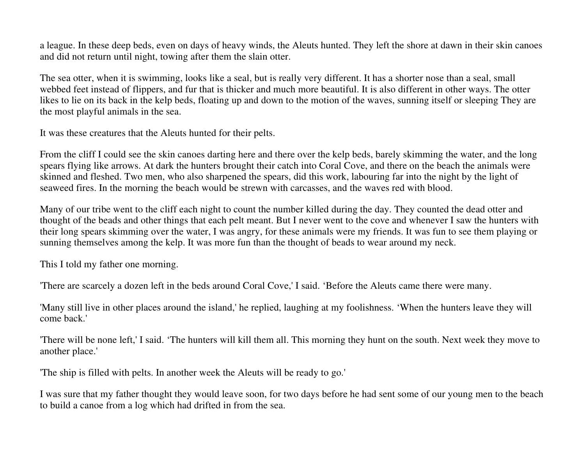a league. In these deep beds, even on days of heavy winds, the Aleuts hunted. They left the shore at dawn in their skin canoes and did not return until night, towing after them the slain otter.

The sea otter, when it is swimming, looks like a seal, but is really very different. It has a shorter nose than a seal, small webbed feet instead of flippers, and fur that is thicker and much more beautiful. It is also different in other ways. The otter likes to lie on its back in the kelp beds, floating up and down to the motion of the waves, sunning itself or sleeping They are the most playful animals in the sea.

It was these creatures that the Aleuts hunted for their pelts.

From the cliff I could see the skin canoes darting here and there over the kelp beds, barely skimming the water, and the long spears flying like arrows. At dark the hunters brought their catch into Coral Cove, and there on the beach the animals were skinned and fleshed. Two men, who also sharpened the spears, did this work, labouring far into the night by the light of seaweed fires. In the morning the beach would be strewn with carcasses, and the waves red with blood.

Many of our tribe went to the cliff each night to count the number killed during the day. They counted the dead otter and thought of the beads and other things that each pelt meant. But I never went to the cove and whenever I saw the hunters with their long spears skimming over the water, I was angry, for these animals were my friends. It was fun to see them playing or sunning themselves among the kelp. It was more fun than the thought of beads to wear around my neck.

This I told my father one morning.

'There are scarcely a dozen left in the beds around Coral Cove,' I said. 'Before the Aleuts came there were many.

'Many still live in other places around the island,' he replied, laughing at my foolishness. 'When the hunters leave they will come back.'

'There will be none left,' I said. 'The hunters will kill them all. This morning they hunt on the south. Next week they move to another place.'

'The ship is filled with pelts. In another week the Aleuts will be ready to go.'

I was sure that my father thought they would leave soon, for two days before he had sent some of our young men to the beach to build a canoe from a log which had drifted in from the sea.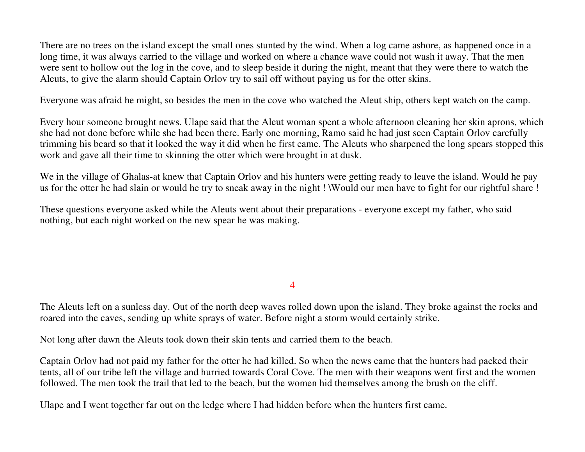There are no trees on the island except the small ones stunted by the wind. When a log came ashore, as happened once in a long time, it was always carried to the village and worked on where a chance wave could not wash it away. That the men were sent to hollow out the log in the cove, and to sleep beside it during the night, meant that they were there to watch the Aleuts, to give the alarm should Captain Orlov try to sail off without paying us for the otter skins.

Everyone was afraid he might, so besides the men in the cove who watched the Aleut ship, others kept watch on the camp.

Every hour someone brought news. Ulape said that the Aleut woman spent a whole afternoon cleaning her skin aprons, which she had not done before while she had been there. Early one morning, Ramo said he had just seen Captain Orlov carefully trimming his beard so that it looked the way it did when he first came. The Aleuts who sharpened the long spears stopped this work and gave all their time to skinning the otter which were brought in at dusk.

We in the village of Ghalas-at knew that Captain Orlov and his hunters were getting ready to leave the island. Would he pay us for the otter he had slain or would he try to sneak away in the night ! \Would our men have to fight for our rightful share !

These questions everyone asked while the Aleuts went about their preparations - everyone except my father, who said nothing, but each night worked on the new spear he was making.

4

The Aleuts left on a sunless day. Out of the north deep waves rolled down upon the island. They broke against the rocks and roared into the caves, sending up white sprays of water. Before night a storm would certainly strike.

Not long after dawn the Aleuts took down their skin tents and carried them to the beach.

Captain Orlov had not paid my father for the otter he had killed. So when the news came that the hunters had packed their tents, all of our tribe left the village and hurried towards Coral Cove. The men with their weapons went first and the women followed. The men took the trail that led to the beach, but the women hid themselves among the brush on the cliff.

Ulape and I went together far out on the ledge where I had hidden before when the hunters first came.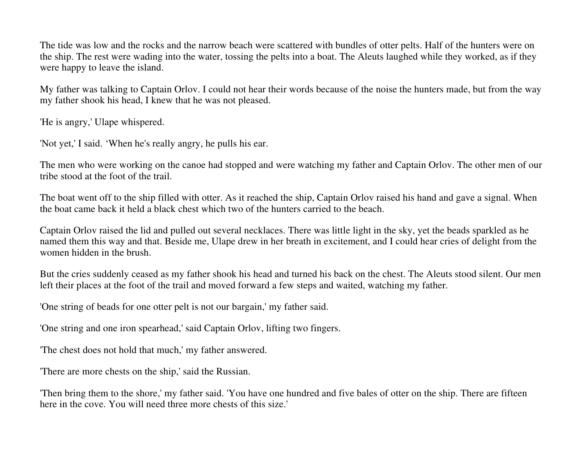The tide was low and the rocks and the narrow beach were scattered with bundles of otter pelts. Half of the hunters were on the ship. The rest were wading into the water, tossing the pelts into a boat. The Aleuts laughed while they worked, as if they were happy to leave the island.

My father was talking to Captain Orlov. I could not hear their words because of the noise the hunters made, but from the way my father shook his head, I knew that he was not pleased.

'He is angry,' Ulape whispered.

'Not yet,' I said. 'When he's really angry, he pulls his ear.

The men who were working on the canoe had stopped and were watching my father and Captain Orlov. The other men of our tribe stood at the foot of the trail.

The boat went off to the ship filled with otter. As it reached the ship, Captain Orlov raised his hand and gave a signal. When the boat came back it held a black chest which two of the hunters carried to the beach.

Captain Orlov raised the lid and pulled out several necklaces. There was little light in the sky, yet the beads sparkled as he named them this way and that. Beside me, Ulape drew in her breath in excitement, and I could hear cries of delight from the women hidden in the brush.

But the cries suddenly ceased as my father shook his head and turned his back on the chest. The Aleuts stood silent. Our men left their places at the foot of the trail and moved forward a few steps and waited, watching my father.

'One string of beads for one otter pelt is not our bargain,' my father said.

'One string and one iron spearhead,' said Captain Orlov, lifting two fingers.

'The chest does not hold that much,' my father answered.

'There are more chests on the ship,' said the Russian.

'Then bring them to the shore,' my father said. 'You have one hundred and five bales of otter on the ship. There are fifteen here in the cove. You will need three more chests of this size.'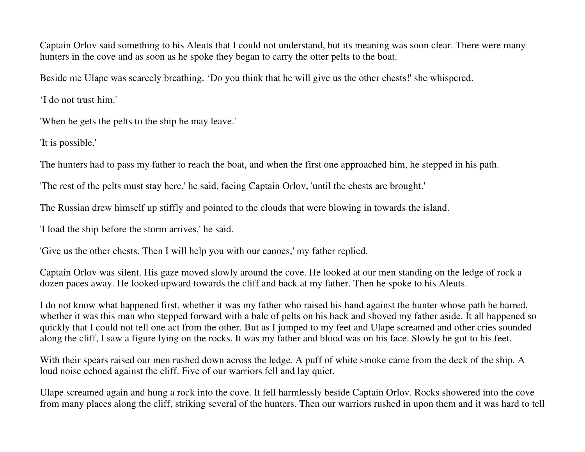Captain Orlov said something to his Aleuts that I could not understand, but its meaning was soon clear. There were many hunters in the cove and as soon as he spoke they began to carry the otter pelts to the boat.

Beside me Ulape was scarcely breathing. 'Do you think that he will give us the other chests!' she whispered.

'I do not trust him.'

'When he gets the pelts to the ship he may leave.'

'It is possible.'

The hunters had to pass my father to reach the boat, and when the first one approached him, he stepped in his path.

'The rest of the pelts must stay here,' he said, facing Captain Orlov, 'until the chests are brought.'

The Russian drew himself up stiffly and pointed to the clouds that were blowing in towards the island.

'I load the ship before the storm arrives,' he said.

'Give us the other chests. Then I will help you with our canoes,' my father replied.

Captain Orlov was silent. His gaze moved slowly around the cove. He looked at our men standing on the ledge of rock a dozen paces away. He looked upward towards the cliff and back at my father. Then he spoke to his Aleuts.

I do not know what happened first, whether it was my father who raised his hand against the hunter whose path he barred, whether it was this man who stepped forward with a bale of pelts on his back and shoved my father aside. It all happened so quickly that I could not tell one act from the other. But as I jumped to my feet and Ulape screamed and other cries sounded along the cliff, I saw a figure lying on the rocks. It was my father and blood was on his face. Slowly he got to his feet.

With their spears raised our men rushed down across the ledge. A puff of white smoke came from the deck of the ship. A loud noise echoed against the cliff. Five of our warriors fell and lay quiet.

Ulape screamed again and hung a rock into the cove. It fell harmlessly beside Captain Orlov. Rocks showered into the cove from many places along the cliff, striking several of the hunters. Then our warriors rushed in upon them and it was hard to tell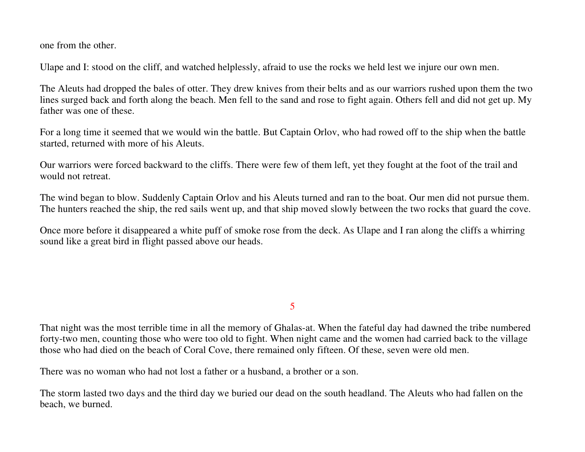one from the other.

Ulape and I: stood on the cliff, and watched helplessly, afraid to use the rocks we held lest we injure our own men.

The Aleuts had dropped the bales of otter. They drew knives from their belts and as our warriors rushed upon them the two lines surged back and forth along the beach. Men fell to the sand and rose to fight again. Others fell and did not get up. My father was one of these.

For a long time it seemed that we would win the battle. But Captain Orlov, who had rowed off to the ship when the battle started, returned with more of his Aleuts.

Our warriors were forced backward to the cliffs. There were few of them left, yet they fought at the foot of the trail and would not retreat.

The wind began to blow. Suddenly Captain Orlov and his Aleuts turned and ran to the boat. Our men did not pursue them. The hunters reached the ship, the red sails went up, and that ship moved slowly between the two rocks that guard the cove.

Once more before it disappeared a white puff of smoke rose from the deck. As Ulape and I ran along the cliffs a whirring sound like a great bird in flight passed above our heads.

5

That night was the most terrible time in all the memory of Ghalas-at. When the fateful day had dawned the tribe numbered forty-two men, counting those who were too old to fight. When night came and the women had carried back to the village those who had died on the beach of Coral Cove, there remained only fifteen. Of these, seven were old men.

There was no woman who had not lost a father or a husband, a brother or a son.

The storm lasted two days and the third day we buried our dead on the south headland. The Aleuts who had fallen on the beach, we burned.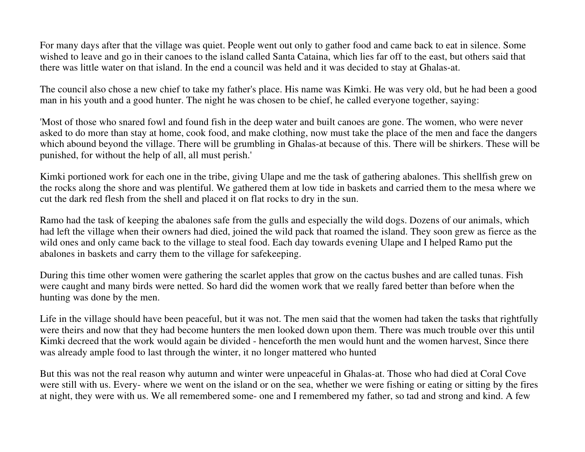For many days after that the village was quiet. People went out only to gather food and came back to eat in silence. Some wished to leave and go in their canoes to the island called Santa Cataina, which lies far off to the east, but others said that there was little water on that island. In the end a council was held and it was decided to stay at Ghalas-at.

The council also chose a new chief to take my father's place. His name was Kimki. He was very old, but he had been a good man in his youth and a good hunter. The night he was chosen to be chief, he called everyone together, saying:

'Most of those who snared fowl and found fish in the deep water and built canoes are gone. The women, who were never asked to do more than stay at home, cook food, and make clothing, now must take the place of the men and face the dangers which abound beyond the village. There will be grumbling in Ghalas-at because of this. There will be shirkers. These will be punished, for without the help of all, all must perish.'

Kimki portioned work for each one in the tribe, giving Ulape and me the task of gathering abalones. This shellfish grew on the rocks along the shore and was plentiful. We gathered them at low tide in baskets and carried them to the mesa where we cut the dark red flesh from the shell and placed it on flat rocks to dry in the sun.

Ramo had the task of keeping the abalones safe from the gulls and especially the wild dogs. Dozens of our animals, which had left the village when their owners had died, joined the wild pack that roamed the island. They soon grew as fierce as the wild ones and only came back to the village to steal food. Each day towards evening Ulape and I helped Ramo put the abalones in baskets and carry them to the village for safekeeping.

During this time other women were gathering the scarlet apples that grow on the cactus bushes and are called tunas. Fish were caught and many birds were netted. So hard did the women work that we really fared better than before when the hunting was done by the men.

Life in the village should have been peaceful, but it was not. The men said that the women had taken the tasks that rightfully were theirs and now that they had become hunters the men looked down upon them. There was much trouble over this until Kimki decreed that the work would again be divided - henceforth the men would hunt and the women harvest, Since there was already ample food to last through the winter, it no longer mattered who hunted

But this was not the real reason why autumn and winter were unpeaceful in Ghalas-at. Those who had died at Coral Cove were still with us. Every- where we went on the island or on the sea, whether we were fishing or eating or sitting by the fires at night, they were with us. We all remembered some- one and I remembered my father, so tad and strong and kind. A few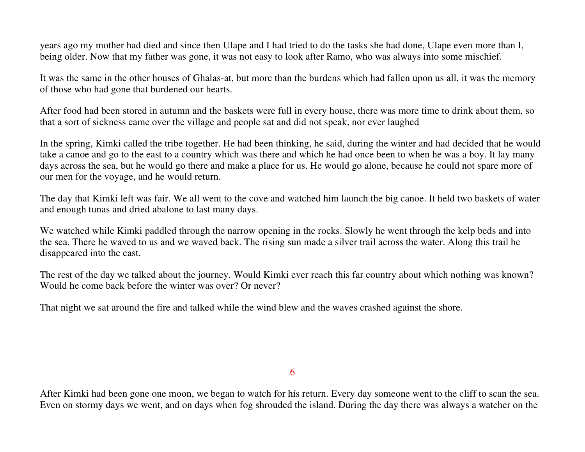years ago my mother had died and since then Ulape and I had tried to do the tasks she had done, Ulape even more than I, being older. Now that my father was gone, it was not easy to look after Ramo, who was always into some mischief.

It was the same in the other houses of Ghalas-at, but more than the burdens which had fallen upon us all, it was the memory of those who had gone that burdened our hearts.

After food had been stored in autumn and the baskets were full in every house, there was more time to drink about them, so that a sort of sickness came over the village and people sat and did not speak, nor ever laughed

In the spring, Kimki called the tribe together. He had been thinking, he said, during the winter and had decided that he would take a canoe and go to the east to a country which was there and which he had once been to when he was a boy. It lay many days across the sea, but he would go there and make a place for us. He would go alone, because he could not spare more of our men for the voyage, and he would return.

The day that Kimki left was fair. We all went to the cove and watched him launch the big canoe. It held two baskets of water and enough tunas and dried abalone to last many days.

We watched while Kimki paddled through the narrow opening in the rocks. Slowly he went through the kelp beds and into the sea. There he waved to us and we waved back. The rising sun made a silver trail across the water. Along this trail he disappeared into the east.

The rest of the day we talked about the journey. Would Kimki ever reach this far country about which nothing was known? Would he come back before the winter was over? Or never?

That night we sat around the fire and talked while the wind blew and the waves crashed against the shore.

6

After Kimki had been gone one moon, we began to watch for his return. Every day someone went to the cliff to scan the sea. Even on stormy days we went, and on days when fog shrouded the island. During the day there was always a watcher on the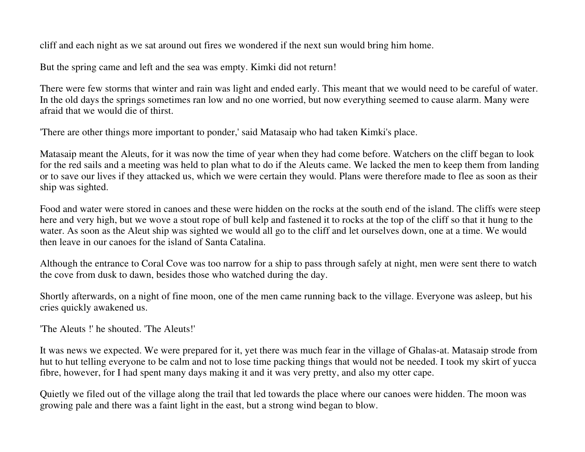cliff and each night as we sat around out fires we wondered if the next sun would bring him home.

But the spring came and left and the sea was empty. Kimki did not return!

There were few storms that winter and rain was light and ended early. This meant that we would need to be careful of water. In the old days the springs sometimes ran low and no one worried, but now everything seemed to cause alarm. Many were afraid that we would die of thirst.

'There are other things more important to ponder,' said Matasaip who had taken Kimki's place.

Matasaip meant the Aleuts, for it was now the time of year when they had come before. Watchers on the cliff began to look for the red sails and a meeting was held to plan what to do if the Aleuts came. We lacked the men to keep them from landing or to save our lives if they attacked us, which we were certain they would. Plans were therefore made to flee as soon as their ship was sighted.

Food and water were stored in canoes and these were hidden on the rocks at the south end of the island. The cliffs were steep here and very high, but we wove a stout rope of bull kelp and fastened it to rocks at the top of the cliff so that it hung to the water. As soon as the Aleut ship was sighted we would all go to the cliff and let ourselves down, one at a time. We would then leave in our canoes for the island of Santa Catalina.

Although the entrance to Coral Cove was too narrow for a ship to pass through safely at night, men were sent there to watch the cove from dusk to dawn, besides those who watched during the day.

Shortly afterwards, on a night of fine moon, one of the men came running back to the village. Everyone was asleep, but his cries quickly awakened us.

'The Aleuts !' he shouted. 'The Aleuts!'

It was news we expected. We were prepared for it, yet there was much fear in the village of Ghalas-at. Matasaip strode from hut to hut telling everyone to be calm and not to lose time packing things that would not be needed. I took my skirt of yucca fibre, however, for I had spent many days making it and it was very pretty, and also my otter cape.

Quietly we filed out of the village along the trail that led towards the place where our canoes were hidden. The moon was growing pale and there was a faint light in the east, but a strong wind began to blow.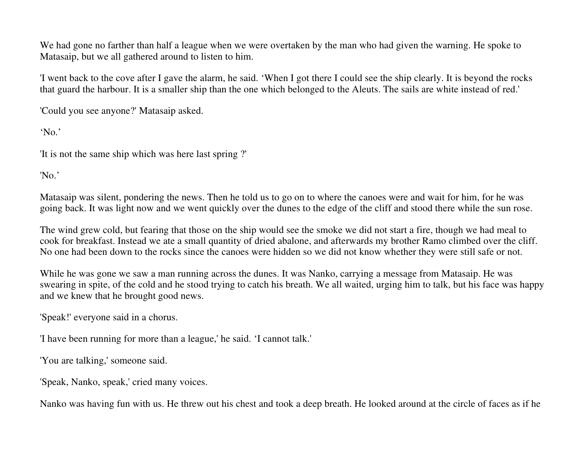We had gone no farther than half a league when we were overtaken by the man who had given the warning. He spoke to Matasaip, but we all gathered around to listen to him.

'I went back to the cove after I gave the alarm, he said. 'When I got there I could see the ship clearly. It is beyond the rocks that guard the harbour. It is a smaller ship than the one which belonged to the Aleuts. The sails are white instead of red.'

'Could you see anyone?' Matasaip asked.

'No.'

'It is not the same ship which was here last spring ?'

'No.'

Matasaip was silent, pondering the news. Then he told us to go on to where the canoes were and wait for him, for he was going back. It was light now and we went quickly over the dunes to the edge of the cliff and stood there while the sun rose.

The wind grew cold, but fearing that those on the ship would see the smoke we did not start a fire, though we had meal to cook for breakfast. Instead we ate a small quantity of dried abalone, and afterwards my brother Ramo climbed over the cliff. No one had been down to the rocks since the canoes were hidden so we did not know whether they were still safe or not.

While he was gone we saw a man running across the dunes. It was Nanko, carrying a message from Matasaip. He was swearing in spite, of the cold and he stood trying to catch his breath. We all waited, urging him to talk, but his face was happy and we knew that he brought good news.

'Speak!' everyone said in a chorus.

'I have been running for more than a league,' he said. 'I cannot talk.'

'You are talking,' someone said.

'Speak, Nanko, speak,' cried many voices.

Nanko was having fun with us. He threw out his chest and took a deep breath. He looked around at the circle of faces as if he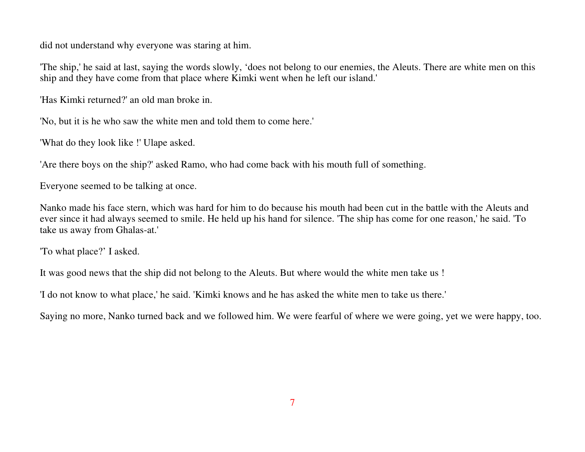did not understand why everyone was staring at him.

'The ship,' he said at last, saying the words slowly, 'does not belong to our enemies, the Aleuts. There are white men on this ship and they have come from that place where Kimki went when he left our island.'

'Has Kimki returned?' an old man broke in.

'No, but it is he who saw the white men and told them to come here.'

'What do they look like !' Ulape asked.

'Are there boys on the ship?' asked Ramo, who had come back with his mouth full of something.

Everyone seemed to be talking at once.

Nanko made his face stern, which was hard for him to do because his mouth had been cut in the battle with the Aleuts and ever since it had always seemed to smile. He held up his hand for silence. 'The ship has come for one reason,' he said. 'To take us away from Ghalas-at.'

'To what place?' I asked.

It was good news that the ship did not belong to the Aleuts. But where would the white men take us !

'I do not know to what place,' he said. 'Kimki knows and he has asked the white men to take us there.'

Saying no more, Nanko turned back and we followed him. We were fearful of where we were going, yet we were happy, too.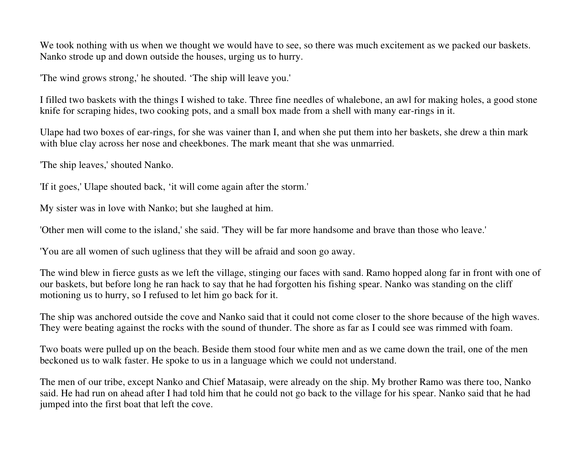We took nothing with us when we thought we would have to see, so there was much excitement as we packed our baskets. Nanko strode up and down outside the houses, urging us to hurry.

'The wind grows strong,' he shouted. 'The ship will leave you.'

I filled two baskets with the things I wished to take. Three fine needles of whalebone, an awl for making holes, a good stone knife for scraping hides, two cooking pots, and a small box made from a shell with many ear-rings in it.

Ulape had two boxes of ear-rings, for she was vainer than I, and when she put them into her baskets, she drew a thin mark with blue clay across her nose and cheekbones. The mark meant that she was unmarried.

'The ship leaves,' shouted Nanko.

'If it goes,' Ulape shouted back, 'it will come again after the storm.'

My sister was in love with Nanko; but she laughed at him.

'Other men will come to the island,' she said. 'They will be far more handsome and brave than those who leave.'

'You are all women of such ugliness that they will be afraid and soon go away.

The wind blew in fierce gusts as we left the village, stinging our faces with sand. Ramo hopped along far in front with one of our baskets, but before long he ran hack to say that he had forgotten his fishing spear. Nanko was standing on the cliff motioning us to hurry, so I refused to let him go back for it.

The ship was anchored outside the cove and Nanko said that it could not come closer to the shore because of the high waves. They were beating against the rocks with the sound of thunder. The shore as far as I could see was rimmed with foam.

Two boats were pulled up on the beach. Beside them stood four white men and as we came down the trail, one of the men beckoned us to walk faster. He spoke to us in a language which we could not understand.

The men of our tribe, except Nanko and Chief Matasaip, were already on the ship. My brother Ramo was there too, Nanko said. He had run on ahead after I had told him that he could not go back to the village for his spear. Nanko said that he had jumped into the first boat that left the cove.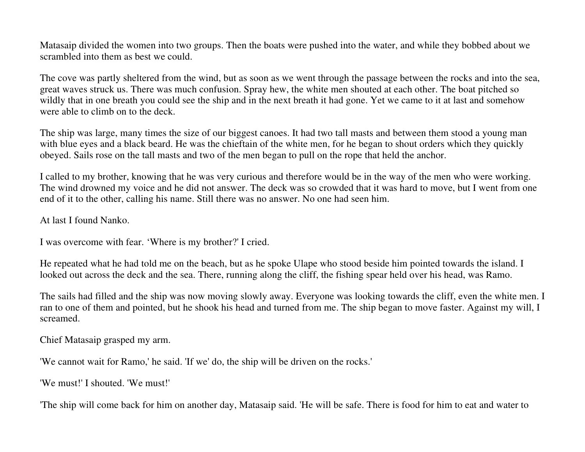Matasaip divided the women into two groups. Then the boats were pushed into the water, and while they bobbed about we scrambled into them as best we could.

The cove was partly sheltered from the wind, but as soon as we went through the passage between the rocks and into the sea, great waves struck us. There was much confusion. Spray hew, the white men shouted at each other. The boat pitched so wildly that in one breath you could see the ship and in the next breath it had gone. Yet we came to it at last and somehow were able to climb on to the deck.

The ship was large, many times the size of our biggest canoes. It had two tall masts and between them stood a young man with blue eyes and a black beard. He was the chieftain of the white men, for he began to shout orders which they quickly obeyed. Sails rose on the tall masts and two of the men began to pull on the rope that held the anchor.

I called to my brother, knowing that he was very curious and therefore would be in the way of the men who were working. The wind drowned my voice and he did not answer. The deck was so crowded that it was hard to move, but I went from one end of it to the other, calling his name. Still there was no answer. No one had seen him.

At last I found Nanko.

I was overcome with fear. 'Where is my brother?' I cried.

He repeated what he had told me on the beach, but as he spoke Ulape who stood beside him pointed towards the island. I looked out across the deck and the sea. There, running along the cliff, the fishing spear held over his head, was Ramo.

The sails had filled and the ship was now moving slowly away. Everyone was looking towards the cliff, even the white men. I ran to one of them and pointed, but he shook his head and turned from me. The ship began to move faster. Against my will, I screamed.

Chief Matasaip grasped my arm.

'We cannot wait for Ramo,' he said. 'If we' do, the ship will be driven on the rocks.'

'We must!' I shouted. 'We must!'

'The ship will come back for him on another day, Matasaip said. 'He will be safe. There is food for him to eat and water to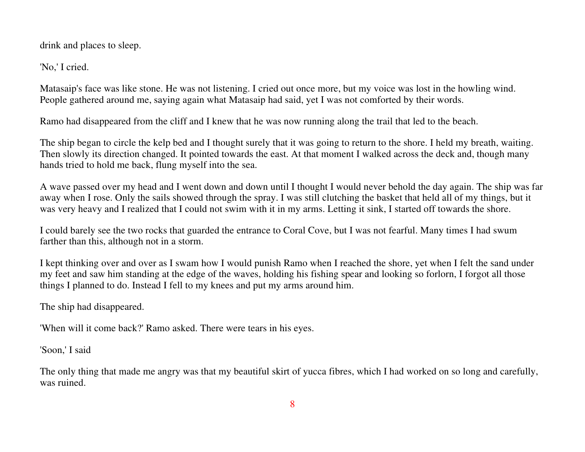drink and places to sleep.

'No,' I cried.

Matasaip's face was like stone. He was not listening. I cried out once more, but my voice was lost in the howling wind. People gathered around me, saying again what Matasaip had said, yet I was not comforted by their words.

Ramo had disappeared from the cliff and I knew that he was now running along the trail that led to the beach.

The ship began to circle the kelp bed and I thought surely that it was going to return to the shore. I held my breath, waiting. Then slowly its direction changed. It pointed towards the east. At that moment I walked across the deck and, though many hands tried to hold me back, flung myself into the sea.

A wave passed over my head and I went down and down until I thought I would never behold the day again. The ship was far away when I rose. Only the sails showed through the spray. I was still clutching the basket that held all of my things, but it was very heavy and I realized that I could not swim with it in my arms. Letting it sink, I started off towards the shore.

I could barely see the two rocks that guarded the entrance to Coral Cove, but I was not fearful. Many times I had swum farther than this, although not in a storm.

I kept thinking over and over as I swam how I would punish Ramo when I reached the shore, yet when I felt the sand under my feet and saw him standing at the edge of the waves, holding his fishing spear and looking so forlorn, I forgot all those things I planned to do. Instead I fell to my knees and put my arms around him.

The ship had disappeared.

'When will it come back?' Ramo asked. There were tears in his eyes.

'Soon,' I said

The only thing that made me angry was that my beautiful skirt of yucca fibres, which I had worked on so long and carefully, was ruined.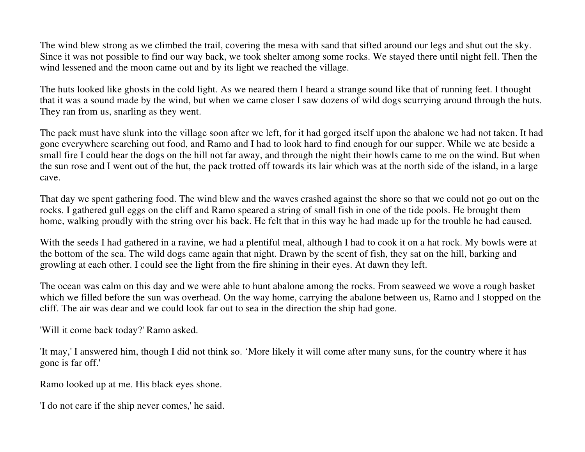The wind blew strong as we climbed the trail, covering the mesa with sand that sifted around our legs and shut out the sky. Since it was not possible to find our way back, we took shelter among some rocks. We stayed there until night fell. Then the wind lessened and the moon came out and by its light we reached the village.

The huts looked like ghosts in the cold light. As we neared them I heard a strange sound like that of running feet. I thought that it was a sound made by the wind, but when we came closer I saw dozens of wild dogs scurrying around through the huts. They ran from us, snarling as they went.

The pack must have slunk into the village soon after we left, for it had gorged itself upon the abalone we had not taken. It had gone everywhere searching out food, and Ramo and I had to look hard to find enough for our supper. While we ate beside a small fire I could hear the dogs on the hill not far away, and through the night their howls came to me on the wind. But when the sun rose and I went out of the hut, the pack trotted off towards its lair which was at the north side of the island, in a large cave.

That day we spent gathering food. The wind blew and the waves crashed against the shore so that we could not go out on the rocks. I gathered gull eggs on the cliff and Ramo speared a string of small fish in one of the tide pools. He brought them home, walking proudly with the string over his back. He felt that in this way he had made up for the trouble he had caused.

With the seeds I had gathered in a ravine, we had a plentiful meal, although I had to cook it on a hat rock. My bowls were at the bottom of the sea. The wild dogs came again that night. Drawn by the scent of fish, they sat on the hill, barking and growling at each other. I could see the light from the fire shining in their eyes. At dawn they left.

The ocean was calm on this day and we were able to hunt abalone among the rocks. From seaweed we wove a rough basket which we filled before the sun was overhead. On the way home, carrying the abalone between us, Ramo and I stopped on the cliff. The air was dear and we could look far out to sea in the direction the ship had gone.

'Will it come back today?' Ramo asked.

'It may,' I answered him, though I did not think so. 'More likely it will come after many suns, for the country where it has gone is far off.'

Ramo looked up at me. His black eyes shone.

'I do not care if the ship never comes,' he said.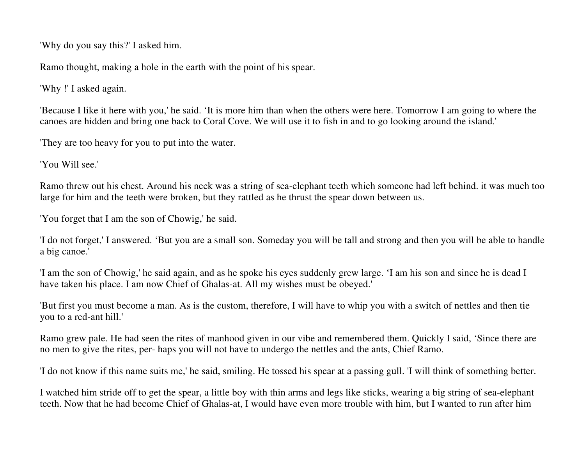'Why do you say this?' I asked him.

Ramo thought, making a hole in the earth with the point of his spear.

'Why !' I asked again.

'Because I like it here with you,' he said. 'It is more him than when the others were here. Tomorrow I am going to where the canoes are hidden and bring one back to Coral Cove. We will use it to fish in and to go looking around the island.'

'They are too heavy for you to put into the water.

'You Will see.'

Ramo threw out his chest. Around his neck was a string of sea-elephant teeth which someone had left behind. it was much too large for him and the teeth were broken, but they rattled as he thrust the spear down between us.

'You forget that I am the son of Chowig,' he said.

'I do not forget,' I answered. 'But you are a small son. Someday you will be tall and strong and then you will be able to handle a big canoe.'

'I am the son of Chowig,' he said again, and as he spoke his eyes suddenly grew large. 'I am his son and since he is dead I have taken his place. I am now Chief of Ghalas-at. All my wishes must be obeyed.'

'But first you must become a man. As is the custom, therefore, I will have to whip you with a switch of nettles and then tie you to a red-ant hill.'

Ramo grew pale. He had seen the rites of manhood given in our vibe and remembered them. Quickly I said, 'Since there are no men to give the rites, per- haps you will not have to undergo the nettles and the ants, Chief Ramo.

'I do not know if this name suits me,' he said, smiling. He tossed his spear at a passing gull. 'I will think of something better.

I watched him stride off to get the spear, a little boy with thin arms and legs like sticks, wearing a big string of sea-elephant teeth. Now that he had become Chief of Ghalas-at, I would have even more trouble with him, but I wanted to run after him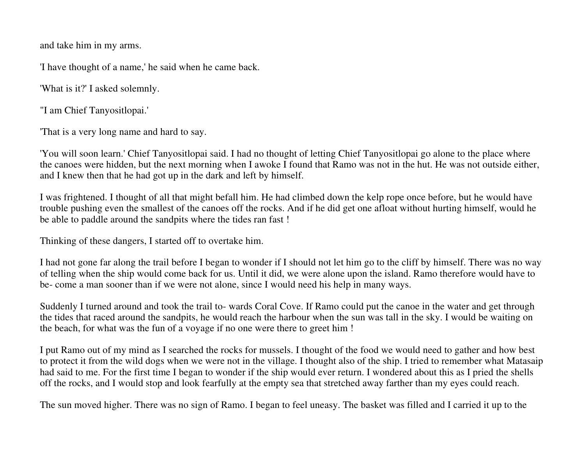and take him in my arms.

'I have thought of a name,' he said when he came back.

'What is it?' I asked solemnly.

"I am Chief Tanyositlopai.'

'That is a very long name and hard to say.

'You will soon learn.' Chief Tanyositlopai said. I had no thought of letting Chief Tanyositlopai go alone to the place where the canoes were hidden, but the next morning when I awoke I found that Ramo was not in the hut. He was not outside either, and I knew then that he had got up in the dark and left by himself.

I was frightened. I thought of all that might befall him. He had climbed down the kelp rope once before, but he would have trouble pushing even the smallest of the canoes off the rocks. And if he did get one afloat without hurting himself, would he be able to paddle around the sandpits where the tides ran fast !

Thinking of these dangers, I started off to overtake him.

I had not gone far along the trail before I began to wonder if I should not let him go to the cliff by himself. There was no way of telling when the ship would come back for us. Until it did, we were alone upon the island. Ramo therefore would have to be- come a man sooner than if we were not alone, since I would need his help in many ways.

Suddenly I turned around and took the trail to- wards Coral Cove. If Ramo could put the canoe in the water and get through the tides that raced around the sandpits, he would reach the harbour when the sun was tall in the sky. I would be waiting on the beach, for what was the fun of a voyage if no one were there to greet him !

I put Ramo out of my mind as I searched the rocks for mussels. I thought of the food we would need to gather and how best to protect it from the wild dogs when we were not in the village. I thought also of the ship. I tried to remember what Matasaip had said to me. For the first time I began to wonder if the ship would ever return. I wondered about this as I pried the shells off the rocks, and I would stop and look fearfully at the empty sea that stretched away farther than my eyes could reach.

The sun moved higher. There was no sign of Ramo. I began to feel uneasy. The basket was filled and I carried it up to the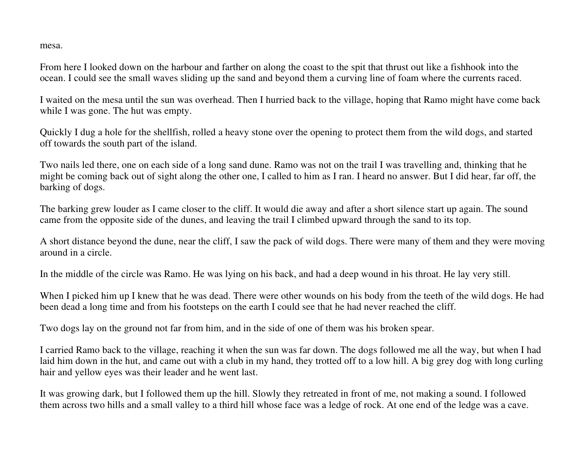mesa.

From here I looked down on the harbour and farther on along the coast to the spit that thrust out like a fishhook into the ocean. I could see the small waves sliding up the sand and beyond them a curving line of foam where the currents raced.

I waited on the mesa until the sun was overhead. Then I hurried back to the village, hoping that Ramo might have come back while I was gone. The hut was empty.

Quickly I dug a hole for the shellfish, rolled a heavy stone over the opening to protect them from the wild dogs, and started off towards the south part of the island.

Two nails led there, one on each side of a long sand dune. Ramo was not on the trail I was travelling and, thinking that he might be coming back out of sight along the other one, I called to him as I ran. I heard no answer. But I did hear, far off, the barking of dogs.

The barking grew louder as I came closer to the cliff. It would die away and after a short silence start up again. The sound came from the opposite side of the dunes, and leaving the trail I climbed upward through the sand to its top.

A short distance beyond the dune, near the cliff, I saw the pack of wild dogs. There were many of them and they were moving around in a circle.

In the middle of the circle was Ramo. He was lying on his back, and had a deep wound in his throat. He lay very still.

When I picked him up I knew that he was dead. There were other wounds on his body from the teeth of the wild dogs. He had been dead a long time and from his footsteps on the earth I could see that he had never reached the cliff.

Two dogs lay on the ground not far from him, and in the side of one of them was his broken spear.

I carried Ramo back to the village, reaching it when the sun was far down. The dogs followed me all the way, but when I had laid him down in the hut, and came out with a club in my hand, they trotted off to a low hill. A big grey dog with long curling hair and yellow eyes was their leader and he went last.

It was growing dark, but I followed them up the hill. Slowly they retreated in front of me, not making a sound. I followed them across two hills and a small valley to a third hill whose face was a ledge of rock. At one end of the ledge was a cave.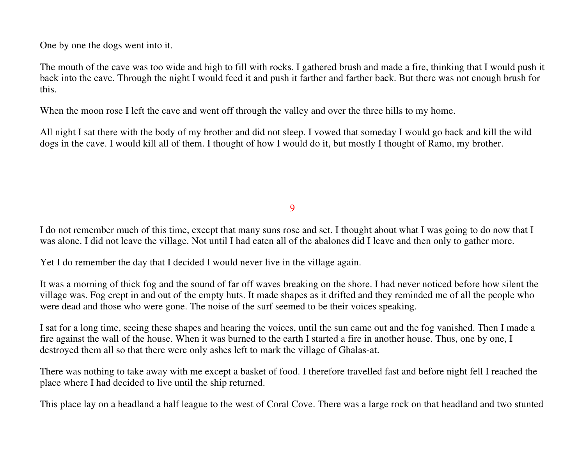One by one the dogs went into it.

The mouth of the cave was too wide and high to fill with rocks. I gathered brush and made a fire, thinking that I would push it back into the cave. Through the night I would feed it and push it farther and farther back. But there was not enough brush for this.

When the moon rose I left the cave and went off through the valley and over the three hills to my home.

All night I sat there with the body of my brother and did not sleep. I vowed that someday I would go back and kill the wild dogs in the cave. I would kill all of them. I thought of how I would do it, but mostly I thought of Ramo, my brother.

9

I do not remember much of this time, except that many suns rose and set. I thought about what I was going to do now that I was alone. I did not leave the village. Not until I had eaten all of the abalones did I leave and then only to gather more.

Yet I do remember the day that I decided I would never live in the village again.

It was a morning of thick fog and the sound of far off waves breaking on the shore. I had never noticed before how silent the village was. Fog crept in and out of the empty huts. It made shapes as it drifted and they reminded me of all the people who were dead and those who were gone. The noise of the surf seemed to be their voices speaking.

I sat for a long time, seeing these shapes and hearing the voices, until the sun came out and the fog vanished. Then I made a fire against the wall of the house. When it was burned to the earth I started a fire in another house. Thus, one by one, I destroyed them all so that there were only ashes left to mark the village of Ghalas-at.

There was nothing to take away with me except a basket of food. I therefore travelled fast and before night fell I reached the place where I had decided to live until the ship returned.

This place lay on a headland a half league to the west of Coral Cove. There was a large rock on that headland and two stunted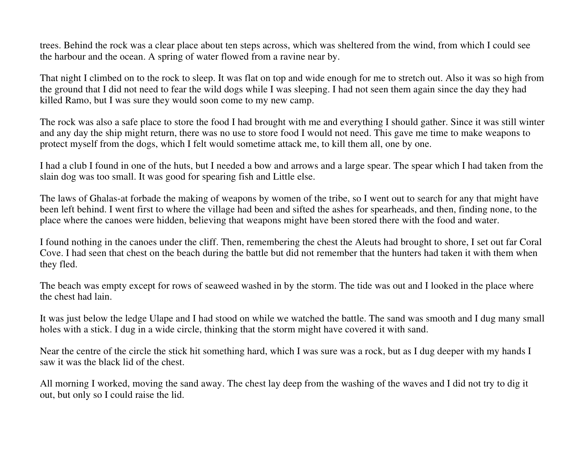trees. Behind the rock was a clear place about ten steps across, which was sheltered from the wind, from which I could see the harbour and the ocean. A spring of water flowed from a ravine near by.

That night I climbed on to the rock to sleep. It was flat on top and wide enough for me to stretch out. Also it was so high from the ground that I did not need to fear the wild dogs while I was sleeping. I had not seen them again since the day they had killed Ramo, but I was sure they would soon come to my new camp.

The rock was also a safe place to store the food I had brought with me and everything I should gather. Since it was still winter and any day the ship might return, there was no use to store food I would not need. This gave me time to make weapons to protect myself from the dogs, which I felt would sometime attack me, to kill them all, one by one.

I had a club I found in one of the huts, but I needed a bow and arrows and a large spear. The spear which I had taken from the slain dog was too small. It was good for spearing fish and Little else.

The laws of Ghalas-at forbade the making of weapons by women of the tribe, so I went out to search for any that might have been left behind. I went first to where the village had been and sifted the ashes for spearheads, and then, finding none, to the place where the canoes were hidden, believing that weapons might have been stored there with the food and water.

I found nothing in the canoes under the cliff. Then, remembering the chest the Aleuts had brought to shore, I set out far Coral Cove. I had seen that chest on the beach during the battle but did not remember that the hunters had taken it with them when they fled.

The beach was empty except for rows of seaweed washed in by the storm. The tide was out and I looked in the place where the chest had lain.

It was just below the ledge Ulape and I had stood on while we watched the battle. The sand was smooth and I dug many small holes with a stick. I dug in a wide circle, thinking that the storm might have covered it with sand.

Near the centre of the circle the stick hit something hard, which I was sure was a rock, but as I dug deeper with my hands I saw it was the black lid of the chest.

All morning I worked, moving the sand away. The chest lay deep from the washing of the waves and I did not try to dig it out, but only so I could raise the lid.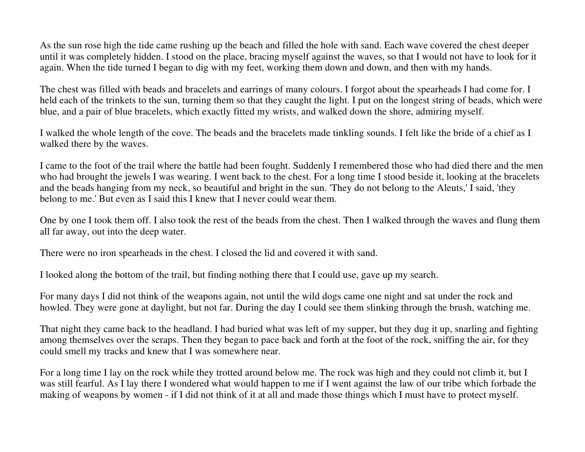As the sun rose high the tide came rushing up the beach and filled the hole with sand. Each wave covered the chest deeper until it was completely hidden. I stood on the place, bracing myself against the waves, so that I would not have to look for it again. When the tide turned I began to dig with my feet, working them down and down, and then with my hands.

The chest was filled with beads and bracelets and earrings of many colours. I forgot about the spearheads I had come for. I held each of the trinkets to the sun, turning them so that they caught the light. I put on the longest string of beads, which were blue, and a pair of blue bracelets, which exactly fitted my wrists, and walked down the shore, admiring myself.

I walked the whole length of the cove. The beads and the bracelets made tinkling sounds. I felt like the bride of a chief as I walked there by the waves.

I came to the foot of the trail where the battle had been fought. Suddenly I remembered those who had died there and the men who had brought the jewels I was wearing. I went back to the chest. For a long time I stood beside it, looking at the bracelets and the beads hanging from my neck, so beautiful and bright in the sun. 'They do not belong to the Aleuts,' I said, 'they belong to me.' But even as I said this I knew that I never could wear them.

One by one I took them off. I also took the rest of the beads from the chest. Then I walked through the waves and flung them all far away, out into the deep water.

There were no iron spearheads in the chest. I closed the lid and covered it with sand.

I looked along the bottom of the trail, but finding nothing there that I could use, gave up my search.

For many days I did not think of the weapons again, not until the wild dogs came one night and sat under the rock and howled. They were gone at daylight, but not far. During the day I could see them slinking through the brush, watching me.

That night they came back to the headland. I had buried what was left of my supper, but they dug it up, snarling and fighting among themselves over the scraps. Then they began to pace back and forth at the foot of the rock, sniffing the air, for they could smell my tracks and knew that I was somewhere near.

For a long time I lay on the rock while they trotted around below me. The rock was high and they could not climb it, but I was still fearful. As I lay there I wondered what would happen to me if I went against the law of our tribe which forbade the making of weapons by women - if I did not think of it at all and made those things which I must have to protect myself.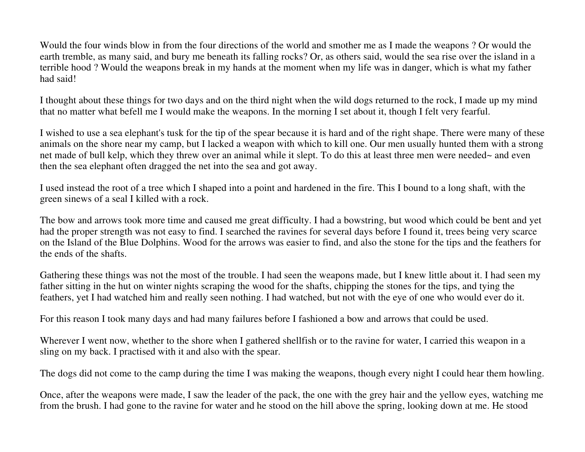Would the four winds blow in from the four directions of the world and smother me as I made the weapons ? Or would the earth tremble, as many said, and bury me beneath its falling rocks? Or, as others said, would the sea rise over the island in a terrible hood ? Would the weapons break in my hands at the moment when my life was in danger, which is what my father had said!

I thought about these things for two days and on the third night when the wild dogs returned to the rock, I made up my mind that no matter what befell me I would make the weapons. In the morning I set about it, though I felt very fearful.

I wished to use a sea elephant's tusk for the tip of the spear because it is hard and of the right shape. There were many of these animals on the shore near my camp, but I lacked a weapon with which to kill one. Our men usually hunted them with a strong net made of bull kelp, which they threw over an animal while it slept. To do this at least three men were needed~ and even then the sea elephant often dragged the net into the sea and got away.

I used instead the root of a tree which I shaped into a point and hardened in the fire. This I bound to a long shaft, with the green sinews of a seal I killed with a rock.

The bow and arrows took more time and caused me great difficulty. I had a bowstring, but wood which could be bent and yet had the proper strength was not easy to find. I searched the ravines for several days before I found it, trees being very scarce on the Island of the Blue Dolphins. Wood for the arrows was easier to find, and also the stone for the tips and the feathers for the ends of the shafts.

Gathering these things was not the most of the trouble. I had seen the weapons made, but I knew little about it. I had seen my father sitting in the hut on winter nights scraping the wood for the shafts, chipping the stones for the tips, and tying the feathers, yet I had watched him and really seen nothing. I had watched, but not with the eye of one who would ever do it.

For this reason I took many days and had many failures before I fashioned a bow and arrows that could be used.

Wherever I went now, whether to the shore when I gathered shellfish or to the ravine for water, I carried this weapon in a sling on my back. I practised with it and also with the spear.

The dogs did not come to the camp during the time I was making the weapons, though every night I could hear them howling.

Once, after the weapons were made, I saw the leader of the pack, the one with the grey hair and the yellow eyes, watching me from the brush. I had gone to the ravine for water and he stood on the hill above the spring, looking down at me. He stood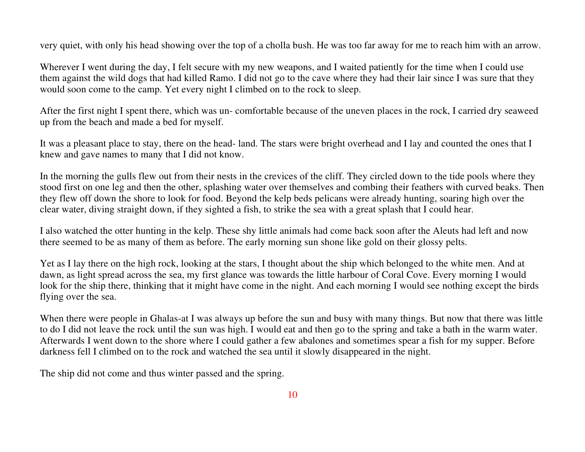very quiet, with only his head showing over the top of a cholla bush. He was too far away for me to reach him with an arrow.

Wherever I went during the day, I felt secure with my new weapons, and I waited patiently for the time when I could use them against the wild dogs that had killed Ramo. I did not go to the cave where they had their lair since I was sure that they would soon come to the camp. Yet every night I climbed on to the rock to sleep.

After the first night I spent there, which was un- comfortable because of the uneven places in the rock, I carried dry seaweed up from the beach and made a bed for myself.

It was a pleasant place to stay, there on the head- land. The stars were bright overhead and I lay and counted the ones that I knew and gave names to many that I did not know.

In the morning the gulls flew out from their nests in the crevices of the cliff. They circled down to the tide pools where they stood first on one leg and then the other, splashing water over themselves and combing their feathers with curved beaks. Then they flew off down the shore to look for food. Beyond the kelp beds pelicans were already hunting, soaring high over the clear water, diving straight down, if they sighted a fish, to strike the sea with a great splash that I could hear.

I also watched the otter hunting in the kelp. These shy little animals had come back soon after the Aleuts had left and now there seemed to be as many of them as before. The early morning sun shone like gold on their glossy pelts.

Yet as I lay there on the high rock, looking at the stars, I thought about the ship which belonged to the white men. And at dawn, as light spread across the sea, my first glance was towards the little harbour of Coral Cove. Every morning I would look for the ship there, thinking that it might have come in the night. And each morning I would see nothing except the birds flying over the sea.

When there were people in Ghalas-at I was always up before the sun and busy with many things. But now that there was little to do I did not leave the rock until the sun was high. I would eat and then go to the spring and take a bath in the warm water. Afterwards I went down to the shore where I could gather a few abalones and sometimes spear a fish for my supper. Before darkness fell I climbed on to the rock and watched the sea until it slowly disappeared in the night.

The ship did not come and thus winter passed and the spring.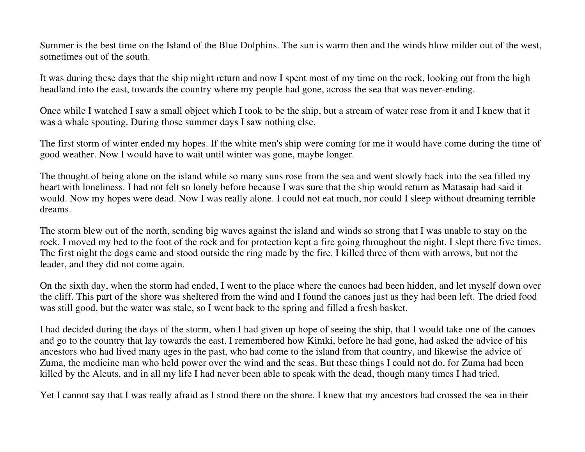Summer is the best time on the Island of the Blue Dolphins. The sun is warm then and the winds blow milder out of the west, sometimes out of the south.

It was during these days that the ship might return and now I spent most of my time on the rock, looking out from the high headland into the east, towards the country where my people had gone, across the sea that was never-ending.

Once while I watched I saw a small object which I took to be the ship, but a stream of water rose from it and I knew that it was a whale spouting. During those summer days I saw nothing else.

The first storm of winter ended my hopes. If the white men's ship were coming for me it would have come during the time of good weather. Now I would have to wait until winter was gone, maybe longer.

The thought of being alone on the island while so many suns rose from the sea and went slowly back into the sea filled my heart with loneliness. I had not felt so lonely before because I was sure that the ship would return as Matasaip had said it would. Now my hopes were dead. Now I was really alone. I could not eat much, nor could I sleep without dreaming terrible dreams.

The storm blew out of the north, sending big waves against the island and winds so strong that I was unable to stay on the rock. I moved my bed to the foot of the rock and for protection kept a fire going throughout the night. I slept there five times. The first night the dogs came and stood outside the ring made by the fire. I killed three of them with arrows, but not the leader, and they did not come again.

On the sixth day, when the storm had ended, I went to the place where the canoes had been hidden, and let myself down over the cliff. This part of the shore was sheltered from the wind and I found the canoes just as they had been left. The dried food was still good, but the water was stale, so I went back to the spring and filled a fresh basket.

I had decided during the days of the storm, when I had given up hope of seeing the ship, that I would take one of the canoes and go to the country that lay towards the east. I remembered how Kimki, before he had gone, had asked the advice of his ancestors who had lived many ages in the past, who had come to the island from that country, and likewise the advice of Zuma, the medicine man who held power over the wind and the seas. But these things I could not do, for Zuma had been killed by the Aleuts, and in all my life I had never been able to speak with the dead, though many times I had tried.

Yet I cannot say that I was really afraid as I stood there on the shore. I knew that my ancestors had crossed the sea in their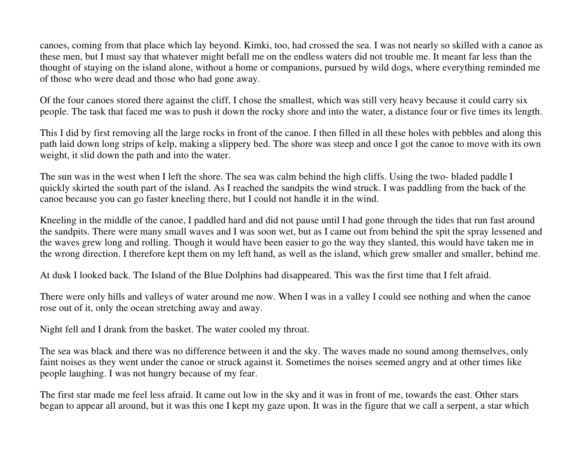canoes, coming from that place which lay beyond. Kimki, too, had crossed the sea. I was not nearly so skilled with a canoe as these men, but I must say that whatever might befall me on the endless waters did not trouble me. It meant far less than the thought of staying on the island alone, without a home or companions, pursued by wild dogs, where everything reminded me of those who were dead and those who had gone away.

Of the four canoes stored there against the cliff, I chose the smallest, which was still very heavy because it could carry six people. The task that faced me was to push it down the rocky shore and into the water, a distance four or five times its length.

This I did by first removing all the large rocks in front of the canoe. I then filled in all these holes with pebbles and along this path laid down long strips of kelp, making a slippery bed. The shore was steep and once I got the canoe to move with its own weight, it slid down the path and into the water.

The sun was in the west when I left the shore. The sea was calm behind the high cliffs. Using the two- bladed paddle I quickly skirted the south part of the island. As I reached the sandpits the wind struck. I was paddling from the back of the canoe because you can go faster kneeling there, but I could not handle it in the wind.

Kneeling in the middle of the canoe, I paddled hard and did not pause until I had gone through the tides that run fast around the sandpits. There were many small waves and I was soon wet, but as I came out from behind the spit the spray lessened and the waves grew long and rolling. Though it would have been easier to go the way they slanted, this would have taken me in the wrong direction. I therefore kept them on my left hand, as well as the island, which grew smaller and smaller, behind me.

At dusk I looked back. The Island of the Blue Dolphins had disappeared. This was the first time that I felt afraid.

There were only hills and valleys of water around me now. When I was in a valley I could see nothing and when the canoe rose out of it, only the ocean stretching away and away.

Night fell and I drank from the basket. The water cooled my throat.

The sea was black and there was no difference between it and the sky. The waves made no sound among themselves, only faint noises as they went under the canoe or struck against it. Sometimes the noises seemed angry and at other times like people laughing. I was not hungry because of my fear.

The first star made me feel less afraid. It came out low in the sky and it was in front of me, towards the east. Other stars began to appear all around, but it was this one I kept my gaze upon. It was in the figure that we call a serpent, a star which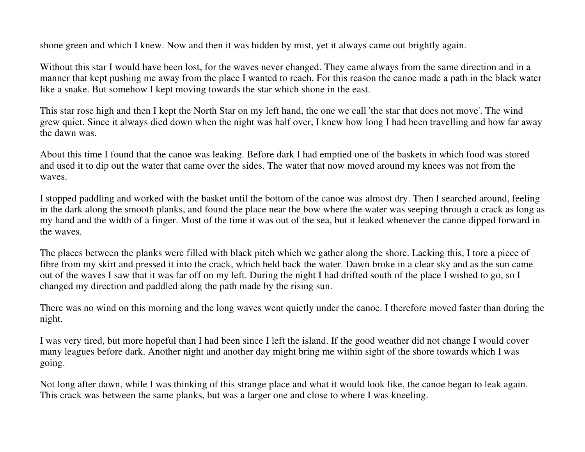shone green and which I knew. Now and then it was hidden by mist, yet it always came out brightly again.

Without this star I would have been lost, for the waves never changed. They came always from the same direction and in a manner that kept pushing me away from the place I wanted to reach. For this reason the canoe made a path in the black water like a snake. But somehow I kept moving towards the star which shone in the east.

This star rose high and then I kept the North Star on my left hand, the one we call 'the star that does not move'. The wind grew quiet. Since it always died down when the night was half over, I knew how long I had been travelling and how far away the dawn was.

About this time I found that the canoe was leaking. Before dark I had emptied one of the baskets in which food was stored and used it to dip out the water that came over the sides. The water that now moved around my knees was not from the waves.

I stopped paddling and worked with the basket until the bottom of the canoe was almost dry. Then I searched around, feeling in the dark along the smooth planks, and found the place near the bow where the water was seeping through a crack as long as my hand and the width of a finger. Most of the time it was out of the sea, but it leaked whenever the canoe dipped forward in the waves.

The places between the planks were filled with black pitch which we gather along the shore. Lacking this, I tore a piece of fibre from my skirt and pressed it into the crack, which held back the water. Dawn broke in a clear sky and as the sun came out of the waves I saw that it was far off on my left. During the night I had drifted south of the place I wished to go, so I changed my direction and paddled along the path made by the rising sun.

There was no wind on this morning and the long waves went quietly under the canoe. I therefore moved faster than during the night.

I was very tired, but more hopeful than I had been since I left the island. If the good weather did not change I would cover many leagues before dark. Another night and another day might bring me within sight of the shore towards which I was going.

Not long after dawn, while I was thinking of this strange place and what it would look like, the canoe began to leak again. This crack was between the same planks, but was a larger one and close to where I was kneeling.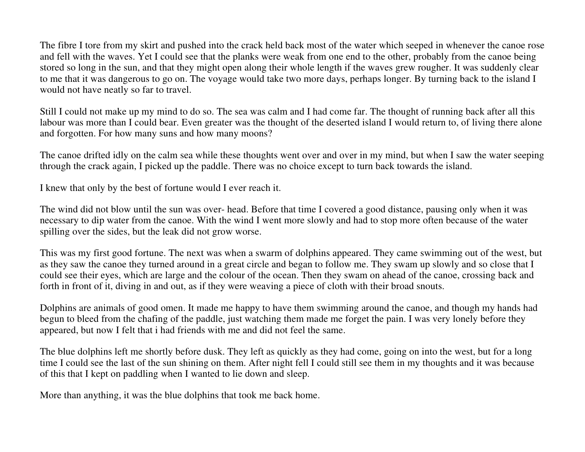The fibre I tore from my skirt and pushed into the crack held back most of the water which seeped in whenever the canoe rose and fell with the waves. Yet I could see that the planks were weak from one end to the other, probably from the canoe being stored so long in the sun, and that they might open along their whole length if the waves grew rougher. It was suddenly clear to me that it was dangerous to go on. The voyage would take two more days, perhaps longer. By turning back to the island I would not have neatly so far to travel.

Still I could not make up my mind to do so. The sea was calm and I had come far. The thought of running back after all this labour was more than I could bear. Even greater was the thought of the deserted island I would return to, of living there alone and forgotten. For how many suns and how many moons?

The canoe drifted idly on the calm sea while these thoughts went over and over in my mind, but when I saw the water seeping through the crack again, I picked up the paddle. There was no choice except to turn back towards the island.

I knew that only by the best of fortune would I ever reach it.

The wind did not blow until the sun was over- head. Before that time I covered a good distance, pausing only when it was necessary to dip water from the canoe. With the wind I went more slowly and had to stop more often because of the water spilling over the sides, but the leak did not grow worse.

This was my first good fortune. The next was when a swarm of dolphins appeared. They came swimming out of the west, but as they saw the canoe they turned around in a great circle and began to follow me. They swam up slowly and so close that I could see their eyes, which are large and the colour of the ocean. Then they swam on ahead of the canoe, crossing back and forth in front of it, diving in and out, as if they were weaving a piece of cloth with their broad snouts.

Dolphins are animals of good omen. It made me happy to have them swimming around the canoe, and though my hands had begun to bleed from the chafing of the paddle, just watching them made me forget the pain. I was very lonely before they appeared, but now I felt that i had friends with me and did not feel the same.

The blue dolphins left me shortly before dusk. They left as quickly as they had come, going on into the west, but for a long time I could see the last of the sun shining on them. After night fell I could still see them in my thoughts and it was because of this that I kept on paddling when I wanted to lie down and sleep.

More than anything, it was the blue dolphins that took me back home.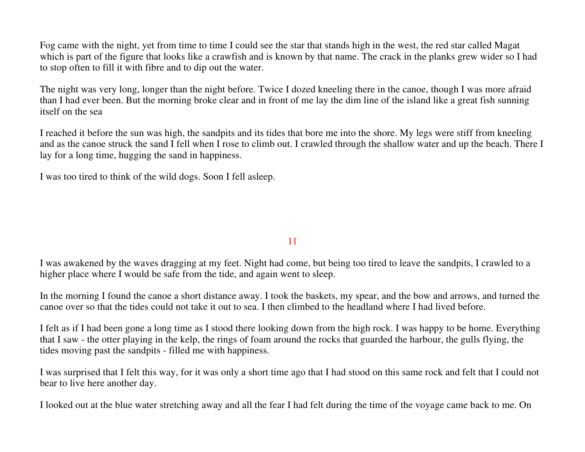Fog came with the night, yet from time to time I could see the star that stands high in the west, the red star called Magat which is part of the figure that looks like a crawfish and is known by that name. The crack in the planks grew wider so I had to stop often to fill it with fibre and to dip out the water.

The night was very long, longer than the night before. Twice I dozed kneeling there in the canoe, though I was more afraid than I had ever been. But the morning broke clear and in front of me lay the dim line of the island like a great fish sunning itself on the sea

I reached it before the sun was high, the sandpits and its tides that bore me into the shore. My legs were stiff from kneeling and as the canoe struck the sand I fell when I rose to climb out. I crawled through the shallow water and up the beach. There I lay for a long time, hugging the sand in happiness.

I was too tired to think of the wild dogs. Soon I fell asleep.

## 11

I was awakened by the waves dragging at my feet. Night had come, but being too tired to leave the sandpits, I crawled to a higher place where I would be safe from the tide, and again went to sleep.

In the morning I found the canoe a short distance away. I took the baskets, my spear, and the bow and arrows, and turned the canoe over so that the tides could not take it out to sea. I then climbed to the headland where I had lived before.

I felt as if I had been gone a long time as I stood there looking down from the high rock. I was happy to be home. Everything that I saw - the otter playing in the kelp, the rings of foam around the rocks that guarded the harbour, the gulls flying, the tides moving past the sandpits - filled me with happiness.

I was surprised that I felt this way, for it was only a short time ago that I had stood on this same rock and felt that I could not bear to live here another day.

I looked out at the blue water stretching away and all the fear I had felt during the time of the voyage came back to me. On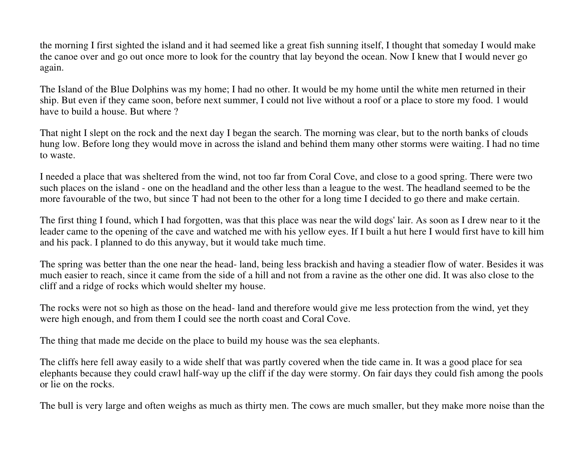the morning I first sighted the island and it had seemed like a great fish sunning itself, I thought that someday I would make the canoe over and go out once more to look for the country that lay beyond the ocean. Now I knew that I would never go again.

The Island of the Blue Dolphins was my home; I had no other. It would be my home until the white men returned in their ship. But even if they came soon, before next summer, I could not live without a roof or a place to store my food. 1 would have to build a house. But where ?

That night I slept on the rock and the next day I began the search. The morning was clear, but to the north banks of clouds hung low. Before long they would move in across the island and behind them many other storms were waiting. I had no time to waste.

I needed a place that was sheltered from the wind, not too far from Coral Cove, and close to a good spring. There were two such places on the island - one on the headland and the other less than a league to the west. The headland seemed to be the more favourable of the two, but since T had not been to the other for a long time I decided to go there and make certain.

The first thing I found, which I had forgotten, was that this place was near the wild dogs' lair. As soon as I drew near to it the leader came to the opening of the cave and watched me with his yellow eyes. If I built a hut here I would first have to kill him and his pack. I planned to do this anyway, but it would take much time.

The spring was better than the one near the head- land, being less brackish and having a steadier flow of water. Besides it was much easier to reach, since it came from the side of a hill and not from a ravine as the other one did. It was also close to the cliff and a ridge of rocks which would shelter my house.

The rocks were not so high as those on the head- land and therefore would give me less protection from the wind, yet they were high enough, and from them I could see the north coast and Coral Cove.

The thing that made me decide on the place to build my house was the sea elephants.

The cliffs here fell away easily to a wide shelf that was partly covered when the tide came in. It was a good place for sea elephants because they could crawl half-way up the cliff if the day were stormy. On fair days they could fish among the pools or lie on the rocks.

The bull is very large and often weighs as much as thirty men. The cows are much smaller, but they make more noise than the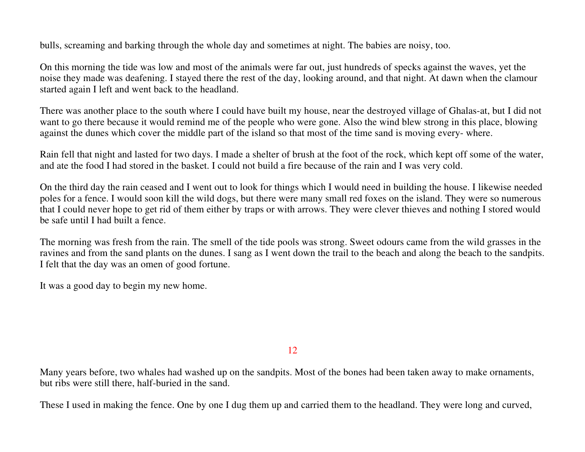bulls, screaming and barking through the whole day and sometimes at night. The babies are noisy, too.

On this morning the tide was low and most of the animals were far out, just hundreds of specks against the waves, yet the noise they made was deafening. I stayed there the rest of the day, looking around, and that night. At dawn when the clamour started again I left and went back to the headland.

There was another place to the south where I could have built my house, near the destroyed village of Ghalas-at, but I did not want to go there because it would remind me of the people who were gone. Also the wind blew strong in this place, blowing against the dunes which cover the middle part of the island so that most of the time sand is moving every- where.

Rain fell that night and lasted for two days. I made a shelter of brush at the foot of the rock, which kept off some of the water, and ate the food I had stored in the basket. I could not build a fire because of the rain and I was very cold.

On the third day the rain ceased and I went out to look for things which I would need in building the house. I likewise needed poles for a fence. I would soon kill the wild dogs, but there were many small red foxes on the island. They were so numerous that I could never hope to get rid of them either by traps or with arrows. They were clever thieves and nothing I stored would be safe until I had built a fence.

The morning was fresh from the rain. The smell of the tide pools was strong. Sweet odours came from the wild grasses in the ravines and from the sand plants on the dunes. I sang as I went down the trail to the beach and along the beach to the sandpits. I felt that the day was an omen of good fortune.

It was a good day to begin my new home.

12

Many years before, two whales had washed up on the sandpits. Most of the bones had been taken away to make ornaments, but ribs were still there, half-buried in the sand.

These I used in making the fence. One by one I dug them up and carried them to the headland. They were long and curved,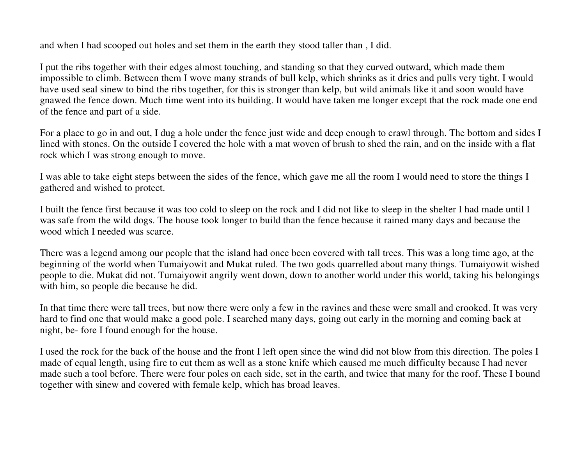and when I had scooped out holes and set them in the earth they stood taller than , I did.

I put the ribs together with their edges almost touching, and standing so that they curved outward, which made them impossible to climb. Between them I wove many strands of bull kelp, which shrinks as it dries and pulls very tight. I would have used seal sinew to bind the ribs together, for this is stronger than kelp, but wild animals like it and soon would have gnawed the fence down. Much time went into its building. It would have taken me longer except that the rock made one end of the fence and part of a side.

For a place to go in and out, I dug a hole under the fence just wide and deep enough to crawl through. The bottom and sides I lined with stones. On the outside I covered the hole with a mat woven of brush to shed the rain, and on the inside with a flat rock which I was strong enough to move.

I was able to take eight steps between the sides of the fence, which gave me all the room I would need to store the things I gathered and wished to protect.

I built the fence first because it was too cold to sleep on the rock and I did not like to sleep in the shelter I had made until I was safe from the wild dogs. The house took longer to build than the fence because it rained many days and because the wood which I needed was scarce.

There was a legend among our people that the island had once been covered with tall trees. This was a long time ago, at the beginning of the world when Tumaiyowit and Mukat ruled. The two gods quarrelled about many things. Tumaiyowit wished people to die. Mukat did not. Tumaiyowit angrily went down, down to another world under this world, taking his belongings with him, so people die because he did.

In that time there were tall trees, but now there were only a few in the ravines and these were small and crooked. It was very hard to find one that would make a good pole. I searched many days, going out early in the morning and coming back at night, be- fore I found enough for the house.

I used the rock for the back of the house and the front I left open since the wind did not blow from this direction. The poles I made of equal length, using fire to cut them as well as a stone knife which caused me much difficulty because I had never made such a tool before. There were four poles on each side, set in the earth, and twice that many for the roof. These I bound together with sinew and covered with female kelp, which has broad leaves.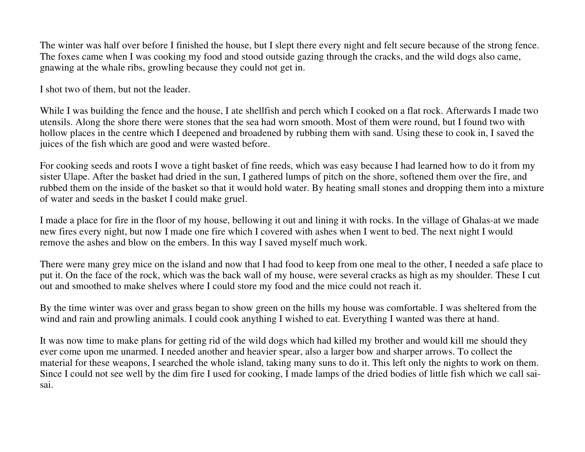The winter was half over before I finished the house, but I slept there every night and felt secure because of the strong fence. The foxes came when I was cooking my food and stood outside gazing through the cracks, and the wild dogs also came, gnawing at the whale ribs, growling because they could not get in.

I shot two of them, but not the leader.

While I was building the fence and the house, I ate shellfish and perch which I cooked on a flat rock. Afterwards I made two utensils. Along the shore there were stones that the sea had worn smooth. Most of them were round, but I found two with hollow places in the centre which I deepened and broadened by rubbing them with sand. Using these to cook in, I saved the juices of the fish which are good and were wasted before.

For cooking seeds and roots I wove a tight basket of fine reeds, which was easy because I had learned how to do it from my sister Ulape. After the basket had dried in the sun, I gathered lumps of pitch on the shore, softened them over the fire, and rubbed them on the inside of the basket so that it would hold water. By heating small stones and dropping them into a mixture of water and seeds in the basket I could make gruel.

I made a place for fire in the floor of my house, bellowing it out and lining it with rocks. In the village of Ghalas-at we made new fires every night, but now I made one fire which I covered with ashes when I went to bed. The next night I would remove the ashes and blow on the embers. In this way I saved myself much work.

There were many grey mice on the island and now that I had food to keep from one meal to the other, I needed a safe place to put it. On the face of the rock, which was the back wall of my house, were several cracks as high as my shoulder. These I cut out and smoothed to make shelves where I could store my food and the mice could not reach it.

By the time winter was over and grass began to show green on the hills my house was comfortable. I was sheltered from the wind and rain and prowling animals. I could cook anything I wished to eat. Everything I wanted was there at hand.

It was now time to make plans for getting rid of the wild dogs which had killed my brother and would kill me should they ever come upon me unarmed. I needed another and heavier spear, also a larger bow and sharper arrows. To collect the material for these weapons, I searched the whole island, taking many suns to do it. This left only the nights to work on them. Since I could not see well by the dim fire I used for cooking, I made lamps of the dried bodies of little fish which we call saisai.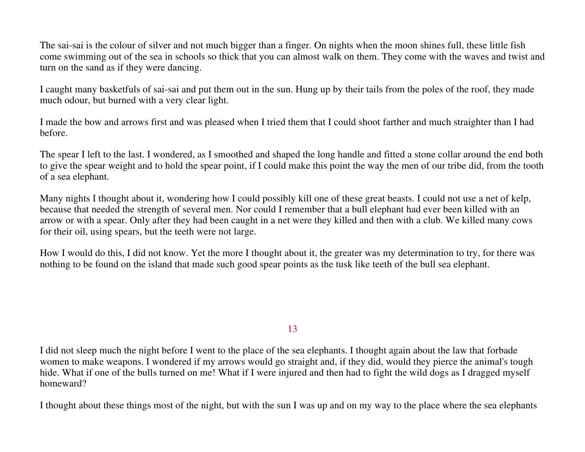The sai-sai is the colour of silver and not much bigger than a finger. On nights when the moon shines full, these little fish come swimming out of the sea in schools so thick that you can almost walk on them. They come with the waves and twist and turn on the sand as if they were dancing.

I caught many basketfuls of sai-sai and put them out in the sun. Hung up by their tails from the poles of the roof, they made much odour, but burned with a very clear light.

I made the bow and arrows first and was pleased when I tried them that I could shoot farther and much straighter than I had before.

The spear I left to the last. I wondered, as I smoothed and shaped the long handle and fitted a stone collar around the end both to give the spear weight and to hold the spear point, if I could make this point the way the men of our tribe did, from the tooth of a sea elephant.

Many nights I thought about it, wondering how I could possibly kill one of these great beasts. I could not use a net of kelp, because that needed the strength of several men. Nor could I remember that a bull elephant had ever been killed with an arrow or with a spear. Only after they had been caught in a net were they killed and then with a club. We killed many cows for their oil, using spears, but the teeth were not large.

How I would do this, I did not know. Yet the more I thought about it, the greater was my determination to try, for there was nothing to be found on the island that made such good spear points as the tusk like teeth of the bull sea elephant.

13

I did not sleep much the night before I went to the place of the sea elephants. I thought again about the law that forbade women to make weapons. I wondered if my arrows would go straight and, if they did, would they pierce the animal's tough hide. What if one of the bulls turned on me! What if I were injured and then had to fight the wild dogs as I dragged myself homeward?

I thought about these things most of the night, but with the sun I was up and on my way to the place where the sea elephants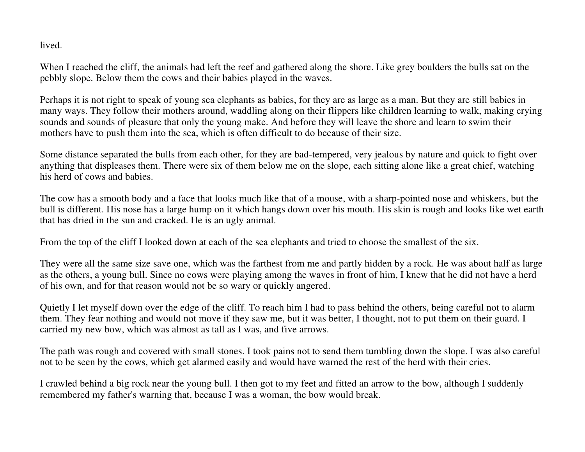lived.

When I reached the cliff, the animals had left the reef and gathered along the shore. Like grey boulders the bulls sat on the pebbly slope. Below them the cows and their babies played in the waves.

Perhaps it is not right to speak of young sea elephants as babies, for they are as large as a man. But they are still babies in many ways. They follow their mothers around, waddling along on their flippers like children learning to walk, making crying sounds and sounds of pleasure that only the young make. And before they will leave the shore and learn to swim their mothers have to push them into the sea, which is often difficult to do because of their size.

Some distance separated the bulls from each other, for they are bad-tempered, very jealous by nature and quick to fight over anything that displeases them. There were six of them below me on the slope, each sitting alone like a great chief, watching his herd of cows and babies.

The cow has a smooth body and a face that looks much like that of a mouse, with a sharp-pointed nose and whiskers, but the bull is different. His nose has a large hump on it which hangs down over his mouth. His skin is rough and looks like wet earth that has dried in the sun and cracked. He is an ugly animal.

From the top of the cliff I looked down at each of the sea elephants and tried to choose the smallest of the six.

They were all the same size save one, which was the farthest from me and partly hidden by a rock. He was about half as large as the others, a young bull. Since no cows were playing among the waves in front of him, I knew that he did not have a herd of his own, and for that reason would not be so wary or quickly angered.

Quietly I let myself down over the edge of the cliff. To reach him I had to pass behind the others, being careful not to alarm them. They fear nothing and would not move if they saw me, but it was better, I thought, not to put them on their guard. I carried my new bow, which was almost as tall as I was, and five arrows.

The path was rough and covered with small stones. I took pains not to send them tumbling down the slope. I was also careful not to be seen by the cows, which get alarmed easily and would have warned the rest of the herd with their cries.

I crawled behind a big rock near the young bull. I then got to my feet and fitted an arrow to the bow, although I suddenly remembered my father's warning that, because I was a woman, the bow would break.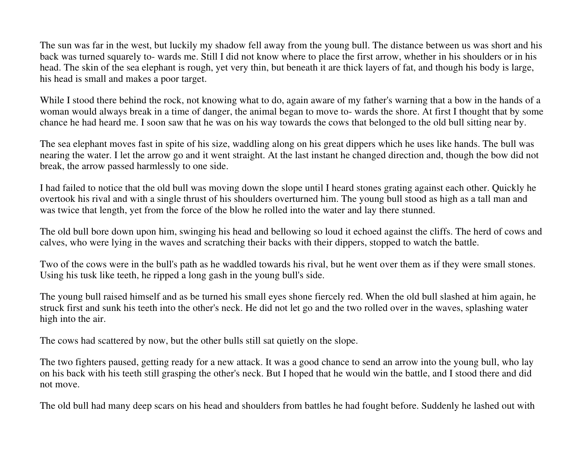The sun was far in the west, but luckily my shadow fell away from the young bull. The distance between us was short and his back was turned squarely to- wards me. Still I did not know where to place the first arrow, whether in his shoulders or in his head. The skin of the sea elephant is rough, yet very thin, but beneath it are thick layers of fat, and though his body is large, his head is small and makes a poor target.

While I stood there behind the rock, not knowing what to do, again aware of my father's warning that a bow in the hands of a woman would always break in a time of danger, the animal began to move to- wards the shore. At first I thought that by some chance he had heard me. I soon saw that he was on his way towards the cows that belonged to the old bull sitting near by.

The sea elephant moves fast in spite of his size, waddling along on his great dippers which he uses like hands. The bull was nearing the water. I let the arrow go and it went straight. At the last instant he changed direction and, though the bow did not break, the arrow passed harmlessly to one side.

I had failed to notice that the old bull was moving down the slope until I heard stones grating against each other. Quickly he overtook his rival and with a single thrust of his shoulders overturned him. The young bull stood as high as a tall man and was twice that length, yet from the force of the blow he rolled into the water and lay there stunned.

The old bull bore down upon him, swinging his head and bellowing so loud it echoed against the cliffs. The herd of cows and calves, who were lying in the waves and scratching their backs with their dippers, stopped to watch the battle.

Two of the cows were in the bull's path as he waddled towards his rival, but he went over them as if they were small stones. Using his tusk like teeth, he ripped a long gash in the young bull's side.

The young bull raised himself and as be turned his small eyes shone fiercely red. When the old bull slashed at him again, he struck first and sunk his teeth into the other's neck. He did not let go and the two rolled over in the waves, splashing water high into the air.

The cows had scattered by now, but the other bulls still sat quietly on the slope.

The two fighters paused, getting ready for a new attack. It was a good chance to send an arrow into the young bull, who lay on his back with his teeth still grasping the other's neck. But I hoped that he would win the battle, and I stood there and did not move.

The old bull had many deep scars on his head and shoulders from battles he had fought before. Suddenly he lashed out with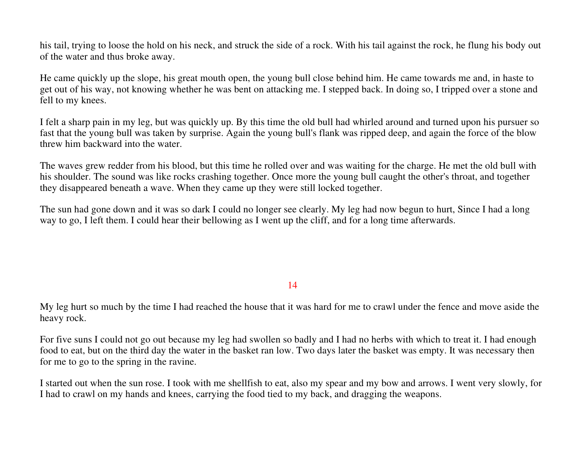his tail, trying to loose the hold on his neck, and struck the side of a rock. With his tail against the rock, he flung his body out of the water and thus broke away.

He came quickly up the slope, his great mouth open, the young bull close behind him. He came towards me and, in haste to get out of his way, not knowing whether he was bent on attacking me. I stepped back. In doing so, I tripped over a stone and fell to my knees.

I felt a sharp pain in my leg, but was quickly up. By this time the old bull had whirled around and turned upon his pursuer so fast that the young bull was taken by surprise. Again the young bull's flank was ripped deep, and again the force of the blow threw him backward into the water.

The waves grew redder from his blood, but this time he rolled over and was waiting for the charge. He met the old bull with his shoulder. The sound was like rocks crashing together. Once more the young bull caught the other's throat, and together they disappeared beneath a wave. When they came up they were still locked together.

The sun had gone down and it was so dark I could no longer see clearly. My leg had now begun to hurt, Since I had a long way to go, I left them. I could hear their bellowing as I went up the cliff, and for a long time afterwards.

### 14

My leg hurt so much by the time I had reached the house that it was hard for me to crawl under the fence and move aside the heavy rock.

For five suns I could not go out because my leg had swollen so badly and I had no herbs with which to treat it. I had enough food to eat, but on the third day the water in the basket ran low. Two days later the basket was empty. It was necessary then for me to go to the spring in the ravine.

I started out when the sun rose. I took with me shellfish to eat, also my spear and my bow and arrows. I went very slowly, for I had to crawl on my hands and knees, carrying the food tied to my back, and dragging the weapons.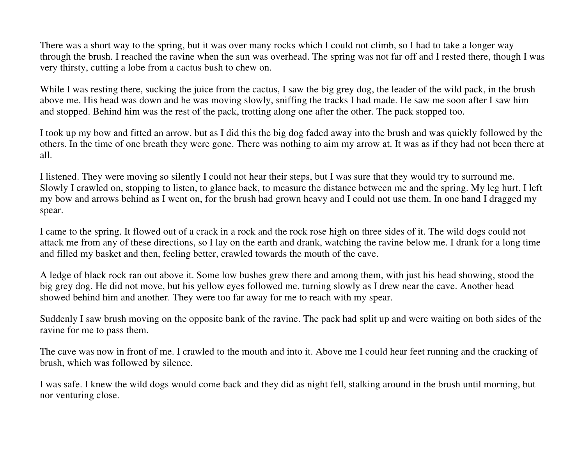There was a short way to the spring, but it was over many rocks which I could not climb, so I had to take a longer way through the brush. I reached the ravine when the sun was overhead. The spring was not far off and I rested there, though I was very thirsty, cutting a lobe from a cactus bush to chew on.

While I was resting there, sucking the juice from the cactus, I saw the big grey dog, the leader of the wild pack, in the brush above me. His head was down and he was moving slowly, sniffing the tracks I had made. He saw me soon after I saw him and stopped. Behind him was the rest of the pack, trotting along one after the other. The pack stopped too.

I took up my bow and fitted an arrow, but as I did this the big dog faded away into the brush and was quickly followed by the others. In the time of one breath they were gone. There was nothing to aim my arrow at. It was as if they had not been there at all.

I listened. They were moving so silently I could not hear their steps, but I was sure that they would try to surround me. Slowly I crawled on, stopping to listen, to glance back, to measure the distance between me and the spring. My leg hurt. I left my bow and arrows behind as I went on, for the brush had grown heavy and I could not use them. In one hand I dragged my spear.

I came to the spring. It flowed out of a crack in a rock and the rock rose high on three sides of it. The wild dogs could not attack me from any of these directions, so I lay on the earth and drank, watching the ravine below me. I drank for a long time and filled my basket and then, feeling better, crawled towards the mouth of the cave.

A ledge of black rock ran out above it. Some low bushes grew there and among them, with just his head showing, stood the big grey dog. He did not move, but his yellow eyes followed me, turning slowly as I drew near the cave. Another head showed behind him and another. They were too far away for me to reach with my spear.

Suddenly I saw brush moving on the opposite bank of the ravine. The pack had split up and were waiting on both sides of the ravine for me to pass them.

The cave was now in front of me. I crawled to the mouth and into it. Above me I could hear feet running and the cracking of brush, which was followed by silence.

I was safe. I knew the wild dogs would come back and they did as night fell, stalking around in the brush until morning, but nor venturing close.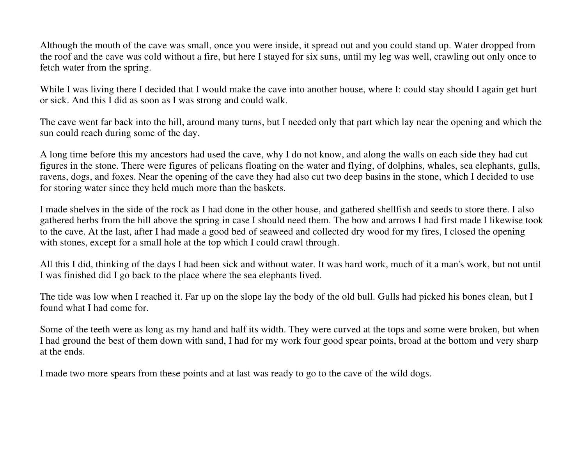Although the mouth of the cave was small, once you were inside, it spread out and you could stand up. Water dropped from the roof and the cave was cold without a fire, but here I stayed for six suns, until my leg was well, crawling out only once to fetch water from the spring.

While I was living there I decided that I would make the cave into another house, where I: could stay should I again get hurt or sick. And this I did as soon as I was strong and could walk.

The cave went far back into the hill, around many turns, but I needed only that part which lay near the opening and which the sun could reach during some of the day.

A long time before this my ancestors had used the cave, why I do not know, and along the walls on each side they had cut figures in the stone. There were figures of pelicans floating on the water and flying, of dolphins, whales, sea elephants, gulls, ravens, dogs, and foxes. Near the opening of the cave they had also cut two deep basins in the stone, which I decided to use for storing water since they held much more than the baskets.

I made shelves in the side of the rock as I had done in the other house, and gathered shellfish and seeds to store there. I also gathered herbs from the hill above the spring in case I should need them. The bow and arrows I had first made I likewise took to the cave. At the last, after I had made a good bed of seaweed and collected dry wood for my fires, I closed the opening with stones, except for a small hole at the top which I could crawl through.

All this I did, thinking of the days I had been sick and without water. It was hard work, much of it a man's work, but not until I was finished did I go back to the place where the sea elephants lived.

The tide was low when I reached it. Far up on the slope lay the body of the old bull. Gulls had picked his bones clean, but I found what I had come for.

Some of the teeth were as long as my hand and half its width. They were curved at the tops and some were broken, but when I had ground the best of them down with sand, I had for my work four good spear points, broad at the bottom and very sharp at the ends.

I made two more spears from these points and at last was ready to go to the cave of the wild dogs.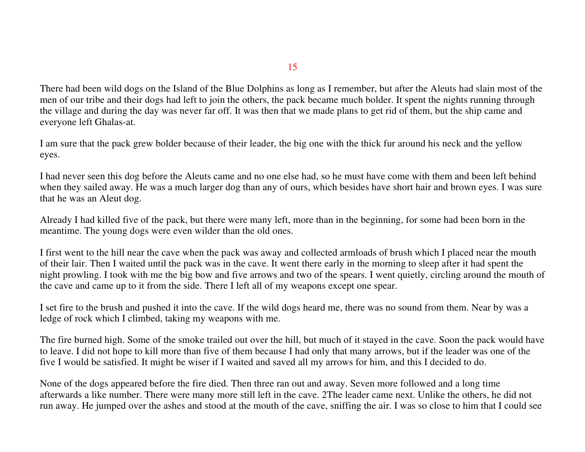There had been wild dogs on the Island of the Blue Dolphins as long as I remember, but after the Aleuts had slain most of the men of our tribe and their dogs had left to join the others, the pack became much bolder. It spent the nights running through the village and during the day was never far off. It was then that we made plans to get rid of them, but the ship came and everyone left Ghalas-at.

I am sure that the pack grew bolder because of their leader, the big one with the thick fur around his neck and the yellow eyes.

I had never seen this dog before the Aleuts came and no one else had, so he must have come with them and been left behind when they sailed away. He was a much larger dog than any of ours, which besides have short hair and brown eyes. I was sure that he was an Aleut dog.

Already I had killed five of the pack, but there were many left, more than in the beginning, for some had been born in the meantime. The young dogs were even wilder than the old ones.

I first went to the hill near the cave when the pack was away and collected armloads of brush which I placed near the mouth of their lair. Then I waited until the pack was in the cave. It went there early in the morning to sleep after it had spent the night prowling. I took with me the big bow and five arrows and two of the spears. I went quietly, circling around the mouth of the cave and came up to it from the side. There I left all of my weapons except one spear.

I set fire to the brush and pushed it into the cave. If the wild dogs heard me, there was no sound from them. Near by was a ledge of rock which I climbed, taking my weapons with me.

The fire burned high. Some of the smoke trailed out over the hill, but much of it stayed in the cave. Soon the pack would have to leave. I did not hope to kill more than five of them because I had only that many arrows, but if the leader was one of the five I would be satisfied. It might be wiser if I waited and saved all my arrows for him, and this I decided to do.

None of the dogs appeared before the fire died. Then three ran out and away. Seven more followed and a long time afterwards a like number. There were many more still left in the cave. 2The leader came next. Unlike the others, he did not run away. He jumped over the ashes and stood at the mouth of the cave, sniffing the air. I was so close to him that I could see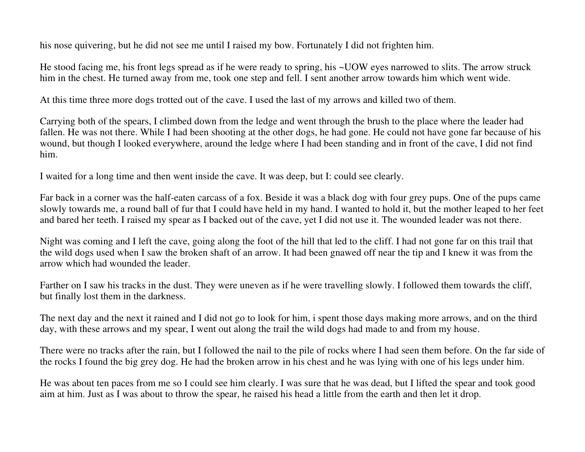his nose quivering, but he did not see me until I raised my bow. Fortunately I did not frighten him.

He stood facing me, his front legs spread as if he were ready to spring, his ~UOW eyes narrowed to slits. The arrow struck him in the chest. He turned away from me, took one step and fell. I sent another arrow towards him which went wide.

At this time three more dogs trotted out of the cave. I used the last of my arrows and killed two of them.

Carrying both of the spears, I climbed down from the ledge and went through the brush to the place where the leader had fallen. He was not there. While I had been shooting at the other dogs, he had gone. He could not have gone far because of his wound, but though I looked everywhere, around the ledge where I had been standing and in front of the cave, I did not find him.

I waited for a long time and then went inside the cave. It was deep, but I: could see clearly.

Far back in a corner was the half-eaten carcass of a fox. Beside it was a black dog with four grey pups. One of the pups came slowly towards me, a round ball of fur that I could have held in my hand. I wanted to hold it, but the mother leaped to her feet and bared her teeth. I raised my spear as I backed out of the cave, yet I did not use it. The wounded leader was not there.

Night was coming and I left the cave, going along the foot of the hill that led to the cliff. I had not gone far on this trail that the wild dogs used when I saw the broken shaft of an arrow. It had been gnawed off near the tip and I knew it was from the arrow which had wounded the leader.

Farther on I saw his tracks in the dust. They were uneven as if he were travelling slowly. I followed them towards the cliff, but finally lost them in the darkness.

The next day and the next it rained and I did not go to look for him, i spent those days making more arrows, and on the third day, with these arrows and my spear, I went out along the trail the wild dogs had made to and from my house.

There were no tracks after the rain, but I followed the nail to the pile of rocks where I had seen them before. On the far side of the rocks I found the big grey dog. He had the broken arrow in his chest and he was lying with one of his legs under him.

He was about ten paces from me so I could see him clearly. I was sure that he was dead, but I lifted the spear and took good aim at him. Just as I was about to throw the spear, he raised his head a little from the earth and then let it drop.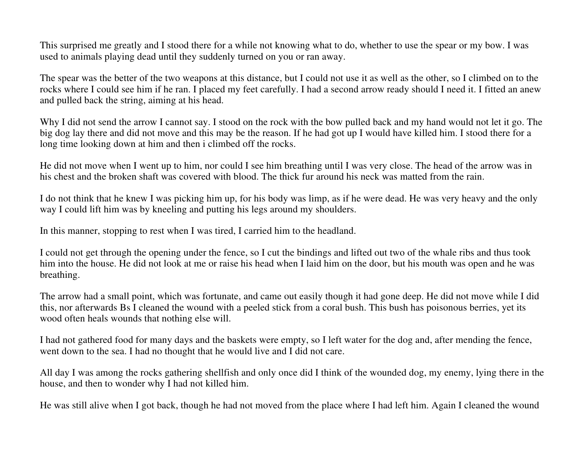This surprised me greatly and I stood there for a while not knowing what to do, whether to use the spear or my bow. I was used to animals playing dead until they suddenly turned on you or ran away.

The spear was the better of the two weapons at this distance, but I could not use it as well as the other, so I climbed on to the rocks where I could see him if he ran. I placed my feet carefully. I had a second arrow ready should I need it. I fitted an anew and pulled back the string, aiming at his head.

Why I did not send the arrow I cannot say. I stood on the rock with the bow pulled back and my hand would not let it go. The big dog lay there and did not move and this may be the reason. If he had got up I would have killed him. I stood there for a long time looking down at him and then i climbed off the rocks.

He did not move when I went up to him, nor could I see him breathing until I was very close. The head of the arrow was in his chest and the broken shaft was covered with blood. The thick fur around his neck was matted from the rain.

I do not think that he knew I was picking him up, for his body was limp, as if he were dead. He was very heavy and the only way I could lift him was by kneeling and putting his legs around my shoulders.

In this manner, stopping to rest when I was tired, I carried him to the headland.

I could not get through the opening under the fence, so I cut the bindings and lifted out two of the whale ribs and thus took him into the house. He did not look at me or raise his head when I laid him on the door, but his mouth was open and he was breathing.

The arrow had a small point, which was fortunate, and came out easily though it had gone deep. He did not move while I did this, nor afterwards Bs I cleaned the wound with a peeled stick from a coral bush. This bush has poisonous berries, yet its wood often heals wounds that nothing else will.

I had not gathered food for many days and the baskets were empty, so I left water for the dog and, after mending the fence, went down to the sea. I had no thought that he would live and I did not care.

All day I was among the rocks gathering shellfish and only once did I think of the wounded dog, my enemy, lying there in the house, and then to wonder why I had not killed him.

He was still alive when I got back, though he had not moved from the place where I had left him. Again I cleaned the wound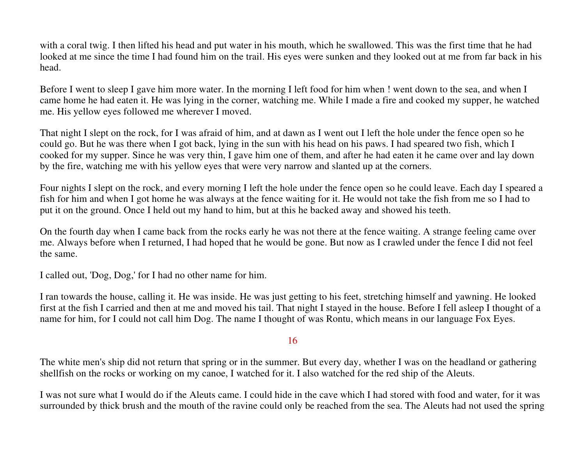with a coral twig. I then lifted his head and put water in his mouth, which he swallowed. This was the first time that he had looked at me since the time I had found him on the trail. His eyes were sunken and they looked out at me from far back in his head.

Before I went to sleep I gave him more water. In the morning I left food for him when ! went down to the sea, and when I came home he had eaten it. He was lying in the corner, watching me. While I made a fire and cooked my supper, he watched me. His yellow eyes followed me wherever I moved.

That night I slept on the rock, for I was afraid of him, and at dawn as I went out I left the hole under the fence open so he could go. But he was there when I got back, lying in the sun with his head on his paws. I had speared two fish, which I cooked for my supper. Since he was very thin, I gave him one of them, and after he had eaten it he came over and lay down by the fire, watching me with his yellow eyes that were very narrow and slanted up at the corners.

Four nights I slept on the rock, and every morning I left the hole under the fence open so he could leave. Each day I speared a fish for him and when I got home he was always at the fence waiting for it. He would not take the fish from me so I had to put it on the ground. Once I held out my hand to him, but at this he backed away and showed his teeth.

On the fourth day when I came back from the rocks early he was not there at the fence waiting. A strange feeling came over me. Always before when I returned, I had hoped that he would be gone. But now as I crawled under the fence I did not feel the same.

I called out, 'Dog, Dog,' for I had no other name for him.

I ran towards the house, calling it. He was inside. He was just getting to his feet, stretching himself and yawning. He looked first at the fish I carried and then at me and moved his tail. That night I stayed in the house. Before I fell asleep I thought of a name for him, for I could not call him Dog. The name I thought of was Rontu, which means in our language Fox Eyes.

#### 16

The white men's ship did not return that spring or in the summer. But every day, whether I was on the headland or gathering shellfish on the rocks or working on my canoe, I watched for it. I also watched for the red ship of the Aleuts.

I was not sure what I would do if the Aleuts came. I could hide in the cave which I had stored with food and water, for it was surrounded by thick brush and the mouth of the ravine could only be reached from the sea. The Aleuts had not used the spring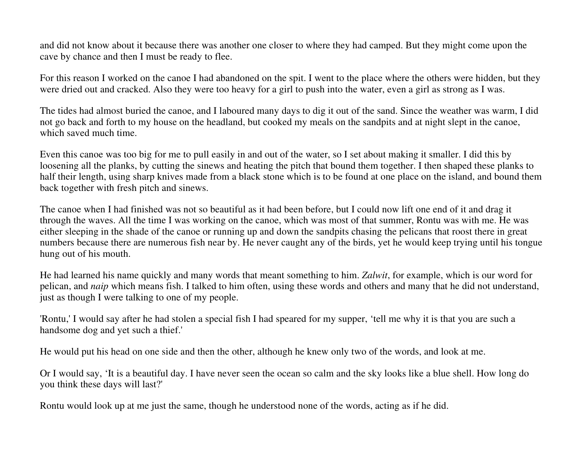and did not know about it because there was another one closer to where they had camped. But they might come upon the cave by chance and then I must be ready to flee.

For this reason I worked on the canoe I had abandoned on the spit. I went to the place where the others were hidden, but they were dried out and cracked. Also they were too heavy for a girl to push into the water, even a girl as strong as I was.

The tides had almost buried the canoe, and I laboured many days to dig it out of the sand. Since the weather was warm, I did not go back and forth to my house on the headland, but cooked my meals on the sandpits and at night slept in the canoe, which saved much time.

Even this canoe was too big for me to pull easily in and out of the water, so I set about making it smaller. I did this by loosening all the planks, by cutting the sinews and heating the pitch that bound them together. I then shaped these planks to half their length, using sharp knives made from a black stone which is to be found at one place on the island, and bound them back together with fresh pitch and sinews.

The canoe when I had finished was not so beautiful as it had been before, but I could now lift one end of it and drag it through the waves. All the time I was working on the canoe, which was most of that summer, Rontu was with me. He was either sleeping in the shade of the canoe or running up and down the sandpits chasing the pelicans that roost there in great numbers because there are numerous fish near by. He never caught any of the birds, yet he would keep trying until his tongue hung out of his mouth.

He had learned his name quickly and many words that meant something to him. *Zalwit*, for example, which is our word for pelican, and *naip* which means fish. I talked to him often, using these words and others and many that he did not understand, just as though I were talking to one of my people.

'Rontu,' I would say after he had stolen a special fish I had speared for my supper, 'tell me why it is that you are such a handsome dog and yet such a thief.'

He would put his head on one side and then the other, although he knew only two of the words, and look at me.

Or I would say, 'It is a beautiful day. I have never seen the ocean so calm and the sky looks like a blue shell. How long do you think these days will last?'

Rontu would look up at me just the same, though he understood none of the words, acting as if he did.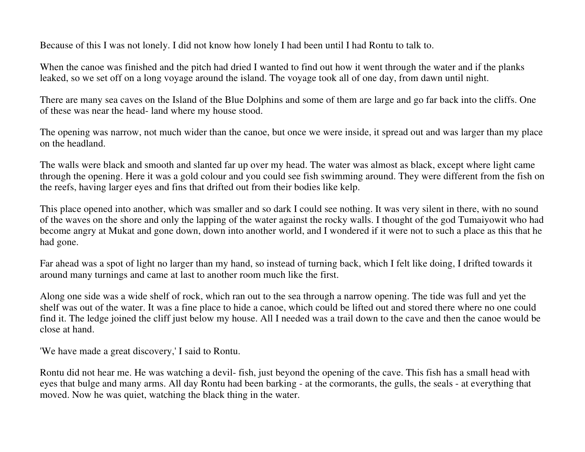Because of this I was not lonely. I did not know how lonely I had been until I had Rontu to talk to.

When the canoe was finished and the pitch had dried I wanted to find out how it went through the water and if the planks leaked, so we set off on a long voyage around the island. The voyage took all of one day, from dawn until night.

There are many sea caves on the Island of the Blue Dolphins and some of them are large and go far back into the cliffs. One of these was near the head- land where my house stood.

The opening was narrow, not much wider than the canoe, but once we were inside, it spread out and was larger than my place on the headland.

The walls were black and smooth and slanted far up over my head. The water was almost as black, except where light came through the opening. Here it was a gold colour and you could see fish swimming around. They were different from the fish on the reefs, having larger eyes and fins that drifted out from their bodies like kelp.

This place opened into another, which was smaller and so dark I could see nothing. It was very silent in there, with no sound of the waves on the shore and only the lapping of the water against the rocky walls. I thought of the god Tumaiyowit who had become angry at Mukat and gone down, down into another world, and I wondered if it were not to such a place as this that he had gone.

Far ahead was a spot of light no larger than my hand, so instead of turning back, which I felt like doing, I drifted towards it around many turnings and came at last to another room much like the first.

Along one side was a wide shelf of rock, which ran out to the sea through a narrow opening. The tide was full and yet the shelf was out of the water. It was a fine place to hide a canoe, which could be lifted out and stored there where no one could find it. The ledge joined the cliff just below my house. All I needed was a trail down to the cave and then the canoe would be close at hand.

'We have made a great discovery,' I said to Rontu.

Rontu did not hear me. He was watching a devil- fish, just beyond the opening of the cave. This fish has a small head with eyes that bulge and many arms. All day Rontu had been barking - at the cormorants, the gulls, the seals - at everything that moved. Now he was quiet, watching the black thing in the water.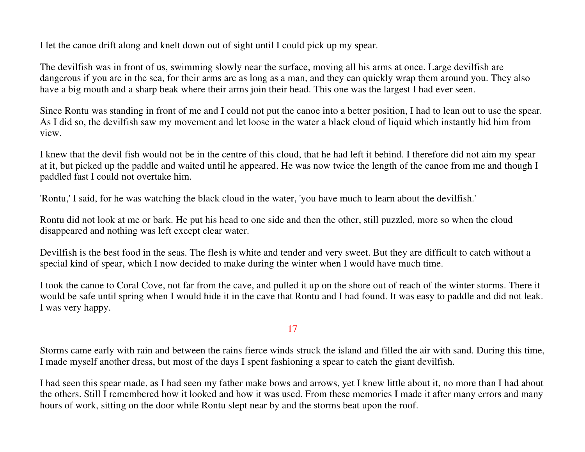I let the canoe drift along and knelt down out of sight until I could pick up my spear.

The devilfish was in front of us, swimming slowly near the surface, moving all his arms at once. Large devilfish are dangerous if you are in the sea, for their arms are as long as a man, and they can quickly wrap them around you. They also have a big mouth and a sharp beak where their arms join their head. This one was the largest I had ever seen.

Since Rontu was standing in front of me and I could not put the canoe into a better position, I had to lean out to use the spear. As I did so, the devilfish saw my movement and let loose in the water a black cloud of liquid which instantly hid him from view.

I knew that the devil fish would not be in the centre of this cloud, that he had left it behind. I therefore did not aim my spear at it, but picked up the paddle and waited until he appeared. He was now twice the length of the canoe from me and though I paddled fast I could not overtake him.

'Rontu,' I said, for he was watching the black cloud in the water, 'you have much to learn about the devilfish.'

Rontu did not look at me or bark. He put his head to one side and then the other, still puzzled, more so when the cloud disappeared and nothing was left except clear water.

Devilfish is the best food in the seas. The flesh is white and tender and very sweet. But they are difficult to catch without a special kind of spear, which I now decided to make during the winter when I would have much time.

I took the canoe to Coral Cove, not far from the cave, and pulled it up on the shore out of reach of the winter storms. There it would be safe until spring when I would hide it in the cave that Rontu and I had found. It was easy to paddle and did not leak. I was very happy.

### 17

Storms came early with rain and between the rains fierce winds struck the island and filled the air with sand. During this time, I made myself another dress, but most of the days I spent fashioning a spear to catch the giant devilfish.

I had seen this spear made, as I had seen my father make bows and arrows, yet I knew little about it, no more than I had about the others. Still I remembered how it looked and how it was used. From these memories I made it after many errors and many hours of work, sitting on the door while Rontu slept near by and the storms beat upon the roof.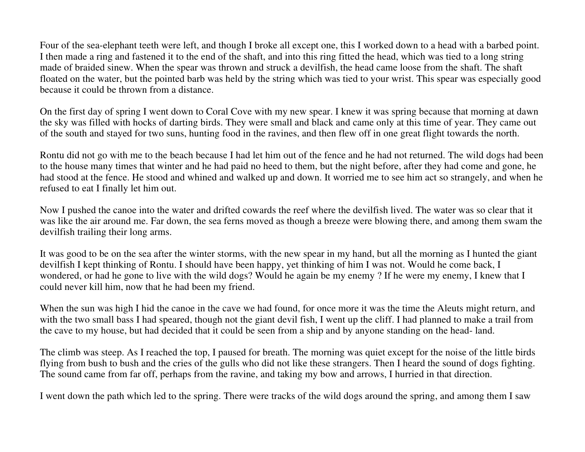Four of the sea-elephant teeth were left, and though I broke all except one, this I worked down to a head with a barbed point. I then made a ring and fastened it to the end of the shaft, and into this ring fitted the head, which was tied to a long string made of braided sinew. When the spear was thrown and struck a devilfish, the head came loose from the shaft. The shaft floated on the water, but the pointed barb was held by the string which was tied to your wrist. This spear was especially good because it could be thrown from a distance.

On the first day of spring I went down to Coral Cove with my new spear. I knew it was spring because that morning at dawn the sky was filled with hocks of darting birds. They were small and black and came only at this time of year. They came out of the south and stayed for two suns, hunting food in the ravines, and then flew off in one great flight towards the north.

Rontu did not go with me to the beach because I had let him out of the fence and he had not returned. The wild dogs had been to the house many times that winter and he had paid no heed to them, but the night before, after they had come and gone, he had stood at the fence. He stood and whined and walked up and down. It worried me to see him act so strangely, and when he refused to eat I finally let him out.

Now I pushed the canoe into the water and drifted cowards the reef where the devilfish lived. The water was so clear that it was like the air around me. Far down, the sea ferns moved as though a breeze were blowing there, and among them swam the devilfish trailing their long arms.

It was good to be on the sea after the winter storms, with the new spear in my hand, but all the morning as I hunted the giant devilfish I kept thinking of Rontu. I should have been happy, yet thinking of him I was not. Would he come back, I wondered, or had he gone to live with the wild dogs? Would he again be my enemy ? If he were my enemy, I knew that I could never kill him, now that he had been my friend.

When the sun was high I hid the canoe in the cave we had found, for once more it was the time the Aleuts might return, and with the two small bass I had speared, though not the giant devil fish, I went up the cliff. I had planned to make a trail from the cave to my house, but had decided that it could be seen from a ship and by anyone standing on the head- land.

The climb was steep. As I reached the top, I paused for breath. The morning was quiet except for the noise of the little birds flying from bush to bush and the cries of the gulls who did not like these strangers. Then I heard the sound of dogs fighting. The sound came from far off, perhaps from the ravine, and taking my bow and arrows, I hurried in that direction.

I went down the path which led to the spring. There were tracks of the wild dogs around the spring, and among them I saw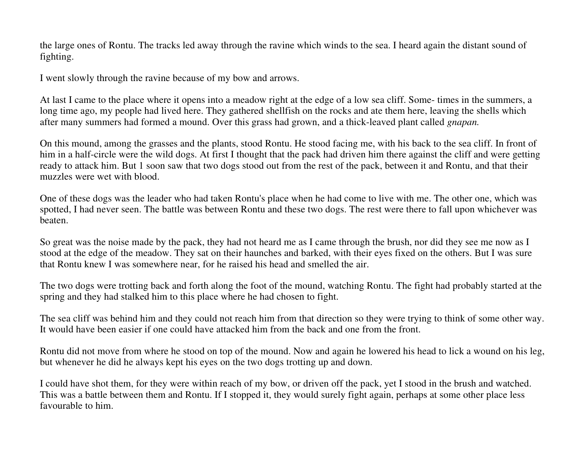the large ones of Rontu. The tracks led away through the ravine which winds to the sea. I heard again the distant sound of fighting.

I went slowly through the ravine because of my bow and arrows.

At last I came to the place where it opens into a meadow right at the edge of a low sea cliff. Some- times in the summers, a long time ago, my people had lived here. They gathered shellfish on the rocks and ate them here, leaving the shells which after many summers had formed a mound. Over this grass had grown, and a thick-leaved plant called *gnapan.*

On this mound, among the grasses and the plants, stood Rontu. He stood facing me, with his back to the sea cliff. In front of him in a half-circle were the wild dogs. At first I thought that the pack had driven him there against the cliff and were getting ready to attack him. But 1 soon saw that two dogs stood out from the rest of the pack, between it and Rontu, and that their muzzles were wet with blood.

One of these dogs was the leader who had taken Rontu's place when he had come to live with me. The other one, which was spotted, I had never seen. The battle was between Rontu and these two dogs. The rest were there to fall upon whichever was beaten.

So great was the noise made by the pack, they had not heard me as I came through the brush, nor did they see me now as I stood at the edge of the meadow. They sat on their haunches and barked, with their eyes fixed on the others. But I was sure that Rontu knew I was somewhere near, for he raised his head and smelled the air.

The two dogs were trotting back and forth along the foot of the mound, watching Rontu. The fight had probably started at the spring and they had stalked him to this place where he had chosen to fight.

The sea cliff was behind him and they could not reach him from that direction so they were trying to think of some other way. It would have been easier if one could have attacked him from the back and one from the front.

Rontu did not move from where he stood on top of the mound. Now and again he lowered his head to lick a wound on his leg, but whenever he did he always kept his eyes on the two dogs trotting up and down.

I could have shot them, for they were within reach of my bow, or driven off the pack, yet I stood in the brush and watched. This was a battle between them and Rontu. If I stopped it, they would surely fight again, perhaps at some other place less favourable to him.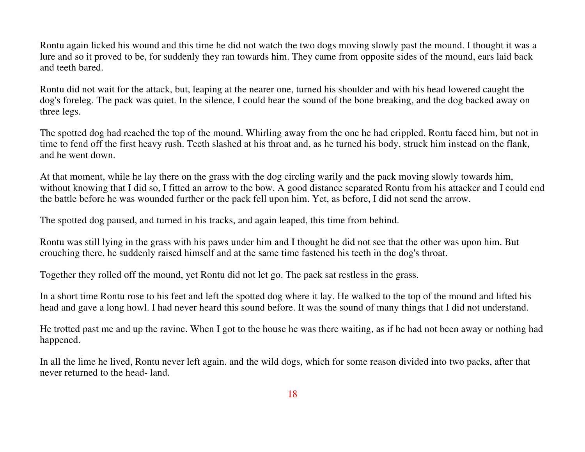Rontu again licked his wound and this time he did not watch the two dogs moving slowly past the mound. I thought it was a lure and so it proved to be, for suddenly they ran towards him. They came from opposite sides of the mound, ears laid back and teeth bared.

Rontu did not wait for the attack, but, leaping at the nearer one, turned his shoulder and with his head lowered caught the dog's foreleg. The pack was quiet. In the silence, I could hear the sound of the bone breaking, and the dog backed away on three legs.

The spotted dog had reached the top of the mound. Whirling away from the one he had crippled, Rontu faced him, but not in time to fend off the first heavy rush. Teeth slashed at his throat and, as he turned his body, struck him instead on the flank, and he went down.

At that moment, while he lay there on the grass with the dog circling warily and the pack moving slowly towards him, without knowing that I did so, I fitted an arrow to the bow. A good distance separated Rontu from his attacker and I could end the battle before he was wounded further or the pack fell upon him. Yet, as before, I did not send the arrow.

The spotted dog paused, and turned in his tracks, and again leaped, this time from behind.

Rontu was still lying in the grass with his paws under him and I thought he did not see that the other was upon him. But crouching there, he suddenly raised himself and at the same time fastened his teeth in the dog's throat.

Together they rolled off the mound, yet Rontu did not let go. The pack sat restless in the grass.

In a short time Rontu rose to his feet and left the spotted dog where it lay. He walked to the top of the mound and lifted his head and gave a long howl. I had never heard this sound before. It was the sound of many things that I did not understand.

He trotted past me and up the ravine. When I got to the house he was there waiting, as if he had not been away or nothing had happened.

In all the lime he lived, Rontu never left again. and the wild dogs, which for some reason divided into two packs, after that never returned to the head- land.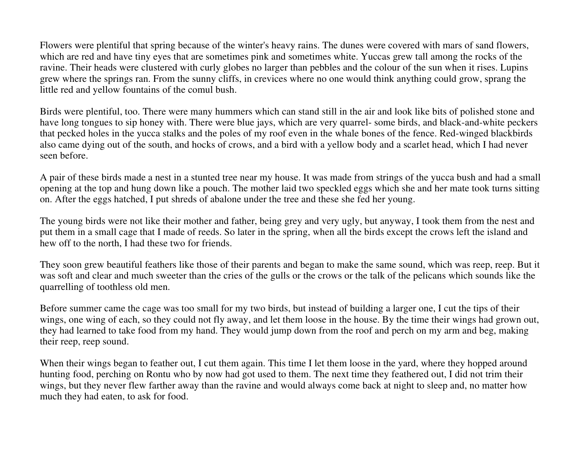Flowers were plentiful that spring because of the winter's heavy rains. The dunes were covered with mars of sand flowers, which are red and have tiny eyes that are sometimes pink and sometimes white. Yuccas grew tall among the rocks of the ravine. Their heads were clustered with curly globes no larger than pebbles and the colour of the sun when it rises. Lupins grew where the springs ran. From the sunny cliffs, in crevices where no one would think anything could grow, sprang the little red and yellow fountains of the comul bush.

Birds were plentiful, too. There were many hummers which can stand still in the air and look like bits of polished stone and have long tongues to sip honey with. There were blue jays, which are very quarrel- some birds, and black-and-white peckers that pecked holes in the yucca stalks and the poles of my roof even in the whale bones of the fence. Red-winged blackbirds also came dying out of the south, and hocks of crows, and a bird with a yellow body and a scarlet head, which I had never seen before.

A pair of these birds made a nest in a stunted tree near my house. It was made from strings of the yucca bush and had a small opening at the top and hung down like a pouch. The mother laid two speckled eggs which she and her mate took turns sitting on. After the eggs hatched, I put shreds of abalone under the tree and these she fed her young.

The young birds were not like their mother and father, being grey and very ugly, but anyway, I took them from the nest and put them in a small cage that I made of reeds. So later in the spring, when all the birds except the crows left the island and hew off to the north, I had these two for friends.

They soon grew beautiful feathers like those of their parents and began to make the same sound, which was reep, reep. But it was soft and clear and much sweeter than the cries of the gulls or the crows or the talk of the pelicans which sounds like the quarrelling of toothless old men.

Before summer came the cage was too small for my two birds, but instead of building a larger one, I cut the tips of their wings, one wing of each, so they could not fly away, and let them loose in the house. By the time their wings had grown out, they had learned to take food from my hand. They would jump down from the roof and perch on my arm and beg, making their reep, reep sound.

When their wings began to feather out, I cut them again. This time I let them loose in the yard, where they hopped around hunting food, perching on Rontu who by now had got used to them. The next time they feathered out, I did not trim their wings, but they never flew farther away than the ravine and would always come back at night to sleep and, no matter how much they had eaten, to ask for food.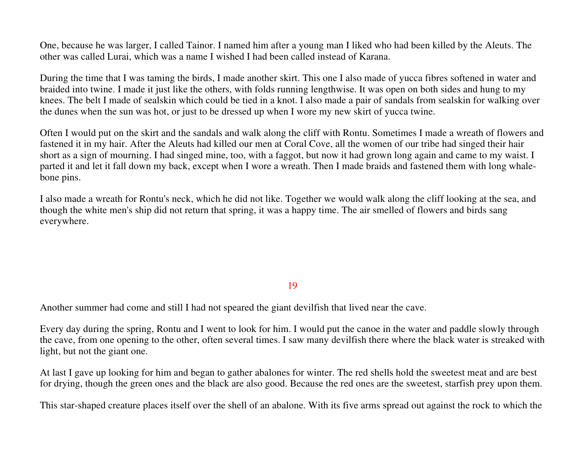One, because he was larger, I called Tainor. I named him after a young man I liked who had been killed by the Aleuts. The other was called Lurai, which was a name I wished I had been called instead of Karana.

During the time that I was taming the birds, I made another skirt. This one I also made of yucca fibres softened in water and braided into twine. I made it just like the others, with folds running lengthwise. It was open on both sides and hung to my knees. The belt I made of sealskin which could be tied in a knot. I also made a pair of sandals from sealskin for walking over the dunes when the sun was hot, or just to be dressed up when I wore my new skirt of yucca twine.

Often I would put on the skirt and the sandals and walk along the cliff with Rontu. Sometimes I made a wreath of flowers and fastened it in my hair. After the Aleuts had killed our men at Coral Cove, all the women of our tribe had singed their hair short as a sign of mourning. I had singed mine, too, with a faggot, but now it had grown long again and came to my waist. I parted it and let it fall down my back, except when I wore a wreath. Then I made braids and fastened them with long whalebone pins.

I also made a wreath for Rontu's neck, which he did not like. Together we would walk along the cliff looking at the sea, and though the white men's ship did not return that spring, it was a happy time. The air smelled of flowers and birds sang everywhere.

## 19

Another summer had come and still I had not speared the giant devilfish that lived near the cave.

Every day during the spring, Rontu and I went to look for him. I would put the canoe in the water and paddle slowly through the cave, from one opening to the other, often several times. I saw many devilfish there where the black water is streaked with light, but not the giant one.

At last I gave up looking for him and began to gather abalones for winter. The red shells hold the sweetest meat and are best for drying, though the green ones and the black are also good. Because the red ones are the sweetest, starfish prey upon them.

This star-shaped creature places itself over the shell of an abalone. With its five arms spread out against the rock to which the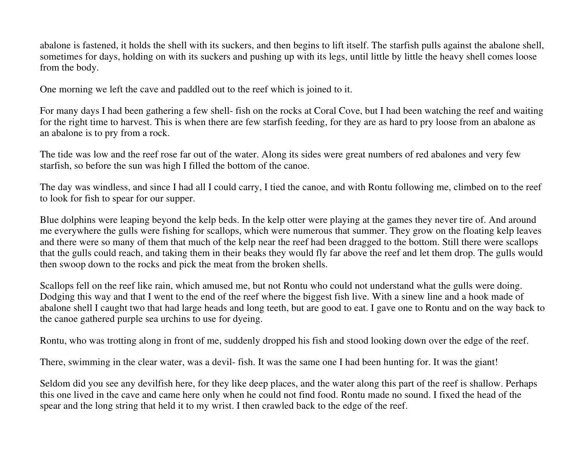abalone is fastened, it holds the shell with its suckers, and then begins to lift itself. The starfish pulls against the abalone shell, sometimes for days, holding on with its suckers and pushing up with its legs, until little by little the heavy shell comes loose from the body.

One morning we left the cave and paddled out to the reef which is joined to it.

For many days I had been gathering a few shell- fish on the rocks at Coral Cove, but I had been watching the reef and waiting for the right time to harvest. This is when there are few starfish feeding, for they are as hard to pry loose from an abalone as an abalone is to pry from a rock.

The tide was low and the reef rose far out of the water. Along its sides were great numbers of red abalones and very few starfish, so before the sun was high I filled the bottom of the canoe.

The day was windless, and since I had all I could carry, I tied the canoe, and with Rontu following me, climbed on to the reef to look for fish to spear for our supper.

Blue dolphins were leaping beyond the kelp beds. In the kelp otter were playing at the games they never tire of. And around me everywhere the gulls were fishing for scallops, which were numerous that summer. They grow on the floating kelp leaves and there were so many of them that much of the kelp near the reef had been dragged to the bottom. Still there were scallops that the gulls could reach, and taking them in their beaks they would fly far above the reef and let them drop. The gulls would then swoop down to the rocks and pick the meat from the broken shells.

Scallops fell on the reef like rain, which amused me, but not Rontu who could not understand what the gulls were doing. Dodging this way and that I went to the end of the reef where the biggest fish live. With a sinew line and a hook made of abalone shell I caught two that had large heads and long teeth, but are good to eat. I gave one to Rontu and on the way back to the canoe gathered purple sea urchins to use for dyeing.

Rontu, who was trotting along in front of me, suddenly dropped his fish and stood looking down over the edge of the reef.

There, swimming in the clear water, was a devil- fish. It was the same one I had been hunting for. It was the giant!

Seldom did you see any devilfish here, for they like deep places, and the water along this part of the reef is shallow. Perhaps this one lived in the cave and came here only when he could not find food. Rontu made no sound. I fixed the head of the spear and the long string that held it to my wrist. I then crawled back to the edge of the reef.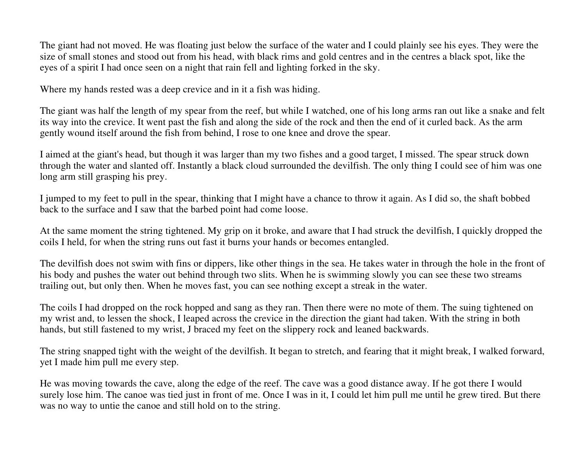The giant had not moved. He was floating just below the surface of the water and I could plainly see his eyes. They were the size of small stones and stood out from his head, with black rims and gold centres and in the centres a black spot, like the eyes of a spirit I had once seen on a night that rain fell and lighting forked in the sky.

Where my hands rested was a deep crevice and in it a fish was hiding.

The giant was half the length of my spear from the reef, but while I watched, one of his long arms ran out like a snake and felt its way into the crevice. It went past the fish and along the side of the rock and then the end of it curled back. As the arm gently wound itself around the fish from behind, I rose to one knee and drove the spear.

I aimed at the giant's head, but though it was larger than my two fishes and a good target, I missed. The spear struck down through the water and slanted off. Instantly a black cloud surrounded the devilfish. The only thing I could see of him was one long arm still grasping his prey.

I jumped to my feet to pull in the spear, thinking that I might have a chance to throw it again. As I did so, the shaft bobbed back to the surface and I saw that the barbed point had come loose.

At the same moment the string tightened. My grip on it broke, and aware that I had struck the devilfish, I quickly dropped the coils I held, for when the string runs out fast it burns your hands or becomes entangled.

The devilfish does not swim with fins or dippers, like other things in the sea. He takes water in through the hole in the front of his body and pushes the water out behind through two slits. When he is swimming slowly you can see these two streams trailing out, but only then. When he moves fast, you can see nothing except a streak in the water.

The coils I had dropped on the rock hopped and sang as they ran. Then there were no mote of them. The suing tightened on my wrist and, to lessen the shock, I leaped across the crevice in the direction the giant had taken. With the string in both hands, but still fastened to my wrist, J braced my feet on the slippery rock and leaned backwards.

The string snapped tight with the weight of the devilfish. It began to stretch, and fearing that it might break, I walked forward, yet I made him pull me every step.

He was moving towards the cave, along the edge of the reef. The cave was a good distance away. If he got there I would surely lose him. The canoe was tied just in front of me. Once I was in it, I could let him pull me until he grew tired. But there was no way to untie the canoe and still hold on to the string.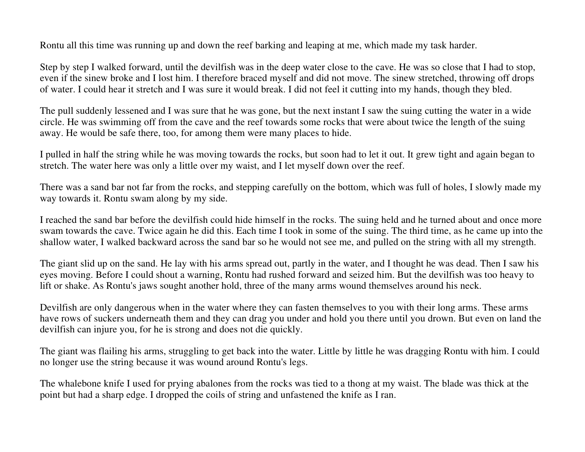Rontu all this time was running up and down the reef barking and leaping at me, which made my task harder.

Step by step I walked forward, until the devilfish was in the deep water close to the cave. He was so close that I had to stop, even if the sinew broke and I lost him. I therefore braced myself and did not move. The sinew stretched, throwing off drops of water. I could hear it stretch and I was sure it would break. I did not feel it cutting into my hands, though they bled.

The pull suddenly lessened and I was sure that he was gone, but the next instant I saw the suing cutting the water in a wide circle. He was swimming off from the cave and the reef towards some rocks that were about twice the length of the suing away. He would be safe there, too, for among them were many places to hide.

I pulled in half the string while he was moving towards the rocks, but soon had to let it out. It grew tight and again began to stretch. The water here was only a little over my waist, and I let myself down over the reef.

There was a sand bar not far from the rocks, and stepping carefully on the bottom, which was full of holes, I slowly made my way towards it. Rontu swam along by my side.

I reached the sand bar before the devilfish could hide himself in the rocks. The suing held and he turned about and once more swam towards the cave. Twice again he did this. Each time I took in some of the suing. The third time, as he came up into the shallow water, I walked backward across the sand bar so he would not see me, and pulled on the string with all my strength.

The giant slid up on the sand. He lay with his arms spread out, partly in the water, and I thought he was dead. Then I saw his eyes moving. Before I could shout a warning, Rontu had rushed forward and seized him. But the devilfish was too heavy to lift or shake. As Rontu's jaws sought another hold, three of the many arms wound themselves around his neck.

Devilfish are only dangerous when in the water where they can fasten themselves to you with their long arms. These arms have rows of suckers underneath them and they can drag you under and hold you there until you drown. But even on land the devilfish can injure you, for he is strong and does not die quickly.

The giant was flailing his arms, struggling to get back into the water. Little by little he was dragging Rontu with him. I could no longer use the string because it was wound around Rontu's legs.

The whalebone knife I used for prying abalones from the rocks was tied to a thong at my waist. The blade was thick at the point but had a sharp edge. I dropped the coils of string and unfastened the knife as I ran.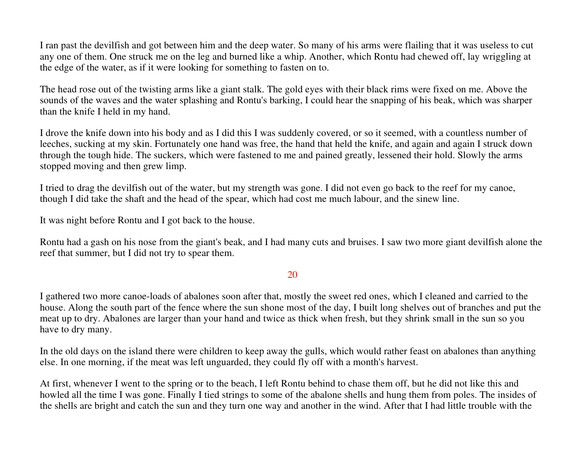I ran past the devilfish and got between him and the deep water. So many of his arms were flailing that it was useless to cut any one of them. One struck me on the leg and burned like a whip. Another, which Rontu had chewed off, lay wriggling at the edge of the water, as if it were looking for something to fasten on to.

The head rose out of the twisting arms like a giant stalk. The gold eyes with their black rims were fixed on me. Above the sounds of the waves and the water splashing and Rontu's barking, I could hear the snapping of his beak, which was sharper than the knife I held in my hand.

I drove the knife down into his body and as I did this I was suddenly covered, or so it seemed, with a countless number of leeches, sucking at my skin. Fortunately one hand was free, the hand that held the knife, and again and again I struck down through the tough hide. The suckers, which were fastened to me and pained greatly, lessened their hold. Slowly the arms stopped moving and then grew limp.

I tried to drag the devilfish out of the water, but my strength was gone. I did not even go back to the reef for my canoe, though I did take the shaft and the head of the spear, which had cost me much labour, and the sinew line.

It was night before Rontu and I got back to the house.

Rontu had a gash on his nose from the giant's beak, and I had many cuts and bruises. I saw two more giant devilfish alone the reef that summer, but I did not try to spear them.

### 20

I gathered two more canoe-loads of abalones soon after that, mostly the sweet red ones, which I cleaned and carried to the house. Along the south part of the fence where the sun shone most of the day, I built long shelves out of branches and put the meat up to dry. Abalones are larger than your hand and twice as thick when fresh, but they shrink small in the sun so you have to dry many.

In the old days on the island there were children to keep away the gulls, which would rather feast on abalones than anything else. In one morning, if the meat was left unguarded, they could fly off with a month's harvest.

At first, whenever I went to the spring or to the beach, I left Rontu behind to chase them off, but he did not like this and howled all the time I was gone. Finally I tied strings to some of the abalone shells and hung them from poles. The insides of the shells are bright and catch the sun and they turn one way and another in the wind. After that I had little trouble with the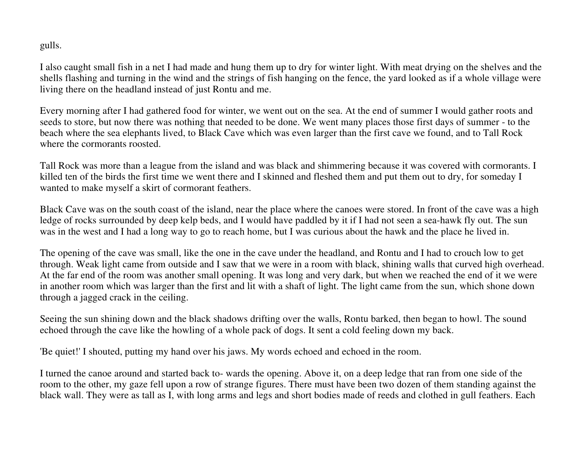gulls.

I also caught small fish in a net I had made and hung them up to dry for winter light. With meat drying on the shelves and the shells flashing and turning in the wind and the strings of fish hanging on the fence, the yard looked as if a whole village were living there on the headland instead of just Rontu and me.

Every morning after I had gathered food for winter, we went out on the sea. At the end of summer I would gather roots and seeds to store, but now there was nothing that needed to be done. We went many places those first days of summer - to the beach where the sea elephants lived, to Black Cave which was even larger than the first cave we found, and to Tall Rock where the cormorants roosted.

Tall Rock was more than a league from the island and was black and shimmering because it was covered with cormorants. I killed ten of the birds the first time we went there and I skinned and fleshed them and put them out to dry, for someday I wanted to make myself a skirt of cormorant feathers.

Black Cave was on the south coast of the island, near the place where the canoes were stored. In front of the cave was a high ledge of rocks surrounded by deep kelp beds, and I would have paddled by it if I had not seen a sea-hawk fly out. The sun was in the west and I had a long way to go to reach home, but I was curious about the hawk and the place he lived in.

The opening of the cave was small, like the one in the cave under the headland, and Rontu and I had to crouch low to get through. Weak light came from outside and I saw that we were in a room with black, shining walls that curved high overhead. At the far end of the room was another small opening. It was long and very dark, but when we reached the end of it we were in another room which was larger than the first and lit with a shaft of light. The light came from the sun, which shone down through a jagged crack in the ceiling.

Seeing the sun shining down and the black shadows drifting over the walls, Rontu barked, then began to howl. The sound echoed through the cave like the howling of a whole pack of dogs. It sent a cold feeling down my back.

'Be quiet!' I shouted, putting my hand over his jaws. My words echoed and echoed in the room.

I turned the canoe around and started back to- wards the opening. Above it, on a deep ledge that ran from one side of the room to the other, my gaze fell upon a row of strange figures. There must have been two dozen of them standing against the black wall. They were as tall as I, with long arms and legs and short bodies made of reeds and clothed in gull feathers. Each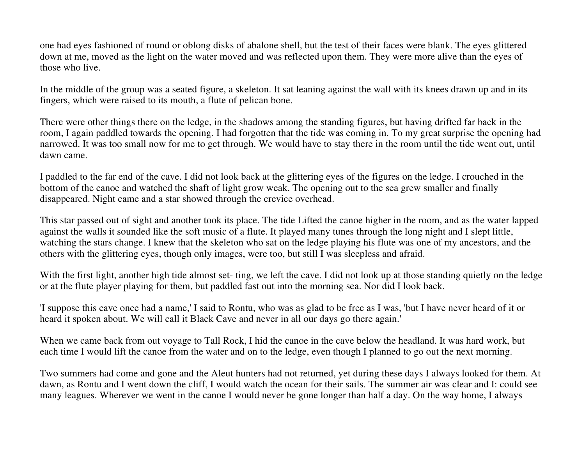one had eyes fashioned of round or oblong disks of abalone shell, but the test of their faces were blank. The eyes glittered down at me, moved as the light on the water moved and was reflected upon them. They were more alive than the eyes of those who live.

In the middle of the group was a seated figure, a skeleton. It sat leaning against the wall with its knees drawn up and in its fingers, which were raised to its mouth, a flute of pelican bone.

There were other things there on the ledge, in the shadows among the standing figures, but having drifted far back in the room, I again paddled towards the opening. I had forgotten that the tide was coming in. To my great surprise the opening had narrowed. It was too small now for me to get through. We would have to stay there in the room until the tide went out, until dawn came.

I paddled to the far end of the cave. I did not look back at the glittering eyes of the figures on the ledge. I crouched in the bottom of the canoe and watched the shaft of light grow weak. The opening out to the sea grew smaller and finally disappeared. Night came and a star showed through the crevice overhead.

This star passed out of sight and another took its place. The tide Lifted the canoe higher in the room, and as the water lapped against the walls it sounded like the soft music of a flute. It played many tunes through the long night and I slept little, watching the stars change. I knew that the skeleton who sat on the ledge playing his flute was one of my ancestors, and the others with the glittering eyes, though only images, were too, but still I was sleepless and afraid.

With the first light, another high tide almost set- ting, we left the cave. I did not look up at those standing quietly on the ledge or at the flute player playing for them, but paddled fast out into the morning sea. Nor did I look back.

'I suppose this cave once had a name,' I said to Rontu, who was as glad to be free as I was, 'but I have never heard of it or heard it spoken about. We will call it Black Cave and never in all our days go there again.'

When we came back from out voyage to Tall Rock, I hid the canoe in the cave below the headland. It was hard work, but each time I would lift the canoe from the water and on to the ledge, even though I planned to go out the next morning.

Two summers had come and gone and the Aleut hunters had not returned, yet during these days I always looked for them. At dawn, as Rontu and I went down the cliff, I would watch the ocean for their sails. The summer air was clear and I: could see many leagues. Wherever we went in the canoe I would never be gone longer than half a day. On the way home, I always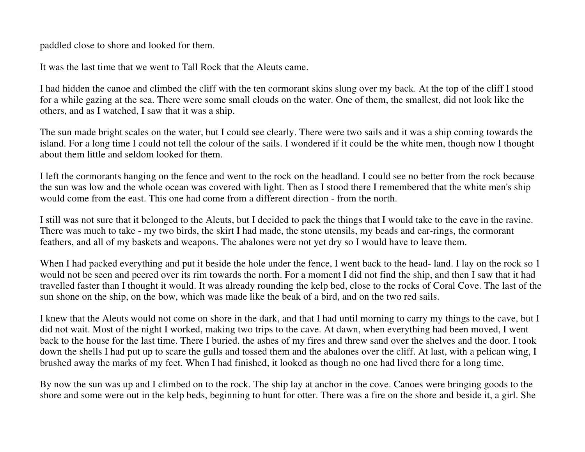paddled close to shore and looked for them.

It was the last time that we went to Tall Rock that the Aleuts came.

I had hidden the canoe and climbed the cliff with the ten cormorant skins slung over my back. At the top of the cliff I stood for a while gazing at the sea. There were some small clouds on the water. One of them, the smallest, did not look like the others, and as I watched, I saw that it was a ship.

The sun made bright scales on the water, but I could see clearly. There were two sails and it was a ship coming towards the island. For a long time I could not tell the colour of the sails. I wondered if it could be the white men, though now I thought about them little and seldom looked for them.

I left the cormorants hanging on the fence and went to the rock on the headland. I could see no better from the rock because the sun was low and the whole ocean was covered with light. Then as I stood there I remembered that the white men's ship would come from the east. This one had come from a different direction - from the north.

I still was not sure that it belonged to the Aleuts, but I decided to pack the things that I would take to the cave in the ravine. There was much to take - my two birds, the skirt I had made, the stone utensils, my beads and ear-rings, the cormorant feathers, and all of my baskets and weapons. The abalones were not yet dry so I would have to leave them.

When I had packed everything and put it beside the hole under the fence, I went back to the head- land. I lay on the rock so 1 would not be seen and peered over its rim towards the north. For a moment I did not find the ship, and then I saw that it had travelled faster than I thought it would. It was already rounding the kelp bed, close to the rocks of Coral Cove. The last of the sun shone on the ship, on the bow, which was made like the beak of a bird, and on the two red sails.

I knew that the Aleuts would not come on shore in the dark, and that I had until morning to carry my things to the cave, but I did not wait. Most of the night I worked, making two trips to the cave. At dawn, when everything had been moved, I went back to the house for the last time. There I buried. the ashes of my fires and threw sand over the shelves and the door. I took down the shells I had put up to scare the gulls and tossed them and the abalones over the cliff. At last, with a pelican wing, I brushed away the marks of my feet. When I had finished, it looked as though no one had lived there for a long time.

By now the sun was up and I climbed on to the rock. The ship lay at anchor in the cove. Canoes were bringing goods to the shore and some were out in the kelp beds, beginning to hunt for otter. There was a fire on the shore and beside it, a girl. She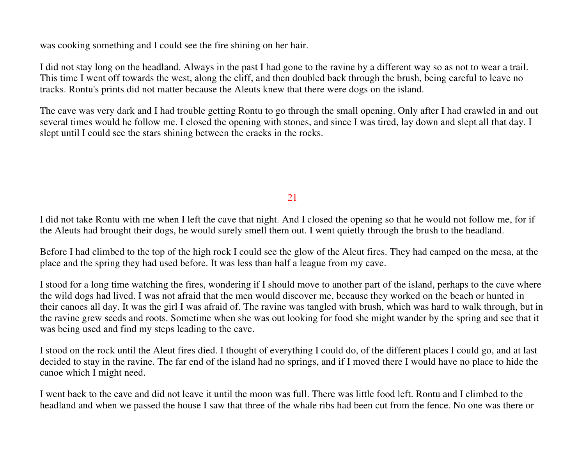was cooking something and I could see the fire shining on her hair.

I did not stay long on the headland. Always in the past I had gone to the ravine by a different way so as not to wear a trail. This time I went off towards the west, along the cliff, and then doubled back through the brush, being careful to leave no tracks. Rontu's prints did not matter because the Aleuts knew that there were dogs on the island.

The cave was very dark and I had trouble getting Rontu to go through the small opening. Only after I had crawled in and out several times would he follow me. I closed the opening with stones, and since I was tired, lay down and slept all that day. I slept until I could see the stars shining between the cracks in the rocks.

# 21

I did not take Rontu with me when I left the cave that night. And I closed the opening so that he would not follow me, for if the Aleuts had brought their dogs, he would surely smell them out. I went quietly through the brush to the headland.

Before I had climbed to the top of the high rock I could see the glow of the Aleut fires. They had camped on the mesa, at the place and the spring they had used before. It was less than half a league from my cave.

I stood for a long time watching the fires, wondering if I should move to another part of the island, perhaps to the cave where the wild dogs had lived. I was not afraid that the men would discover me, because they worked on the beach or hunted in their canoes all day. It was the girl I was afraid of. The ravine was tangled with brush, which was hard to walk through, but in the ravine grew seeds and roots. Sometime when she was out looking for food she might wander by the spring and see that it was being used and find my steps leading to the cave.

I stood on the rock until the Aleut fires died. I thought of everything I could do, of the different places I could go, and at last decided to stay in the ravine. The far end of the island had no springs, and if I moved there I would have no place to hide the canoe which I might need.

I went back to the cave and did not leave it until the moon was full. There was little food left. Rontu and I climbed to the headland and when we passed the house I saw that three of the whale ribs had been cut from the fence. No one was there or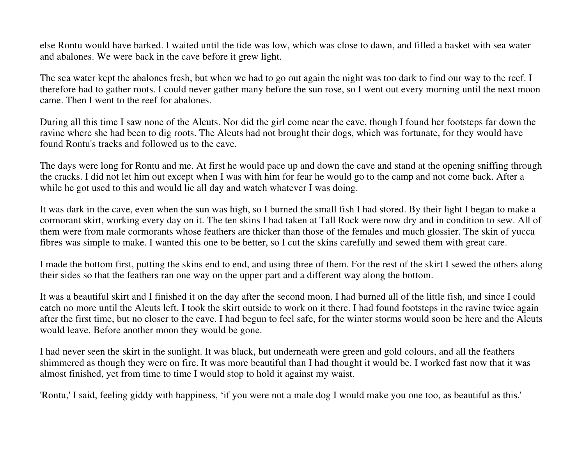else Rontu would have barked. I waited until the tide was low, which was close to dawn, and filled a basket with sea water and abalones. We were back in the cave before it grew light.

The sea water kept the abalones fresh, but when we had to go out again the night was too dark to find our way to the reef. I therefore had to gather roots. I could never gather many before the sun rose, so I went out every morning until the next moon came. Then I went to the reef for abalones.

During all this time I saw none of the Aleuts. Nor did the girl come near the cave, though I found her footsteps far down the ravine where she had been to dig roots. The Aleuts had not brought their dogs, which was fortunate, for they would have found Rontu's tracks and followed us to the cave.

The days were long for Rontu and me. At first he would pace up and down the cave and stand at the opening sniffing through the cracks. I did not let him out except when I was with him for fear he would go to the camp and not come back. After a while he got used to this and would lie all day and watch whatever I was doing.

It was dark in the cave, even when the sun was high, so I burned the small fish I had stored. By their light I began to make a cormorant skirt, working every day on it. The ten skins I had taken at Tall Rock were now dry and in condition to sew. All of them were from male cormorants whose feathers are thicker than those of the females and much glossier. The skin of yucca fibres was simple to make. I wanted this one to be better, so I cut the skins carefully and sewed them with great care.

I made the bottom first, putting the skins end to end, and using three of them. For the rest of the skirt I sewed the others along their sides so that the feathers ran one way on the upper part and a different way along the bottom.

It was a beautiful skirt and I finished it on the day after the second moon. I had burned all of the little fish, and since I could catch no more until the Aleuts left, I took the skirt outside to work on it there. I had found footsteps in the ravine twice again after the first time, but no closer to the cave. I had begun to feel safe, for the winter storms would soon be here and the Aleuts would leave. Before another moon they would be gone.

I had never seen the skirt in the sunlight. It was black, but underneath were green and gold colours, and all the feathers shimmered as though they were on fire. It was more beautiful than I had thought it would be. I worked fast now that it was almost finished, yet from time to time I would stop to hold it against my waist.

'Rontu,' I said, feeling giddy with happiness, 'if you were not a male dog I would make you one too, as beautiful as this.'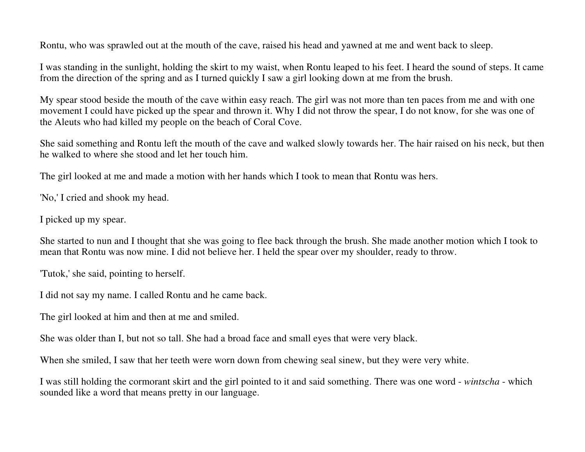Rontu, who was sprawled out at the mouth of the cave, raised his head and yawned at me and went back to sleep.

I was standing in the sunlight, holding the skirt to my waist, when Rontu leaped to his feet. I heard the sound of steps. It came from the direction of the spring and as I turned quickly I saw a girl looking down at me from the brush.

My spear stood beside the mouth of the cave within easy reach. The girl was not more than ten paces from me and with one movement I could have picked up the spear and thrown it. Why I did not throw the spear, I do not know, for she was one of the Aleuts who had killed my people on the beach of Coral Cove.

She said something and Rontu left the mouth of the cave and walked slowly towards her. The hair raised on his neck, but then he walked to where she stood and let her touch him.

The girl looked at me and made a motion with her hands which I took to mean that Rontu was hers.

'No,' I cried and shook my head.

I picked up my spear.

She started to nun and I thought that she was going to flee back through the brush. She made another motion which I took to mean that Rontu was now mine. I did not believe her. I held the spear over my shoulder, ready to throw.

'Tutok,' she said, pointing to herself.

I did not say my name. I called Rontu and he came back.

The girl looked at him and then at me and smiled.

She was older than I, but not so tall. She had a broad face and small eyes that were very black.

When she smiled, I saw that her teeth were worn down from chewing seal sinew, but they were very white.

I was still holding the cormorant skirt and the girl pointed to it and said something. There was one word - *wintscha* - which sounded like a word that means pretty in our language.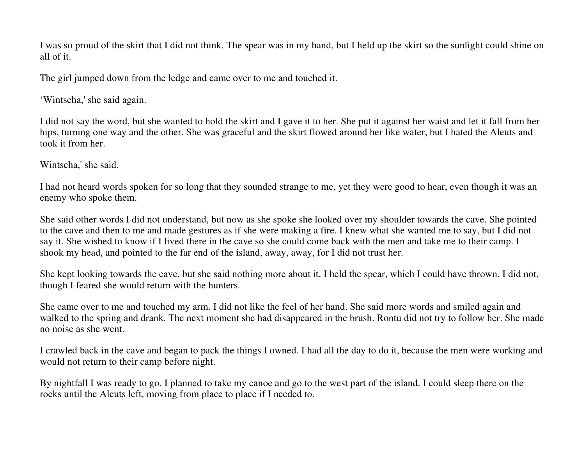I was so proud of the skirt that I did not think. The spear was in my hand, but I held up the skirt so the sunlight could shine on all of it.

The girl jumped down from the ledge and came over to me and touched it.

'Wintscha,' she said again.

I did not say the word, but she wanted to hold the skirt and I gave it to her. She put it against her waist and let it fall from her hips, turning one way and the other. She was graceful and the skirt flowed around her like water, but I hated the Aleuts and took it from her.

Wintscha,' she said.

I had not heard words spoken for so long that they sounded strange to me, yet they were good to hear, even though it was an enemy who spoke them.

She said other words I did not understand, but now as she spoke she looked over my shoulder towards the cave. She pointed to the cave and then to me and made gestures as if she were making a fire. I knew what she wanted me to say, but I did not say it. She wished to know if I lived there in the cave so she could come back with the men and take me to their camp. I shook my head, and pointed to the far end of the island, away, away, for I did not trust her.

She kept looking towards the cave, but she said nothing more about it. I held the spear, which I could have thrown. I did not, though I feared she would return with the hunters.

She came over to me and touched my arm. I did not like the feel of her hand. She said more words and smiled again and walked to the spring and drank. The next moment she had disappeared in the brush. Rontu did not try to follow her. She made no noise as she went.

I crawled back in the cave and began to pack the things I owned. I had all the day to do it, because the men were working and would not return to their camp before night.

By nightfall I was ready to go. I planned to take my canoe and go to the west part of the island. I could sleep there on the rocks until the Aleuts left, moving from place to place if I needed to.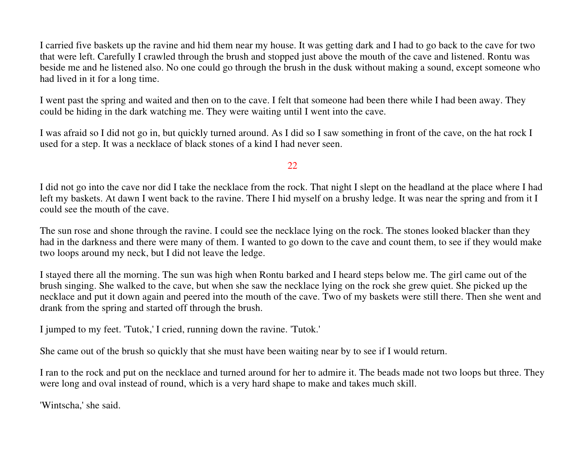I carried five baskets up the ravine and hid them near my house. It was getting dark and I had to go back to the cave for two that were left. Carefully I crawled through the brush and stopped just above the mouth of the cave and listened. Rontu was beside me and he listened also. No one could go through the brush in the dusk without making a sound, except someone who had lived in it for a long time.

I went past the spring and waited and then on to the cave. I felt that someone had been there while I had been away. They could be hiding in the dark watching me. They were waiting until I went into the cave.

I was afraid so I did not go in, but quickly turned around. As I did so I saw something in front of the cave, on the hat rock I used for a step. It was a necklace of black stones of a kind I had never seen.

22

I did not go into the cave nor did I take the necklace from the rock. That night I slept on the headland at the place where I had left my baskets. At dawn I went back to the ravine. There I hid myself on a brushy ledge. It was near the spring and from it I could see the mouth of the cave.

The sun rose and shone through the ravine. I could see the necklace lying on the rock. The stones looked blacker than they had in the darkness and there were many of them. I wanted to go down to the cave and count them, to see if they would make two loops around my neck, but I did not leave the ledge.

I stayed there all the morning. The sun was high when Rontu barked and I heard steps below me. The girl came out of the brush singing. She walked to the cave, but when she saw the necklace lying on the rock she grew quiet. She picked up the necklace and put it down again and peered into the mouth of the cave. Two of my baskets were still there. Then she went and drank from the spring and started off through the brush.

I jumped to my feet. 'Tutok,' I cried, running down the ravine. 'Tutok.'

She came out of the brush so quickly that she must have been waiting near by to see if I would return.

I ran to the rock and put on the necklace and turned around for her to admire it. The beads made not two loops but three. They were long and oval instead of round, which is a very hard shape to make and takes much skill.

'Wintscha,' she said.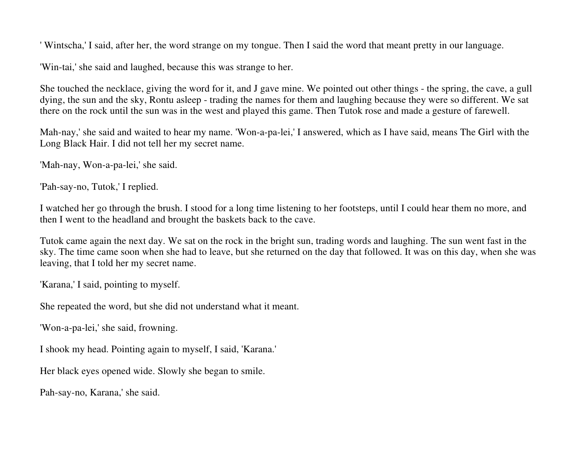' Wintscha,' I said, after her, the word strange on my tongue. Then I said the word that meant pretty in our language.

'Win-tai,' she said and laughed, because this was strange to her.

She touched the necklace, giving the word for it, and J gave mine. We pointed out other things - the spring, the cave, a gull dying, the sun and the sky, Rontu asleep - trading the names for them and laughing because they were so different. We sat there on the rock until the sun was in the west and played this game. Then Tutok rose and made a gesture of farewell.

Mah-nay,' she said and waited to hear my name. 'Won-a-pa-lei,' I answered, which as I have said, means The Girl with the Long Black Hair. I did not tell her my secret name.

'Mah-nay, Won-a-pa-lei,' she said.

'Pah-say-no, Tutok,' I replied.

I watched her go through the brush. I stood for a long time listening to her footsteps, until I could hear them no more, and then I went to the headland and brought the baskets back to the cave.

Tutok came again the next day. We sat on the rock in the bright sun, trading words and laughing. The sun went fast in the sky. The time came soon when she had to leave, but she returned on the day that followed. It was on this day, when she was leaving, that I told her my secret name.

'Karana,' I said, pointing to myself.

She repeated the word, but she did not understand what it meant.

'Won-a-pa-lei,' she said, frowning.

I shook my head. Pointing again to myself, I said, 'Karana.'

Her black eyes opened wide. Slowly she began to smile.

Pah-say-no, Karana,' she said.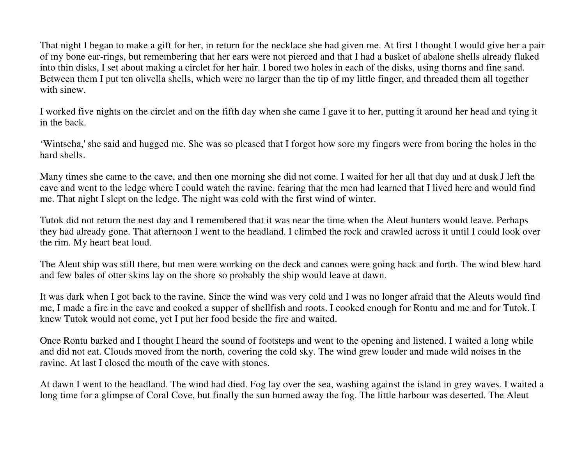That night I began to make a gift for her, in return for the necklace she had given me. At first I thought I would give her a pair of my bone ear-rings, but remembering that her ears were not pierced and that I had a basket of abalone shells already flaked into thin disks, I set about making a circlet for her hair. I bored two holes in each of the disks, using thorns and fine sand. Between them I put ten olivella shells, which were no larger than the tip of my little finger, and threaded them all together with sinew.

I worked five nights on the circlet and on the fifth day when she came I gave it to her, putting it around her head and tying it in the back.

'Wintscha,' she said and hugged me. She was so pleased that I forgot how sore my fingers were from boring the holes in the hard shells.

Many times she came to the cave, and then one morning she did not come. I waited for her all that day and at dusk J left the cave and went to the ledge where I could watch the ravine, fearing that the men had learned that I lived here and would find me. That night I slept on the ledge. The night was cold with the first wind of winter.

Tutok did not return the nest day and I remembered that it was near the time when the Aleut hunters would leave. Perhaps they had already gone. That afternoon I went to the headland. I climbed the rock and crawled across it until I could look over the rim. My heart beat loud.

The Aleut ship was still there, but men were working on the deck and canoes were going back and forth. The wind blew hard and few bales of otter skins lay on the shore so probably the ship would leave at dawn.

It was dark when I got back to the ravine. Since the wind was very cold and I was no longer afraid that the Aleuts would find me, I made a fire in the cave and cooked a supper of shellfish and roots. I cooked enough for Rontu and me and for Tutok. I knew Tutok would not come, yet I put her food beside the fire and waited.

Once Rontu barked and I thought I heard the sound of footsteps and went to the opening and listened. I waited a long while and did not eat. Clouds moved from the north, covering the cold sky. The wind grew louder and made wild noises in the ravine. At last I closed the mouth of the cave with stones.

At dawn I went to the headland. The wind had died. Fog lay over the sea, washing against the island in grey waves. I waited a long time for a glimpse of Coral Cove, but finally the sun burned away the fog. The little harbour was deserted. The Aleut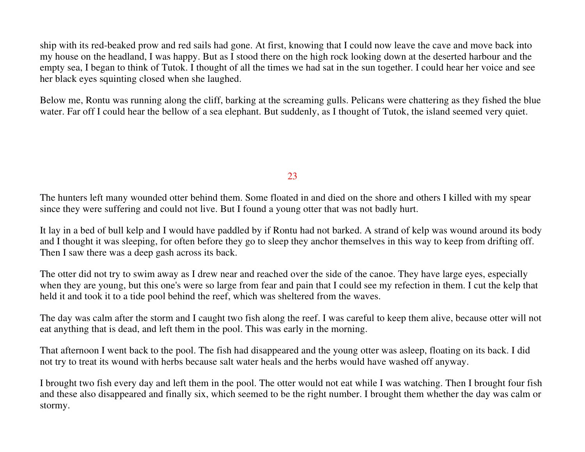ship with its red-beaked prow and red sails had gone. At first, knowing that I could now leave the cave and move back into my house on the headland, I was happy. But as I stood there on the high rock looking down at the deserted harbour and the empty sea, I began to think of Tutok. I thought of all the times we had sat in the sun together. I could hear her voice and see her black eyes squinting closed when she laughed.

Below me, Rontu was running along the cliff, barking at the screaming gulls. Pelicans were chattering as they fished the blue water. Far off I could hear the bellow of a sea elephant. But suddenly, as I thought of Tutok, the island seemed very quiet.

23

The hunters left many wounded otter behind them. Some floated in and died on the shore and others I killed with my spear since they were suffering and could not live. But I found a young otter that was not badly hurt.

It lay in a bed of bull kelp and I would have paddled by if Rontu had not barked. A strand of kelp was wound around its body and I thought it was sleeping, for often before they go to sleep they anchor themselves in this way to keep from drifting off. Then I saw there was a deep gash across its back.

The otter did not try to swim away as I drew near and reached over the side of the canoe. They have large eyes, especially when they are young, but this one's were so large from fear and pain that I could see my refection in them. I cut the kelp that held it and took it to a tide pool behind the reef, which was sheltered from the waves.

The day was calm after the storm and I caught two fish along the reef. I was careful to keep them alive, because otter will not eat anything that is dead, and left them in the pool. This was early in the morning.

That afternoon I went back to the pool. The fish had disappeared and the young otter was asleep, floating on its back. I did not try to treat its wound with herbs because salt water heals and the herbs would have washed off anyway.

I brought two fish every day and left them in the pool. The otter would not eat while I was watching. Then I brought four fish and these also disappeared and finally six, which seemed to be the right number. I brought them whether the day was calm or stormy.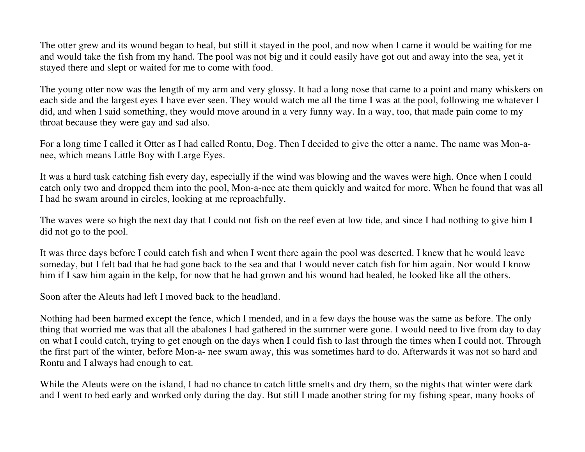The otter grew and its wound began to heal, but still it stayed in the pool, and now when I came it would be waiting for me and would take the fish from my hand. The pool was not big and it could easily have got out and away into the sea, yet it stayed there and slept or waited for me to come with food.

The young otter now was the length of my arm and very glossy. It had a long nose that came to a point and many whiskers on each side and the largest eyes I have ever seen. They would watch me all the time I was at the pool, following me whatever I did, and when I said something, they would move around in a very funny way. In a way, too, that made pain come to my throat because they were gay and sad also.

For a long time I called it Otter as I had called Rontu, Dog. Then I decided to give the otter a name. The name was Mon-anee, which means Little Boy with Large Eyes.

It was a hard task catching fish every day, especially if the wind was blowing and the waves were high. Once when I could catch only two and dropped them into the pool, Mon-a-nee ate them quickly and waited for more. When he found that was all I had he swam around in circles, looking at me reproachfully.

The waves were so high the next day that I could not fish on the reef even at low tide, and since I had nothing to give him I did not go to the pool.

It was three days before I could catch fish and when I went there again the pool was deserted. I knew that he would leave someday, but I felt bad that he had gone back to the sea and that I would never catch fish for him again. Nor would I know him if I saw him again in the kelp, for now that he had grown and his wound had healed, he looked like all the others.

Soon after the Aleuts had left I moved back to the headland.

Nothing had been harmed except the fence, which I mended, and in a few days the house was the same as before. The only thing that worried me was that all the abalones I had gathered in the summer were gone. I would need to live from day to day on what I could catch, trying to get enough on the days when I could fish to last through the times when I could not. Through the first part of the winter, before Mon-a- nee swam away, this was sometimes hard to do. Afterwards it was not so hard and Rontu and I always had enough to eat.

While the Aleuts were on the island, I had no chance to catch little smelts and dry them, so the nights that winter were dark and I went to bed early and worked only during the day. But still I made another string for my fishing spear, many hooks of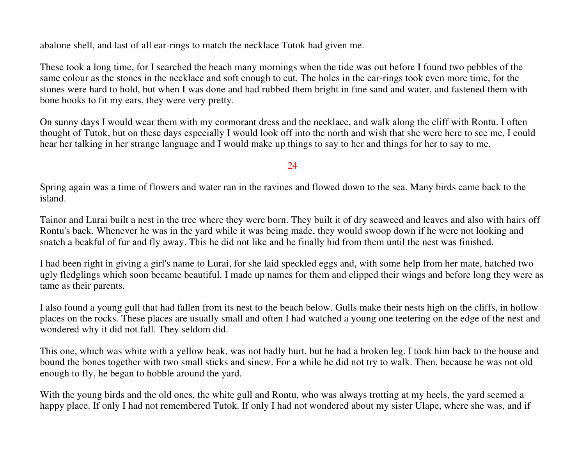abalone shell, and last of all ear-rings to match the necklace Tutok had given me.

These took a long time, for I searched the beach many mornings when the tide was out before I found two pebbles of the same colour as the stones in the necklace and soft enough to cut. The holes in the ear-rings took even more time, for the stones were hard to hold, but when I was done and had rubbed them bright in fine sand and water, and fastened them with bone hooks to fit my ears, they were very pretty.

On sunny days I would wear them with my cormorant dress and the necklace, and walk along the cliff with Rontu. I often thought of Tutok, but on these days especially I would look off into the north and wish that she were here to see me, I could hear her talking in her strange language and I would make up things to say to her and things for her to say to me.

### 24

Spring again was a time of flowers and water ran in the ravines and flowed down to the sea. Many birds came back to the island.

Tainor and Lurai built a nest in the tree where they were born. They built it of dry seaweed and leaves and also with hairs off Rontu's back. Whenever he was in the yard while it was being made, they would swoop down if he were not looking and snatch a beakful of fur and fly away. This he did not like and he finally hid from them until the nest was finished.

I had been right in giving a girl's name to Lurai, for she laid speckled eggs and, with some help from her mate, hatched two ugly fledglings which soon became beautiful. I made up names for them and clipped their wings and before long they were as tame as their parents.

I also found a young gull that had fallen from its nest to the beach below. Gulls make their nests high on the cliffs, in hollow places on the rocks. These places are usually small and often I had watched a young one teetering on the edge of the nest and wondered why it did not fall. They seldom did.

This one, which was white with a yellow beak, was not badly hurt, but he had a broken leg. I took him back to the house and bound the bones together with two small sticks and sinew. For a while he did not try to walk. Then, because he was not old enough to fly, he began to hobble around the yard.

With the young birds and the old ones, the white gull and Rontu, who was always trotting at my heels, the yard seemed a happy place. If only I had not remembered Tutok. If only I had not wondered about my sister Ulape, where she was, and if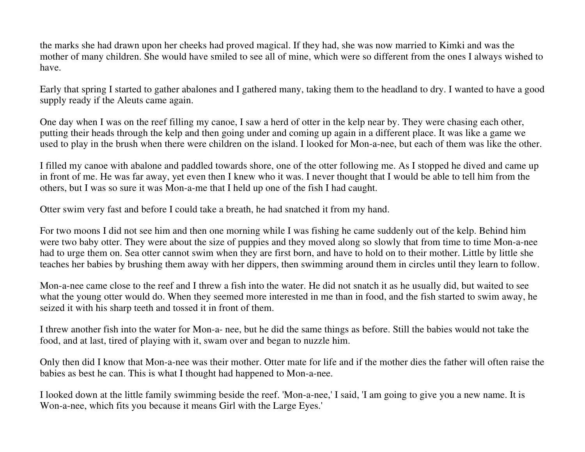the marks she had drawn upon her cheeks had proved magical. If they had, she was now married to Kimki and was the mother of many children. She would have smiled to see all of mine, which were so different from the ones I always wished to have.

Early that spring I started to gather abalones and I gathered many, taking them to the headland to dry. I wanted to have a good supply ready if the Aleuts came again.

One day when I was on the reef filling my canoe, I saw a herd of otter in the kelp near by. They were chasing each other, putting their heads through the kelp and then going under and coming up again in a different place. It was like a game we used to play in the brush when there were children on the island. I looked for Mon-a-nee, but each of them was like the other.

I filled my canoe with abalone and paddled towards shore, one of the otter following me. As I stopped he dived and came up in front of me. He was far away, yet even then I knew who it was. I never thought that I would be able to tell him from the others, but I was so sure it was Mon-a-me that I held up one of the fish I had caught.

Otter swim very fast and before I could take a breath, he had snatched it from my hand.

For two moons I did not see him and then one morning while I was fishing he came suddenly out of the kelp. Behind him were two baby otter. They were about the size of puppies and they moved along so slowly that from time to time Mon-a-nee had to urge them on. Sea otter cannot swim when they are first born, and have to hold on to their mother. Little by little she teaches her babies by brushing them away with her dippers, then swimming around them in circles until they learn to follow.

Mon-a-nee came close to the reef and I threw a fish into the water. He did not snatch it as he usually did, but waited to see what the young otter would do. When they seemed more interested in me than in food, and the fish started to swim away, he seized it with his sharp teeth and tossed it in front of them.

I threw another fish into the water for Mon-a- nee, but he did the same things as before. Still the babies would not take the food, and at last, tired of playing with it, swam over and began to nuzzle him.

Only then did I know that Mon-a-nee was their mother. Otter mate for life and if the mother dies the father will often raise the babies as best he can. This is what I thought had happened to Mon-a-nee.

I looked down at the little family swimming beside the reef. 'Mon-a-nee,' I said, 'I am going to give you a new name. It is Won-a-nee, which fits you because it means Girl with the Large Eyes.'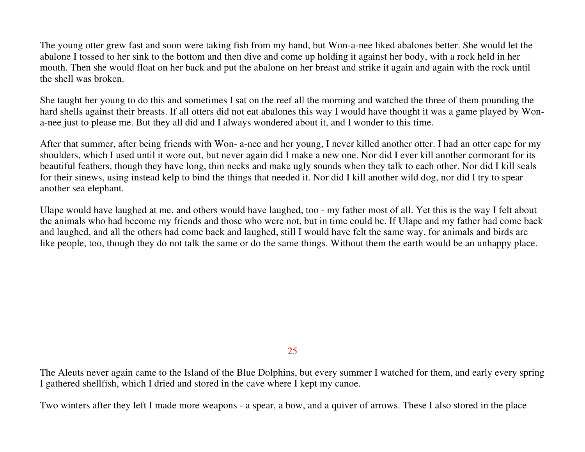The young otter grew fast and soon were taking fish from my hand, but Won-a-nee liked abalones better. She would let the abalone I tossed to her sink to the bottom and then dive and come up holding it against her body, with a rock held in her mouth. Then she would float on her back and put the abalone on her breast and strike it again and again with the rock until the shell was broken.

She taught her young to do this and sometimes I sat on the reef all the morning and watched the three of them pounding the hard shells against their breasts. If all otters did not eat abalones this way I would have thought it was a game played by Wona-nee just to please me. But they all did and I always wondered about it, and I wonder to this time.

After that summer, after being friends with Won- a-nee and her young, I never killed another otter. I had an otter cape for my shoulders, which I used until it wore out, but never again did I make a new one. Nor did I ever kill another cormorant for its beautiful feathers, though they have long, thin necks and make ugly sounds when they talk to each other. Nor did I kill seals for their sinews, using instead kelp to bind the things that needed it. Nor did I kill another wild dog, nor did I try to spear another sea elephant.

Ulape would have laughed at me, and others would have laughed, too - my father most of all. Yet this is the way I felt about the animals who had become my friends and those who were not, but in time could be. If Ulape and my father had come back and laughed, and all the others had come back and laughed, still I would have felt the same way, for animals and birds are like people, too, though they do not talk the same or do the same things. Without them the earth would be an unhappy place.

25

The Aleuts never again came to the Island of the Blue Dolphins, but every summer I watched for them, and early every spring I gathered shellfish, which I dried and stored in the cave where I kept my canoe.

Two winters after they left I made more weapons - a spear, a bow, and a quiver of arrows. These I also stored in the place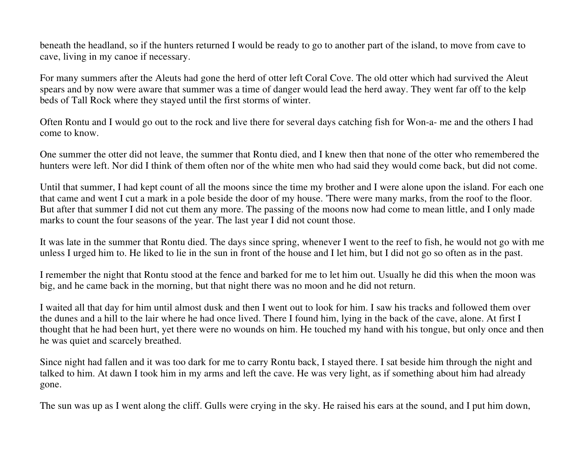beneath the headland, so if the hunters returned I would be ready to go to another part of the island, to move from cave to cave, living in my canoe if necessary.

For many summers after the Aleuts had gone the herd of otter left Coral Cove. The old otter which had survived the Aleut spears and by now were aware that summer was a time of danger would lead the herd away. They went far off to the kelp beds of Tall Rock where they stayed until the first storms of winter.

Often Rontu and I would go out to the rock and live there for several days catching fish for Won-a- me and the others I had come to know.

One summer the otter did not leave, the summer that Rontu died, and I knew then that none of the otter who remembered the hunters were left. Nor did I think of them often nor of the white men who had said they would come back, but did not come.

Until that summer, I had kept count of all the moons since the time my brother and I were alone upon the island. For each one that came and went I cut a mark in a pole beside the door of my house. 'There were many marks, from the roof to the floor. But after that summer I did not cut them any more. The passing of the moons now had come to mean little, and I only made marks to count the four seasons of the year. The last year I did not count those.

It was late in the summer that Rontu died. The days since spring, whenever I went to the reef to fish, he would not go with me unless I urged him to. He liked to lie in the sun in front of the house and I let him, but I did not go so often as in the past.

I remember the night that Rontu stood at the fence and barked for me to let him out. Usually he did this when the moon was big, and he came back in the morning, but that night there was no moon and he did not return.

I waited all that day for him until almost dusk and then I went out to look for him. I saw his tracks and followed them over the dunes and a hill to the lair where he had once lived. There I found him, lying in the back of the cave, alone. At first I thought that he had been hurt, yet there were no wounds on him. He touched my hand with his tongue, but only once and then he was quiet and scarcely breathed.

Since night had fallen and it was too dark for me to carry Rontu back, I stayed there. I sat beside him through the night and talked to him. At dawn I took him in my arms and left the cave. He was very light, as if something about him had already gone.

The sun was up as I went along the cliff. Gulls were crying in the sky. He raised his ears at the sound, and I put him down,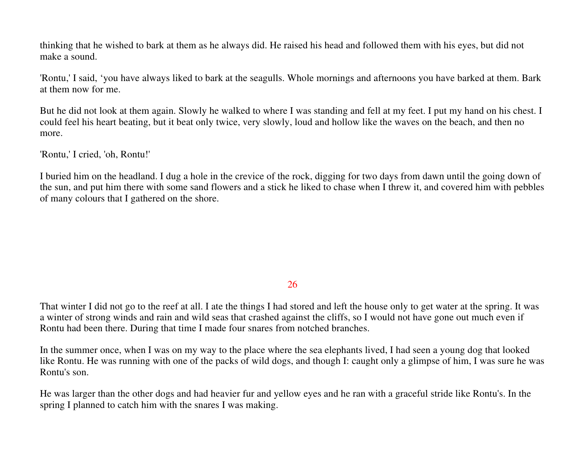thinking that he wished to bark at them as he always did. He raised his head and followed them with his eyes, but did not make a sound.

'Rontu,' I said, 'you have always liked to bark at the seagulls. Whole mornings and afternoons you have barked at them. Bark at them now for me.

But he did not look at them again. Slowly he walked to where I was standing and fell at my feet. I put my hand on his chest. I could feel his heart beating, but it beat only twice, very slowly, loud and hollow like the waves on the beach, and then no more.

'Rontu,' I cried, 'oh, Rontu!'

I buried him on the headland. I dug a hole in the crevice of the rock, digging for two days from dawn until the going down of the sun, and put him there with some sand flowers and a stick he liked to chase when I threw it, and covered him with pebbles of many colours that I gathered on the shore.

# 26

That winter I did not go to the reef at all. I ate the things I had stored and left the house only to get water at the spring. It was a winter of strong winds and rain and wild seas that crashed against the cliffs, so I would not have gone out much even if Rontu had been there. During that time I made four snares from notched branches.

In the summer once, when I was on my way to the place where the sea elephants lived, I had seen a young dog that looked like Rontu. He was running with one of the packs of wild dogs, and though I: caught only a glimpse of him, I was sure he was Rontu's son.

He was larger than the other dogs and had heavier fur and yellow eyes and he ran with a graceful stride like Rontu's. In the spring I planned to catch him with the snares I was making.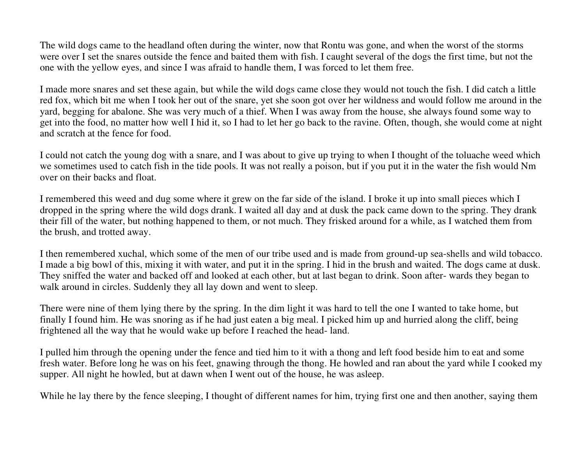The wild dogs came to the headland often during the winter, now that Rontu was gone, and when the worst of the storms were over I set the snares outside the fence and baited them with fish. I caught several of the dogs the first time, but not the one with the yellow eyes, and since I was afraid to handle them, I was forced to let them free.

I made more snares and set these again, but while the wild dogs came close they would not touch the fish. I did catch a little red fox, which bit me when I took her out of the snare, yet she soon got over her wildness and would follow me around in the yard, begging for abalone. She was very much of a thief. When I was away from the house, she always found some way to get into the food, no matter how well I hid it, so I had to let her go back to the ravine. Often, though, she would come at night and scratch at the fence for food.

I could not catch the young dog with a snare, and I was about to give up trying to when I thought of the toluache weed which we sometimes used to catch fish in the tide pools. It was not really a poison, but if you put it in the water the fish would Nm over on their backs and float.

I remembered this weed and dug some where it grew on the far side of the island. I broke it up into small pieces which I dropped in the spring where the wild dogs drank. I waited all day and at dusk the pack came down to the spring. They drank their fill of the water, but nothing happened to them, or not much. They frisked around for a while, as I watched them from the brush, and trotted away.

I then remembered xuchal, which some of the men of our tribe used and is made from ground-up sea-shells and wild tobacco. I made a big bowl of this, mixing it with water, and put it in the spring. I hid in the brush and waited. The dogs came at dusk. They sniffed the water and backed off and looked at each other, but at last began to drink. Soon after- wards they began to walk around in circles. Suddenly they all lay down and went to sleep.

There were nine of them lying there by the spring. In the dim light it was hard to tell the one I wanted to take home, but finally I found him. He was snoring as if he had just eaten a big meal. I picked him up and hurried along the cliff, being frightened all the way that he would wake up before I reached the head- land.

I pulled him through the opening under the fence and tied him to it with a thong and left food beside him to eat and some fresh water. Before long he was on his feet, gnawing through the thong. He howled and ran about the yard while I cooked my supper. All night he howled, but at dawn when I went out of the house, he was asleep.

While he lay there by the fence sleeping, I thought of different names for him, trying first one and then another, saying them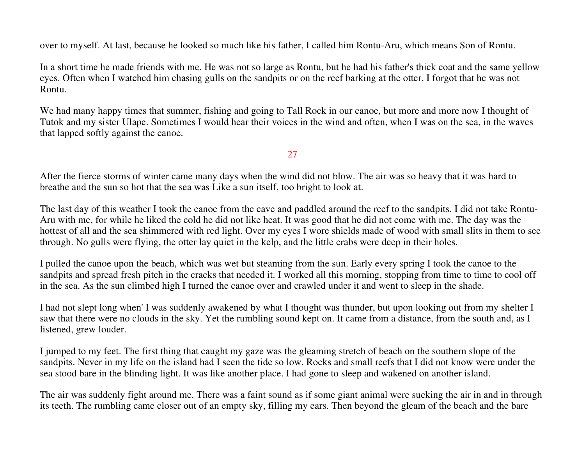over to myself. At last, because he looked so much like his father, I called him Rontu-Aru, which means Son of Rontu.

In a short time he made friends with me. He was not so large as Rontu, but he had his father's thick coat and the same yellow eyes. Often when I watched him chasing gulls on the sandpits or on the reef barking at the otter, I forgot that he was not Rontu.

We had many happy times that summer, fishing and going to Tall Rock in our canoe, but more and more now I thought of Tutok and my sister Ulape. Sometimes I would hear their voices in the wind and often, when I was on the sea, in the waves that lapped softly against the canoe.

27

After the fierce storms of winter came many days when the wind did not blow. The air was so heavy that it was hard to breathe and the sun so hot that the sea was Like a sun itself, too bright to look at.

The last day of this weather I took the canoe from the cave and paddled around the reef to the sandpits. I did not take Rontu-Aru with me, for while he liked the cold he did not like heat. It was good that he did not come with me. The day was the hottest of all and the sea shimmered with red light. Over my eyes I wore shields made of wood with small slits in them to see through. No gulls were flying, the otter lay quiet in the kelp, and the little crabs were deep in their holes.

I pulled the canoe upon the beach, which was wet but steaming from the sun. Early every spring I took the canoe to the sandpits and spread fresh pitch in the cracks that needed it. I worked all this morning, stopping from time to time to cool off in the sea. As the sun climbed high I turned the canoe over and crawled under it and went to sleep in the shade.

I had not slept long when' I was suddenly awakened by what I thought was thunder, but upon looking out from my shelter I saw that there were no clouds in the sky. Yet the rumbling sound kept on. It came from a distance, from the south and, as I listened, grew louder.

I jumped to my feet. The first thing that caught my gaze was the gleaming stretch of beach on the southern slope of the sandpits. Never in my life on the island had I seen the tide so low. Rocks and small reefs that I did not know were under the sea stood bare in the blinding light. It was like another place. I had gone to sleep and wakened on another island.

The air was suddenly fight around me. There was a faint sound as if some giant animal were sucking the air in and in through its teeth. The rumbling came closer out of an empty sky, filling my ears. Then beyond the gleam of the beach and the bare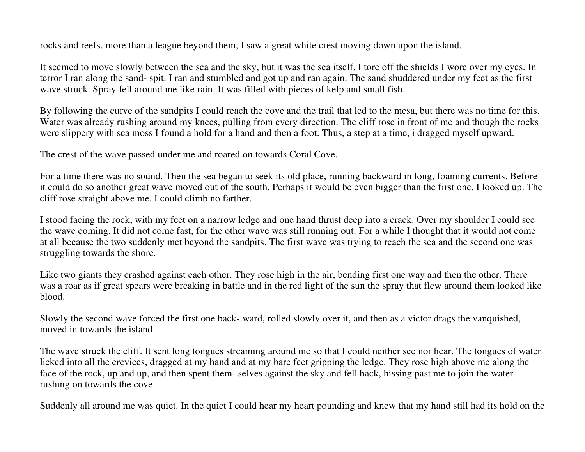rocks and reefs, more than a league beyond them, I saw a great white crest moving down upon the island.

It seemed to move slowly between the sea and the sky, but it was the sea itself. I tore off the shields I wore over my eyes. In terror I ran along the sand- spit. I ran and stumbled and got up and ran again. The sand shuddered under my feet as the first wave struck. Spray fell around me like rain. It was filled with pieces of kelp and small fish.

By following the curve of the sandpits I could reach the cove and the trail that led to the mesa, but there was no time for this. Water was already rushing around my knees, pulling from every direction. The cliff rose in front of me and though the rocks were slippery with sea moss I found a hold for a hand and then a foot. Thus, a step at a time, i dragged myself upward.

The crest of the wave passed under me and roared on towards Coral Cove.

For a time there was no sound. Then the sea began to seek its old place, running backward in long, foaming currents. Before it could do so another great wave moved out of the south. Perhaps it would be even bigger than the first one. I looked up. The cliff rose straight above me. I could climb no farther.

I stood facing the rock, with my feet on a narrow ledge and one hand thrust deep into a crack. Over my shoulder I could see the wave coming. It did not come fast, for the other wave was still running out. For a while I thought that it would not come at all because the two suddenly met beyond the sandpits. The first wave was trying to reach the sea and the second one was struggling towards the shore.

Like two giants they crashed against each other. They rose high in the air, bending first one way and then the other. There was a roar as if great spears were breaking in battle and in the red light of the sun the spray that flew around them looked like blood.

Slowly the second wave forced the first one back- ward, rolled slowly over it, and then as a victor drags the vanquished, moved in towards the island.

The wave struck the cliff. It sent long tongues streaming around me so that I could neither see nor hear. The tongues of water licked into all the crevices, dragged at my hand and at my bare feet gripping the ledge. They rose high above me along the face of the rock, up and up, and then spent them- selves against the sky and fell back, hissing past me to join the water rushing on towards the cove.

Suddenly all around me was quiet. In the quiet I could hear my heart pounding and knew that my hand still had its hold on the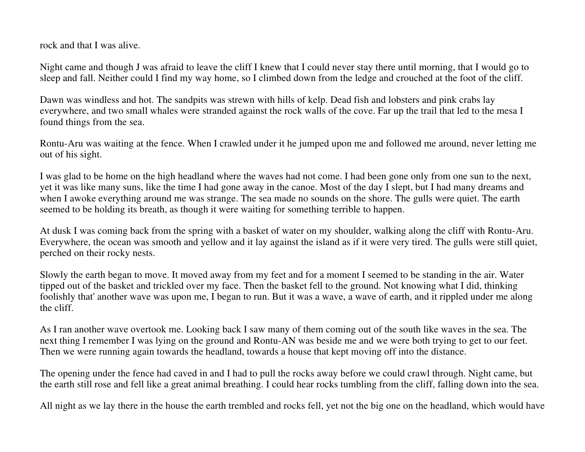rock and that I was alive.

Night came and though J was afraid to leave the cliff I knew that I could never stay there until morning, that I would go to sleep and fall. Neither could I find my way home, so I climbed down from the ledge and crouched at the foot of the cliff.

Dawn was windless and hot. The sandpits was strewn with hills of kelp. Dead fish and lobsters and pink crabs lay everywhere, and two small whales were stranded against the rock walls of the cove. Far up the trail that led to the mesa I found things from the sea.

Rontu-Aru was waiting at the fence. When I crawled under it he jumped upon me and followed me around, never letting me out of his sight.

I was glad to be home on the high headland where the waves had not come. I had been gone only from one sun to the next, yet it was like many suns, like the time I had gone away in the canoe. Most of the day I slept, but I had many dreams and when I awoke everything around me was strange. The sea made no sounds on the shore. The gulls were quiet. The earth seemed to be holding its breath, as though it were waiting for something terrible to happen.

At dusk I was coming back from the spring with a basket of water on my shoulder, walking along the cliff with Rontu-Aru. Everywhere, the ocean was smooth and yellow and it lay against the island as if it were very tired. The gulls were still quiet, perched on their rocky nests.

Slowly the earth began to move. It moved away from my feet and for a moment I seemed to be standing in the air. Water tipped out of the basket and trickled over my face. Then the basket fell to the ground. Not knowing what I did, thinking foolishly that' another wave was upon me, I began to run. But it was a wave, a wave of earth, and it rippled under me along the cliff.

As I ran another wave overtook me. Looking back I saw many of them coming out of the south like waves in the sea. The next thing I remember I was lying on the ground and Rontu-AN was beside me and we were both trying to get to our feet. Then we were running again towards the headland, towards a house that kept moving off into the distance.

The opening under the fence had caved in and I had to pull the rocks away before we could crawl through. Night came, but the earth still rose and fell like a great animal breathing. I could hear rocks tumbling from the cliff, falling down into the sea.

All night as we lay there in the house the earth trembled and rocks fell, yet not the big one on the headland, which would have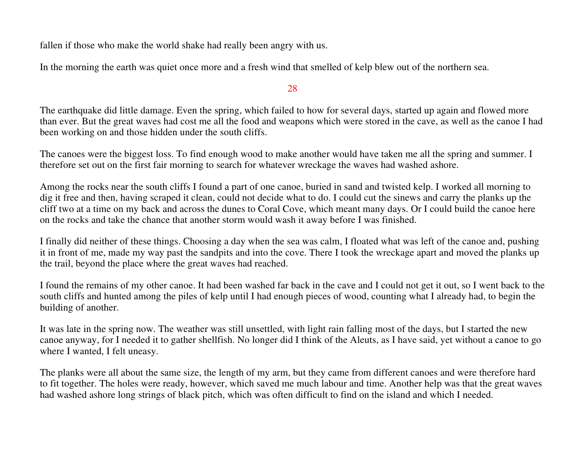fallen if those who make the world shake had really been angry with us.

In the morning the earth was quiet once more and a fresh wind that smelled of kelp blew out of the northern sea.

#### 28

The earthquake did little damage. Even the spring, which failed to how for several days, started up again and flowed more than ever. But the great waves had cost me all the food and weapons which were stored in the cave, as well as the canoe I had been working on and those hidden under the south cliffs.

The canoes were the biggest loss. To find enough wood to make another would have taken me all the spring and summer. I therefore set out on the first fair morning to search for whatever wreckage the waves had washed ashore.

Among the rocks near the south cliffs I found a part of one canoe, buried in sand and twisted kelp. I worked all morning to dig it free and then, having scraped it clean, could not decide what to do. I could cut the sinews and carry the planks up the cliff two at a time on my back and across the dunes to Coral Cove, which meant many days. Or I could build the canoe here on the rocks and take the chance that another storm would wash it away before I was finished.

I finally did neither of these things. Choosing a day when the sea was calm, I floated what was left of the canoe and, pushing it in front of me, made my way past the sandpits and into the cove. There I took the wreckage apart and moved the planks up the trail, beyond the place where the great waves had reached.

I found the remains of my other canoe. It had been washed far back in the cave and I could not get it out, so I went back to the south cliffs and hunted among the piles of kelp until I had enough pieces of wood, counting what I already had, to begin the building of another.

It was late in the spring now. The weather was still unsettled, with light rain falling most of the days, but I started the new canoe anyway, for I needed it to gather shellfish. No longer did I think of the Aleuts, as I have said, yet without a canoe to go where I wanted, I felt uneasy.

The planks were all about the same size, the length of my arm, but they came from different canoes and were therefore hard to fit together. The holes were ready, however, which saved me much labour and time. Another help was that the great waves had washed ashore long strings of black pitch, which was often difficult to find on the island and which I needed.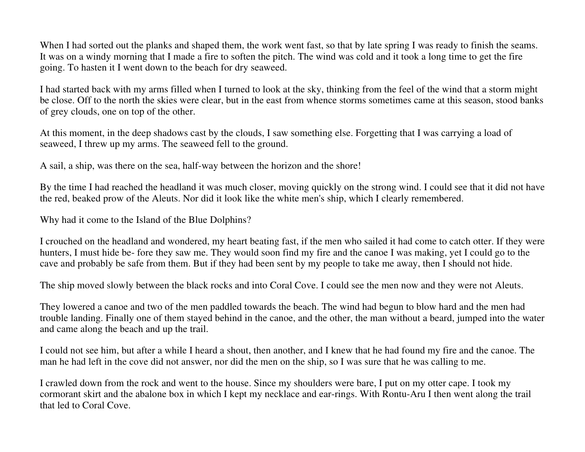When I had sorted out the planks and shaped them, the work went fast, so that by late spring I was ready to finish the seams. It was on a windy morning that I made a fire to soften the pitch. The wind was cold and it took a long time to get the fire going. To hasten it I went down to the beach for dry seaweed.

I had started back with my arms filled when I turned to look at the sky, thinking from the feel of the wind that a storm might be close. Off to the north the skies were clear, but in the east from whence storms sometimes came at this season, stood banks of grey clouds, one on top of the other.

At this moment, in the deep shadows cast by the clouds, I saw something else. Forgetting that I was carrying a load of seaweed, I threw up my arms. The seaweed fell to the ground.

A sail, a ship, was there on the sea, half-way between the horizon and the shore!

By the time I had reached the headland it was much closer, moving quickly on the strong wind. I could see that it did not have the red, beaked prow of the Aleuts. Nor did it look like the white men's ship, which I clearly remembered.

Why had it come to the Island of the Blue Dolphins?

I crouched on the headland and wondered, my heart beating fast, if the men who sailed it had come to catch otter. If they were hunters, I must hide be- fore they saw me. They would soon find my fire and the canoe I was making, yet I could go to the cave and probably be safe from them. But if they had been sent by my people to take me away, then I should not hide.

The ship moved slowly between the black rocks and into Coral Cove. I could see the men now and they were not Aleuts.

They lowered a canoe and two of the men paddled towards the beach. The wind had begun to blow hard and the men had trouble landing. Finally one of them stayed behind in the canoe, and the other, the man without a beard, jumped into the water and came along the beach and up the trail.

I could not see him, but after a while I heard a shout, then another, and I knew that he had found my fire and the canoe. The man he had left in the cove did not answer, nor did the men on the ship, so I was sure that he was calling to me.

I crawled down from the rock and went to the house. Since my shoulders were bare, I put on my otter cape. I took my cormorant skirt and the abalone box in which I kept my necklace and ear-rings. With Rontu-Aru I then went along the trail that led to Coral Cove.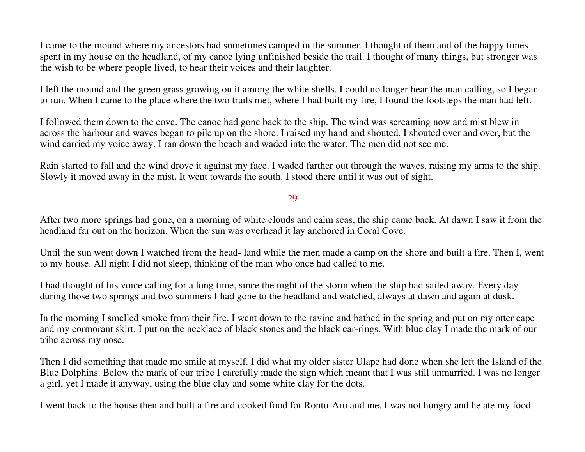I came to the mound where my ancestors had sometimes camped in the summer. I thought of them and of the happy times spent in my house on the headland, of my canoe lying unfinished beside the trail. I thought of many things, but stronger was the wish to be where people lived, to hear their voices and their laughter.

I left the mound and the green grass growing on it among the white shells. I could no longer hear the man calling, so I began to run. When I came to the place where the two trails met, where I had built my fire, I found the footsteps the man had left.

I followed them down to the cove. The canoe had gone back to the ship. The wind was screaming now and mist blew in across the harbour and waves began to pile up on the shore. I raised my hand and shouted. I shouted over and over, but the wind carried my voice away. I ran down the beach and waded into the water. The men did not see me.

Rain started to fall and the wind drove it against my face. I waded farther out through the waves, raising my arms to the ship. Slowly it moved away in the mist. It went towards the south. I stood there until it was out of sight.

### 29

After two more springs had gone, on a morning of white clouds and calm seas, the ship came back. At dawn I saw it from the headland far out on the horizon. When the sun was overhead it lay anchored in Coral Cove.

Until the sun went down I watched from the head- land while the men made a camp on the shore and built a fire. Then I, went to my house. All night I did not sleep, thinking of the man who once had called to me.

I had thought of his voice calling for a long time, since the night of the storm when the ship had sailed away. Every day during those two springs and two summers I had gone to the headland and watched, always at dawn and again at dusk.

In the morning I smelled smoke from their fire. I went down to the ravine and bathed in the spring and put on my otter cape and my cormorant skirt. I put on the necklace of black stones and the black ear-rings. With blue clay I made the mark of our tribe across my nose.

Then I did something that made me smile at myself. I did what my older sister Ulape had done when she left the Island of the Blue Dolphins. Below the mark of our tribe I carefully made the sign which meant that I was still unmarried. I was no longer a girl, yet I made it anyway, using the blue clay and some white clay for the dots.

I went back to the house then and built a fire and cooked food for Rontu-Aru and me. I was not hungry and he ate my food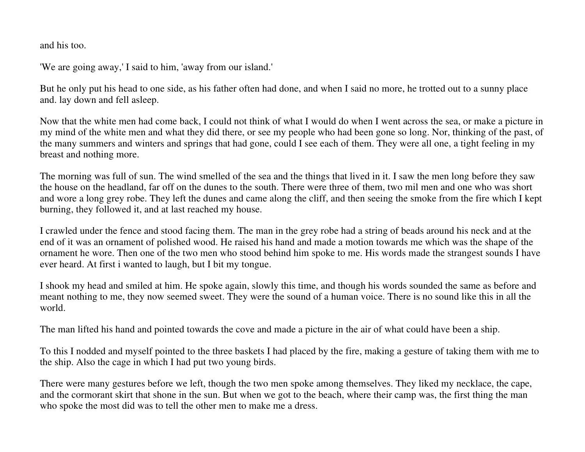and his too.

'We are going away,' I said to him, 'away from our island.'

But he only put his head to one side, as his father often had done, and when I said no more, he trotted out to a sunny place and. lay down and fell asleep.

Now that the white men had come back, I could not think of what I would do when I went across the sea, or make a picture in my mind of the white men and what they did there, or see my people who had been gone so long. Nor, thinking of the past, of the many summers and winters and springs that had gone, could I see each of them. They were all one, a tight feeling in my breast and nothing more.

The morning was full of sun. The wind smelled of the sea and the things that lived in it. I saw the men long before they saw the house on the headland, far off on the dunes to the south. There were three of them, two mil men and one who was short and wore a long grey robe. They left the dunes and came along the cliff, and then seeing the smoke from the fire which I kept burning, they followed it, and at last reached my house.

I crawled under the fence and stood facing them. The man in the grey robe had a string of beads around his neck and at the end of it was an ornament of polished wood. He raised his hand and made a motion towards me which was the shape of the ornament he wore. Then one of the two men who stood behind him spoke to me. His words made the strangest sounds I have ever heard. At first i wanted to laugh, but I bit my tongue.

I shook my head and smiled at him. He spoke again, slowly this time, and though his words sounded the same as before and meant nothing to me, they now seemed sweet. They were the sound of a human voice. There is no sound like this in all the world.

The man lifted his hand and pointed towards the cove and made a picture in the air of what could have been a ship.

To this I nodded and myself pointed to the three baskets I had placed by the fire, making a gesture of taking them with me to the ship. Also the cage in which I had put two young birds.

There were many gestures before we left, though the two men spoke among themselves. They liked my necklace, the cape, and the cormorant skirt that shone in the sun. But when we got to the beach, where their camp was, the first thing the man who spoke the most did was to tell the other men to make me a dress.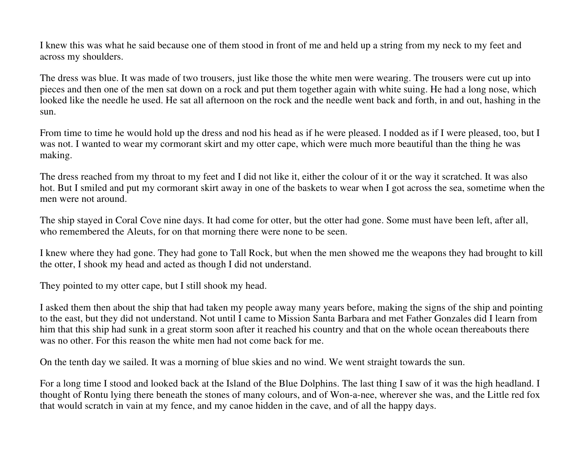I knew this was what he said because one of them stood in front of me and held up a string from my neck to my feet and across my shoulders.

The dress was blue. It was made of two trousers, just like those the white men were wearing. The trousers were cut up into pieces and then one of the men sat down on a rock and put them together again with white suing. He had a long nose, which looked like the needle he used. He sat all afternoon on the rock and the needle went back and forth, in and out, hashing in the sun.

From time to time he would hold up the dress and nod his head as if he were pleased. I nodded as if I were pleased, too, but I was not. I wanted to wear my cormorant skirt and my otter cape, which were much more beautiful than the thing he was making.

The dress reached from my throat to my feet and I did not like it, either the colour of it or the way it scratched. It was also hot. But I smiled and put my cormorant skirt away in one of the baskets to wear when I got across the sea, sometime when the men were not around.

The ship stayed in Coral Cove nine days. It had come for otter, but the otter had gone. Some must have been left, after all, who remembered the Aleuts, for on that morning there were none to be seen.

I knew where they had gone. They had gone to Tall Rock, but when the men showed me the weapons they had brought to kill the otter, I shook my head and acted as though I did not understand.

They pointed to my otter cape, but I still shook my head.

I asked them then about the ship that had taken my people away many years before, making the signs of the ship and pointing to the east, but they did not understand. Not until I came to Mission Santa Barbara and met Father Gonzales did I learn from him that this ship had sunk in a great storm soon after it reached his country and that on the whole ocean thereabouts there was no other. For this reason the white men had not come back for me.

On the tenth day we sailed. It was a morning of blue skies and no wind. We went straight towards the sun.

For a long time I stood and looked back at the Island of the Blue Dolphins. The last thing I saw of it was the high headland. I thought of Rontu lying there beneath the stones of many colours, and of Won-a-nee, wherever she was, and the Little red fox that would scratch in vain at my fence, and my canoe hidden in the cave, and of all the happy days.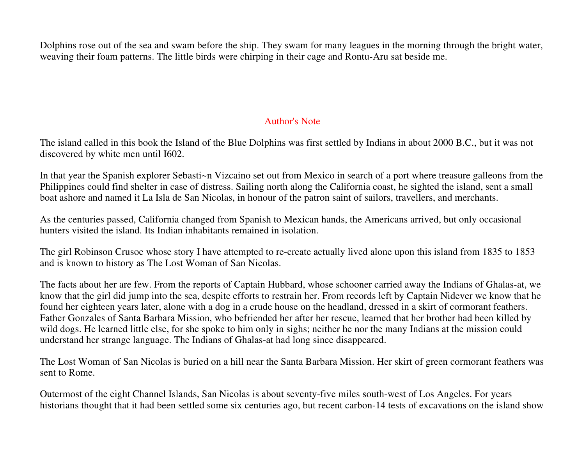Dolphins rose out of the sea and swam before the ship. They swam for many leagues in the morning through the bright water, weaving their foam patterns. The little birds were chirping in their cage and Rontu-Aru sat beside me.

# Author's Note

The island called in this book the Island of the Blue Dolphins was first settled by Indians in about 2000 B.C., but it was not discovered by white men until I602.

In that year the Spanish explorer Sebasti~n Vizcaino set out from Mexico in search of a port where treasure galleons from the Philippines could find shelter in case of distress. Sailing north along the California coast, he sighted the island, sent a small boat ashore and named it La Isla de San Nicolas, in honour of the patron saint of sailors, travellers, and merchants.

As the centuries passed, California changed from Spanish to Mexican hands, the Americans arrived, but only occasional hunters visited the island. Its Indian inhabitants remained in isolation.

The girl Robinson Crusoe whose story I have attempted to re-create actually lived alone upon this island from 1835 to 1853 and is known to history as The Lost Woman of San Nicolas.

The facts about her are few. From the reports of Captain Hubbard, whose schooner carried away the Indians of Ghalas-at, we know that the girl did jump into the sea, despite efforts to restrain her. From records left by Captain Nidever we know that he found her eighteen years later, alone with a dog in a crude house on the headland, dressed in a skirt of cormorant feathers. Father Gonzales of Santa Barbara Mission, who befriended her after her rescue, learned that her brother had been killed by wild dogs. He learned little else, for she spoke to him only in sighs; neither he nor the many Indians at the mission could understand her strange language. The Indians of Ghalas-at had long since disappeared.

The Lost Woman of San Nicolas is buried on a hill near the Santa Barbara Mission. Her skirt of green cormorant feathers was sent to Rome.

Outermost of the eight Channel Islands, San Nicolas is about seventy-five miles south-west of Los Angeles. For years historians thought that it had been settled some six centuries ago, but recent carbon-14 tests of excavations on the island show